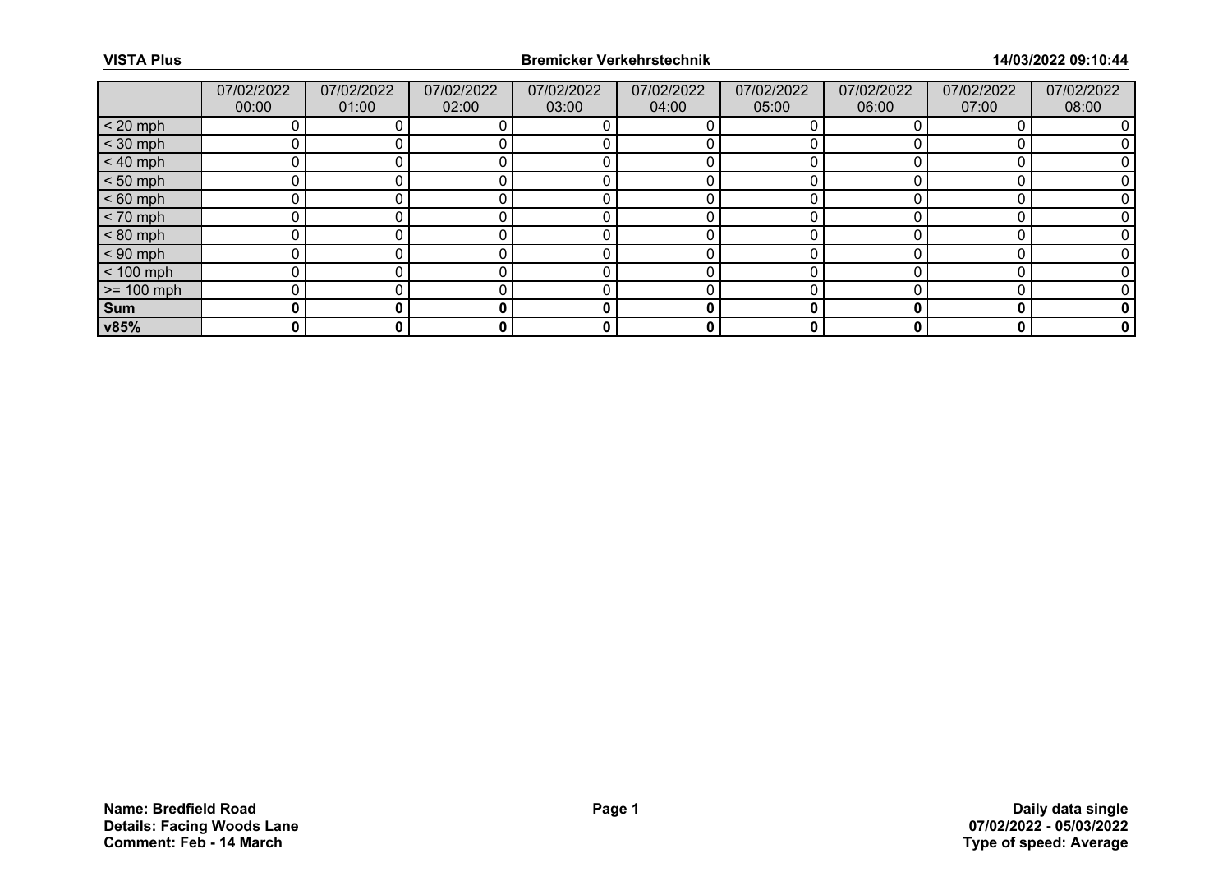|              | 07/02/2022<br>00:00 | 07/02/2022<br>01:00 | 07/02/2022<br>02:00 | 07/02/2022<br>03:00 | 07/02/2022<br>04:00 | 07/02/2022<br>05:00 | 07/02/2022<br>06:00 | 07/02/2022<br>07:00 | 07/02/2022<br>08:00 |
|--------------|---------------------|---------------------|---------------------|---------------------|---------------------|---------------------|---------------------|---------------------|---------------------|
| $< 20$ mph   |                     |                     |                     |                     |                     |                     |                     |                     |                     |
| $<$ 30 mph   |                     |                     |                     |                     |                     |                     |                     |                     |                     |
| $< 40$ mph   | ი                   |                     |                     |                     |                     |                     |                     |                     |                     |
| $< 50$ mph   |                     |                     |                     |                     |                     |                     |                     |                     |                     |
| $< 60$ mph   |                     |                     |                     |                     |                     |                     |                     |                     |                     |
| $< 70$ mph   | ი                   |                     |                     |                     |                     |                     |                     |                     |                     |
| $< 80$ mph   |                     |                     |                     |                     |                     |                     |                     |                     |                     |
| $< 90$ mph   |                     |                     |                     |                     |                     |                     |                     |                     |                     |
| $< 100$ mph  | n                   |                     |                     |                     |                     |                     |                     |                     |                     |
| $>= 100$ mph |                     |                     |                     |                     |                     |                     |                     |                     |                     |
| Sum          | 0                   |                     |                     | O                   | 0                   |                     |                     |                     |                     |
| v85%         | 0                   | 0                   |                     | 0                   | 0                   | 0                   |                     | 0                   | 0                   |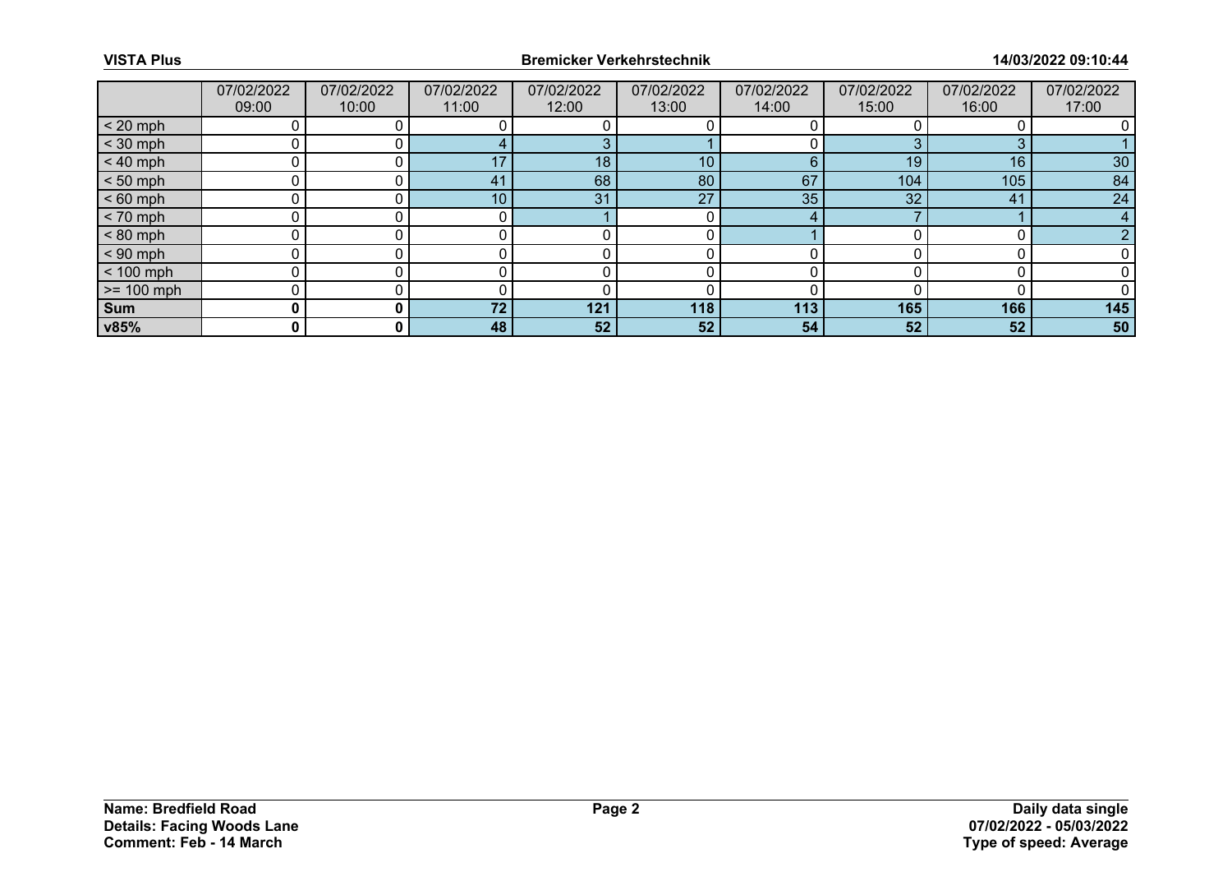|              | 07/02/2022<br>09:00 | 07/02/2022<br>10:00 | 07/02/2022<br>11:00 | 07/02/2022<br>12:00 | 07/02/2022<br>13:00 | 07/02/2022<br>14:00 | 07/02/2022<br>15:00 | 07/02/2022<br>16:00 | 07/02/2022<br>17:00 |
|--------------|---------------------|---------------------|---------------------|---------------------|---------------------|---------------------|---------------------|---------------------|---------------------|
| $< 20$ mph   |                     |                     |                     |                     |                     |                     |                     |                     |                     |
| $<$ 30 mph   |                     |                     |                     |                     |                     |                     |                     |                     |                     |
| $< 40$ mph   | 0                   |                     | 17                  | 18                  | 10 <sub>1</sub>     | 6                   | 19                  | 16                  | 30 <sup>°</sup>     |
| $< 50$ mph   |                     |                     | 41                  | 68                  | 80                  | 67                  | 104                 | 105                 | 84                  |
| $< 60$ mph   |                     |                     | 10 <sub>1</sub>     | 31                  | 27                  | 35                  | 32                  | 41                  | 24                  |
| $< 70$ mph   | 0                   |                     |                     |                     |                     |                     |                     |                     |                     |
| $< 80$ mph   |                     |                     |                     |                     |                     |                     |                     |                     |                     |
| $< 90$ mph   |                     |                     |                     |                     |                     |                     |                     |                     |                     |
| $< 100$ mph  | n                   |                     |                     |                     |                     |                     |                     |                     |                     |
| $>= 100$ mph |                     |                     |                     |                     |                     |                     |                     |                     |                     |
| Sum          | 0                   |                     | 72 <sub>1</sub>     | 121                 | 118                 | 113                 | 165                 | 166                 | 145                 |
| v85%         | 0                   | 0 I                 | 48                  | 52                  | 52 <sub>1</sub>     | 54                  | 52                  | 52                  | 50                  |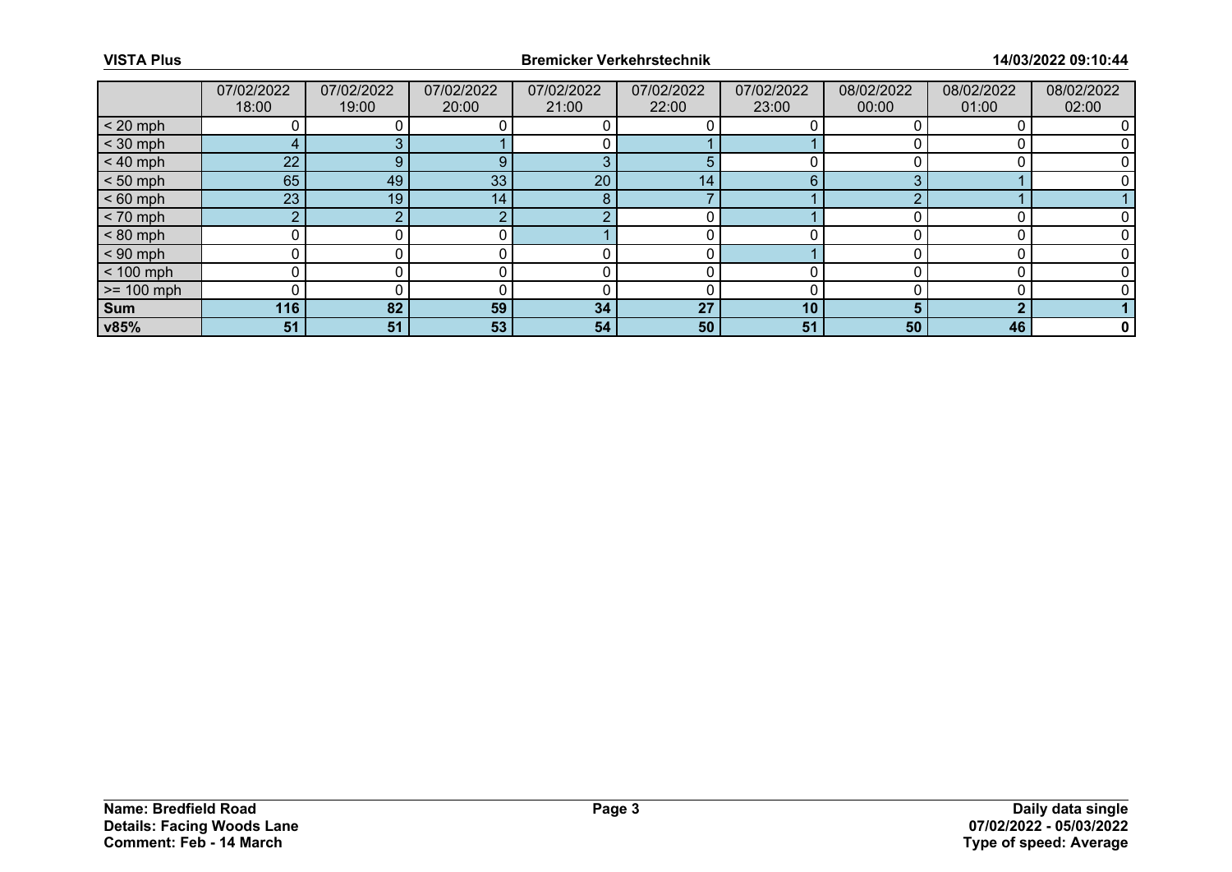|                 | 07/02/2022 | 07/02/2022 | 07/02/2022 | 07/02/2022 | 07/02/2022      | 07/02/2022 | 08/02/2022 | 08/02/2022 | 08/02/2022  |
|-----------------|------------|------------|------------|------------|-----------------|------------|------------|------------|-------------|
|                 | 18:00      | 19:00      | 20:00      | 21:00      | 22:00           | 23:00      | 00:00      | 01:00      | 02:00       |
| $< 20$ mph      |            |            |            |            |                 |            |            |            |             |
| $<$ 30 mph      |            |            |            |            |                 |            |            |            |             |
| $< 40$ mph      | 22         | 9          | 9          | З          | 5               |            |            |            |             |
| $< 50$ mph      | 65         | 49         | 33         | 20         | 14 <sub>1</sub> | 6          |            |            |             |
| $< 60$ mph      | 23         | 19         | 14         | 8          |                 |            |            |            |             |
| $< 70$ mph      | $\sim$     |            |            | ◠          |                 |            |            |            |             |
| $< 80$ mph      |            |            |            |            |                 |            |            |            |             |
| $< 90$ mph      | 0          |            |            |            |                 |            |            |            |             |
| $< 100$ mph     | 0          |            |            |            |                 |            |            |            |             |
| $\ge$ = 100 mph |            |            |            |            |                 |            |            |            |             |
| Sum             | 116        | 82         | 59         | 34         | 27              | 10         |            |            |             |
| v85%            | 51         | 51         | 53         | 54         | 50              | 51         | 50         | 46         | $\mathbf 0$ |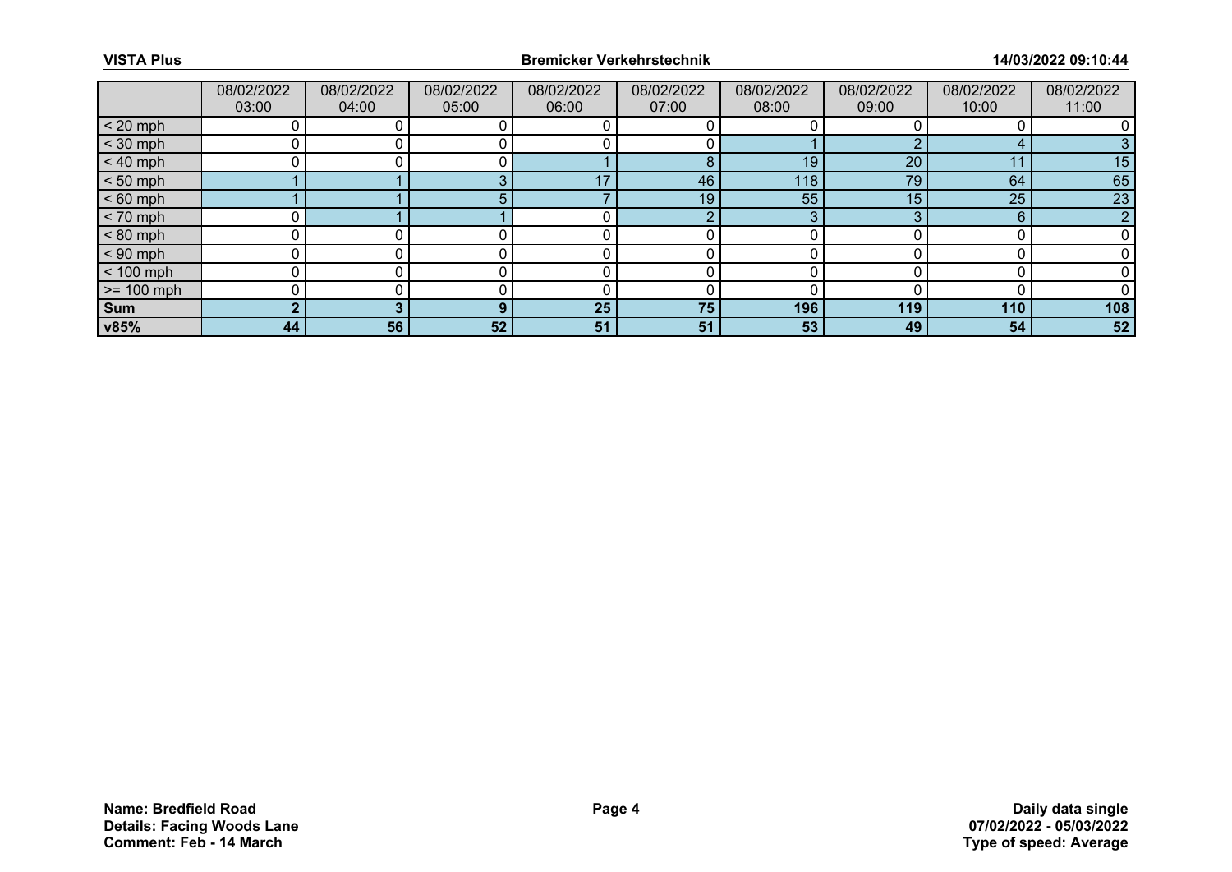|                 | 08/02/2022<br>03:00 | 08/02/2022<br>04:00 | 08/02/2022<br>05:00 | 08/02/2022<br>06:00 | 08/02/2022<br>07:00 | 08/02/2022<br>08:00 | 08/02/2022<br>09:00 | 08/02/2022<br>10:00 | 08/02/2022<br>11:00 |
|-----------------|---------------------|---------------------|---------------------|---------------------|---------------------|---------------------|---------------------|---------------------|---------------------|
| $< 20$ mph      |                     |                     |                     |                     |                     |                     |                     |                     |                     |
| $<$ 30 mph      |                     |                     |                     |                     |                     |                     |                     |                     |                     |
| $< 40$ mph      | 0                   |                     |                     |                     | 8                   | 19                  | 20                  | 11                  | 15                  |
| $< 50$ mph      |                     |                     |                     | 17                  | 46                  | 118                 | 79                  | 64                  | 65                  |
| $< 60$ mph      |                     |                     |                     |                     | 19                  | 55                  | 15                  | 25                  | 23                  |
| $< 70$ mph      |                     |                     |                     |                     | ◠                   | ◠                   |                     | 6                   | $\sim$              |
| $< 80$ mph      |                     |                     |                     |                     |                     |                     |                     |                     |                     |
| $< 90$ mph      | 0                   |                     |                     |                     |                     |                     |                     |                     |                     |
| $< 100$ mph     | 0                   |                     |                     |                     |                     |                     |                     |                     |                     |
| $\ge$ = 100 mph |                     |                     |                     |                     |                     |                     |                     |                     |                     |
| Sum             | -                   |                     | n                   | 25                  | 75                  | 196                 | 119                 | 110                 | 108                 |
| $\sqrt{85\%}$   | 44                  | 56                  | 52                  | 51                  | 51                  | 53                  | 49                  | 54                  | 52                  |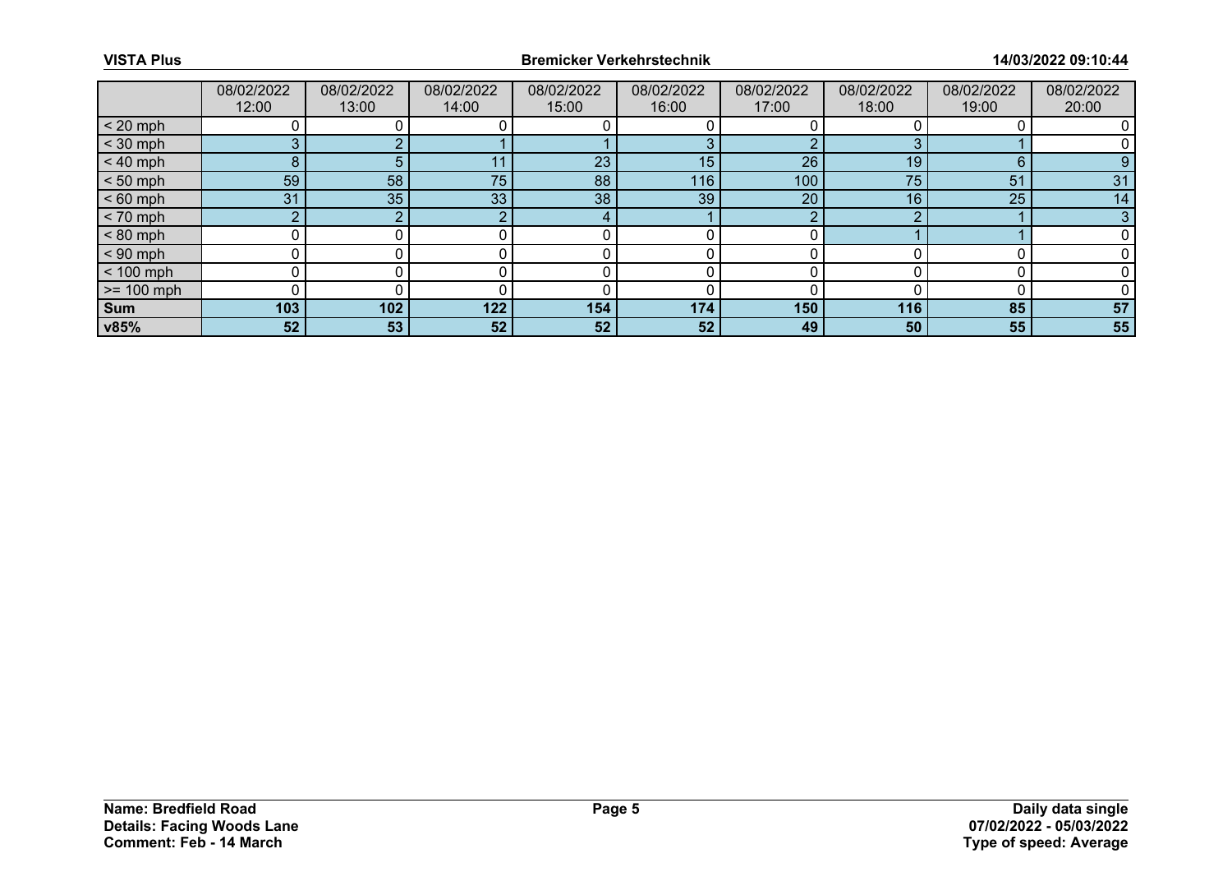|                 | 08/02/2022<br>12:00 | 08/02/2022<br>13:00 | 08/02/2022<br>14:00 | 08/02/2022<br>15:00 | 08/02/2022<br>16:00 | 08/02/2022<br>17:00 | 08/02/2022<br>18:00 | 08/02/2022<br>19:00 | 08/02/2022<br>20:00 |
|-----------------|---------------------|---------------------|---------------------|---------------------|---------------------|---------------------|---------------------|---------------------|---------------------|
|                 |                     |                     |                     |                     |                     |                     |                     |                     |                     |
| $< 20$ mph      |                     |                     |                     |                     |                     |                     |                     |                     |                     |
| $<$ 30 mph      | 3                   |                     |                     |                     |                     |                     |                     |                     |                     |
| $< 40$ mph      | 8                   | 5                   | -14                 | 23                  | 15                  | 26                  | 19                  | 6                   | 9                   |
| $< 50$ mph      | 59                  | 58                  | 75                  | 88                  | 116                 | 100                 | 75                  | 51                  | 31                  |
| $< 60$ mph      | 31                  | 35                  | 33                  | 38                  | 39                  | 20                  | 16                  | 25                  | 14                  |
| $< 70$ mph      | o                   |                     |                     |                     |                     | ◠                   |                     |                     | 3                   |
| $< 80$ mph      |                     |                     |                     |                     |                     |                     |                     |                     |                     |
| $< 90$ mph      | 0                   |                     |                     |                     |                     |                     |                     |                     |                     |
| $< 100$ mph     | 0                   |                     |                     |                     |                     |                     |                     |                     |                     |
| $\ge$ = 100 mph |                     |                     |                     |                     |                     |                     |                     |                     |                     |
| Sum             | 103                 | 102                 | 122                 | 154                 | 174                 | 150                 | 116                 | 85                  | 57                  |
| v85%            | 52                  | 53                  | 52                  | 52                  | 52                  | 49                  | 50                  | 55                  | 55                  |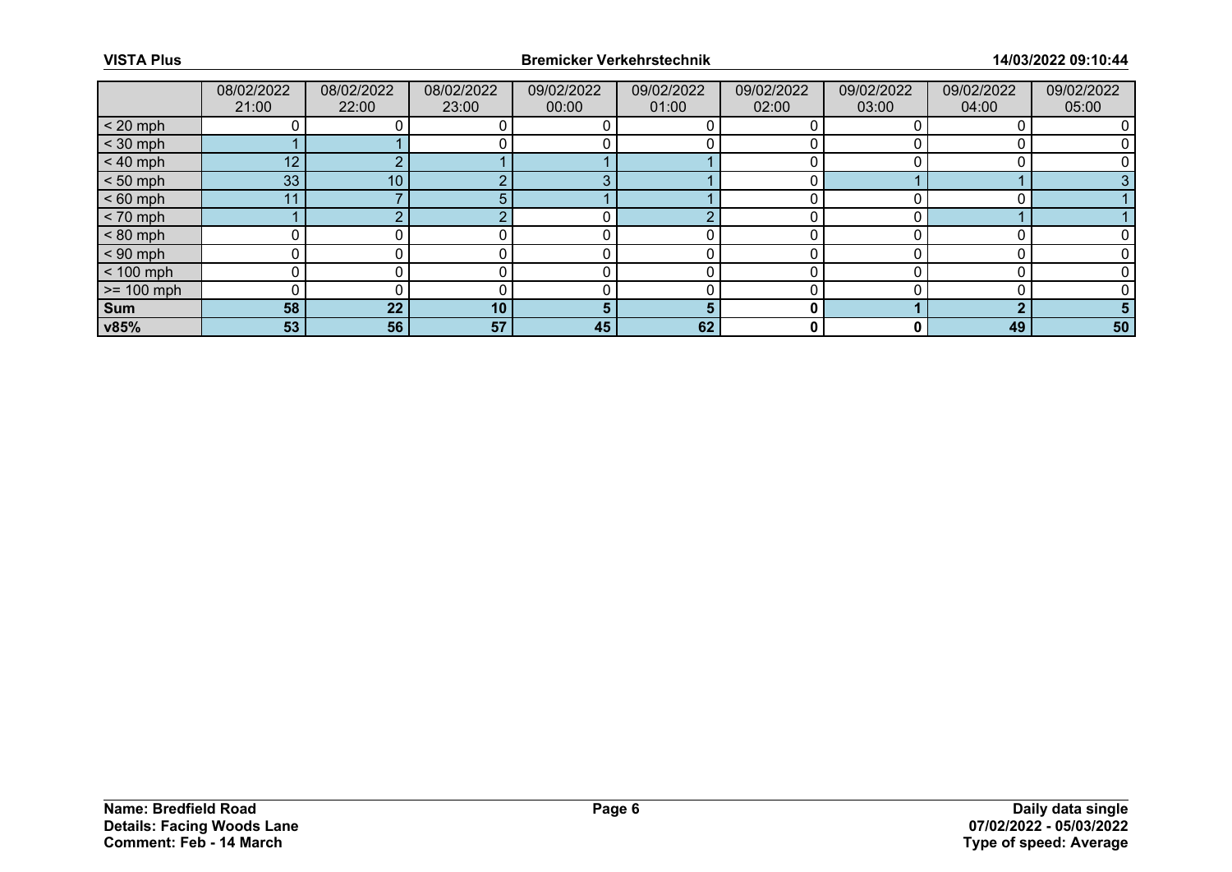|              | 08/02/2022<br>21:00 | 08/02/2022<br>22:00 | 08/02/2022<br>23:00 | 09/02/2022<br>00:00 | 09/02/2022<br>01:00 | 09/02/2022<br>02:00 | 09/02/2022<br>03:00 | 09/02/2022<br>04:00 | 09/02/2022<br>05:00 |
|--------------|---------------------|---------------------|---------------------|---------------------|---------------------|---------------------|---------------------|---------------------|---------------------|
| $< 20$ mph   |                     |                     |                     |                     |                     |                     |                     |                     |                     |
| $<$ 30 mph   |                     |                     |                     |                     |                     |                     |                     |                     |                     |
| $< 40$ mph   | 12 <sup>2</sup>     |                     |                     |                     |                     |                     |                     |                     |                     |
| $< 50$ mph   | 33                  | 10                  |                     | c                   |                     |                     |                     |                     |                     |
| $< 60$ mph   | 11                  |                     |                     |                     |                     |                     |                     |                     |                     |
| $< 70$ mph   |                     |                     |                     |                     |                     |                     |                     |                     |                     |
| $< 80$ mph   |                     |                     |                     |                     |                     |                     |                     |                     |                     |
| $< 90$ mph   |                     |                     |                     |                     |                     |                     |                     |                     |                     |
| $< 100$ mph  | U                   |                     |                     |                     |                     |                     |                     |                     |                     |
| $>= 100$ mph |                     |                     |                     |                     |                     |                     |                     |                     |                     |
| <b>Sum</b>   | 58                  | 22                  | 10                  |                     | Б                   | 0                   |                     |                     |                     |
| v85%         | 53                  | 56                  | 57                  | 45                  | 62                  | 0                   |                     | 49                  | 50                  |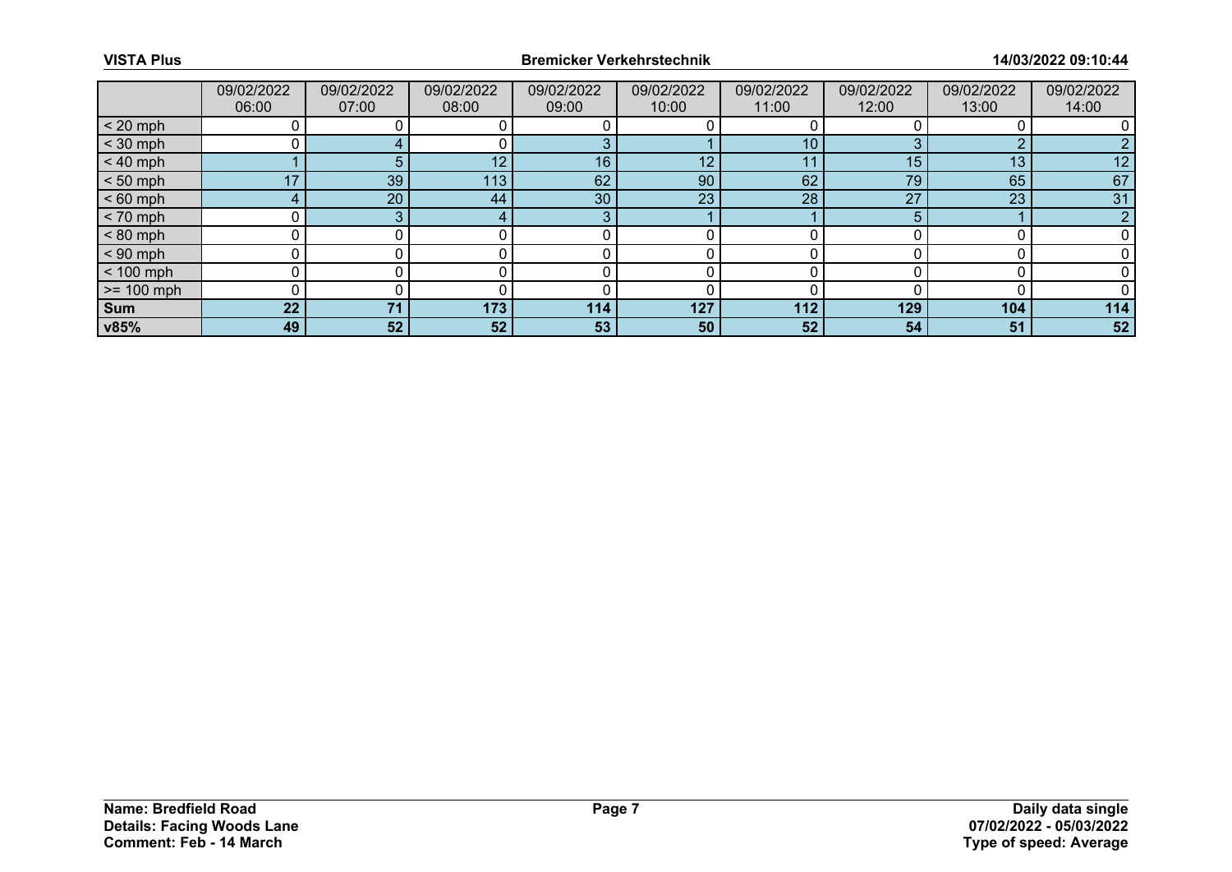|              | 09/02/2022<br>06:00 | 09/02/2022<br>07:00 | 09/02/2022<br>08:00 | 09/02/2022<br>09:00 | 09/02/2022<br>10:00 | 09/02/2022<br>11:00 | 09/02/2022<br>12:00 | 09/02/2022<br>13:00 | 09/02/2022<br>14:00 |
|--------------|---------------------|---------------------|---------------------|---------------------|---------------------|---------------------|---------------------|---------------------|---------------------|
| $< 20$ mph   |                     |                     |                     |                     |                     |                     |                     |                     |                     |
| $<$ 30 mph   |                     |                     |                     |                     |                     | 10                  |                     | ◠                   |                     |
| $< 40$ mph   |                     |                     | 12                  | 16                  | 12 <sup>°</sup>     | 11                  | 15                  | 13                  | 12                  |
| $< 50$ mph   | 17                  | 39                  | 113                 | 62                  | 90                  | 62                  | 79                  | 65                  | 67                  |
| $< 60$ mph   |                     | 20                  | 44                  | 30                  | 23                  | 28                  | 27                  | 23                  | 31                  |
| $< 70$ mph   |                     | ີ                   |                     | 3                   |                     |                     |                     |                     |                     |
| $< 80$ mph   |                     |                     |                     |                     |                     |                     |                     |                     |                     |
| $< 90$ mph   |                     |                     |                     |                     |                     |                     |                     |                     |                     |
| $< 100$ mph  | U                   |                     |                     |                     |                     |                     |                     |                     |                     |
| $>= 100$ mph |                     |                     |                     |                     |                     |                     |                     |                     |                     |
| <b>Sum</b>   | 22 <sub>2</sub>     | 71                  | 173                 | 114                 | 127                 | 112                 | 129                 | 104                 | 114                 |
| v85%         | 49                  | 52                  | 52                  | 53                  | 50                  | 52                  | 54                  | 51                  | 52                  |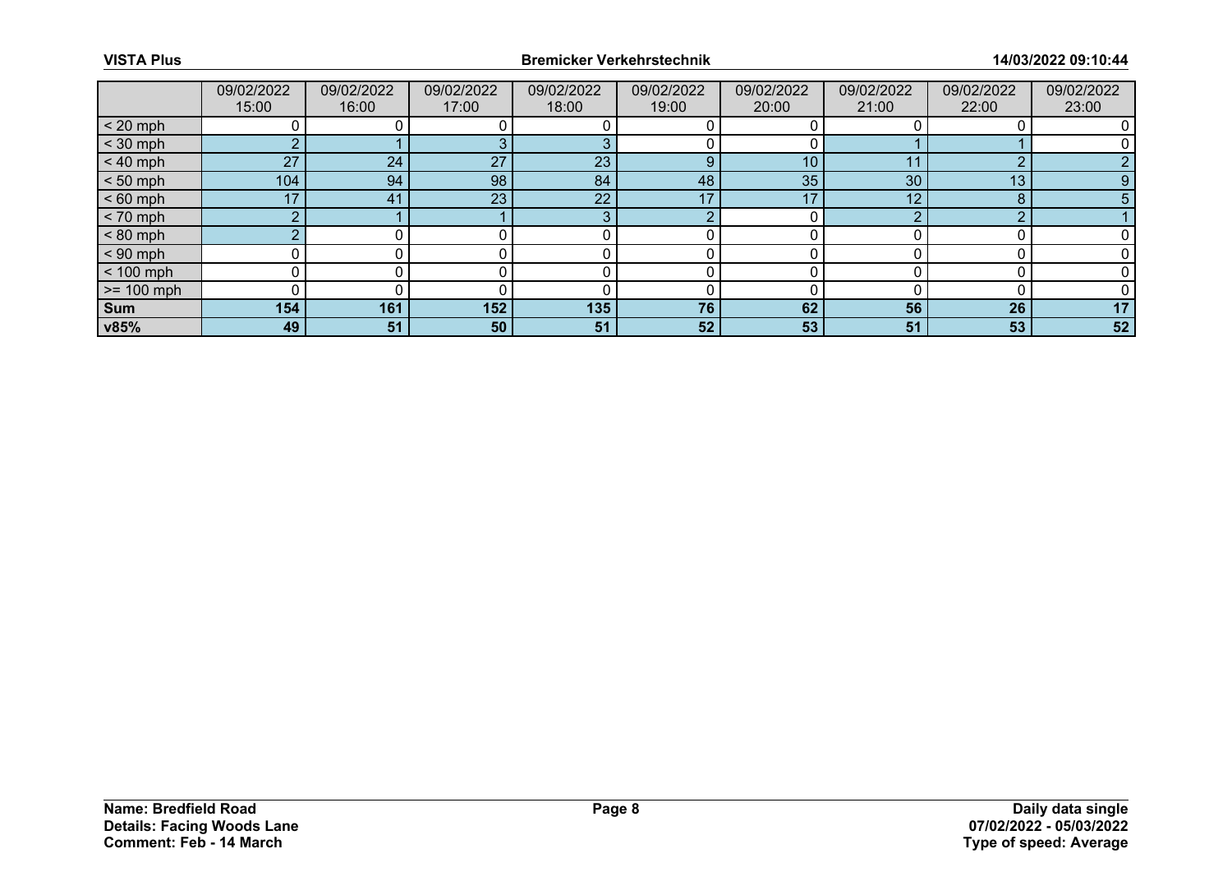|              | 09/02/2022<br>15:00 | 09/02/2022<br>16:00 | 09/02/2022<br>17:00 | 09/02/2022<br>18:00 | 09/02/2022<br>19:00 | 09/02/2022<br>20:00 | 09/02/2022<br>21:00 | 09/02/2022<br>22:00 | 09/02/2022<br>23:00 |
|--------------|---------------------|---------------------|---------------------|---------------------|---------------------|---------------------|---------------------|---------------------|---------------------|
| $< 20$ mph   |                     |                     |                     |                     |                     |                     |                     |                     |                     |
| $<$ 30 mph   | ◠                   |                     |                     |                     |                     |                     |                     |                     |                     |
| $< 40$ mph   | 27                  | 24                  | 27                  | 23                  | 9                   | 10                  | -1-1                | ◠                   |                     |
| $< 50$ mph   | 104                 | 94                  | 98                  | 84                  | 48                  | 35                  | 30                  | 13                  | 9                   |
| $< 60$ mph   | 17                  | 41                  | 23                  | 22                  | 17                  | 17                  | 12                  | 8                   |                     |
| $< 70$ mph   | $\Omega$            |                     |                     | 3                   | r                   |                     | ⌒                   | n                   |                     |
| $< 80$ mph   |                     |                     |                     |                     |                     |                     |                     |                     |                     |
| $< 90$ mph   |                     |                     |                     |                     |                     |                     |                     |                     |                     |
| $< 100$ mph  | 0                   |                     |                     |                     |                     |                     |                     |                     |                     |
| $>= 100$ mph |                     |                     |                     |                     |                     |                     |                     |                     |                     |
| <b>Sum</b>   | 154                 | 161                 | 152                 | 135                 | 76                  | 62                  | 56                  | 26                  | 17                  |
| v85%         | 49                  | 51                  | 50                  | 51                  | 52                  | 53                  | 51                  | 53                  | 52                  |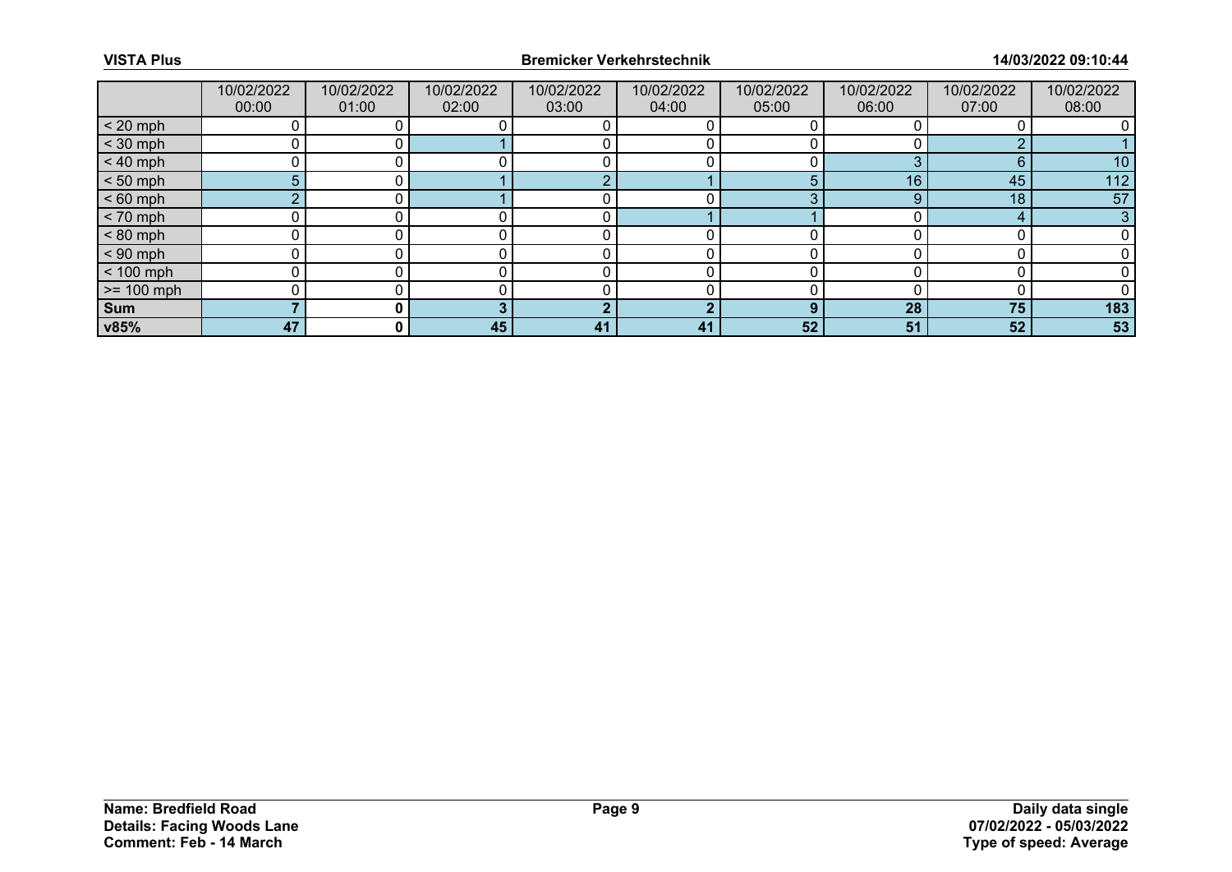|              | 10/02/2022<br>00:00 | 10/02/2022<br>01:00 | 10/02/2022<br>02:00 | 10/02/2022<br>03:00 | 10/02/2022<br>04:00 | 10/02/2022<br>05:00 | 10/02/2022<br>06:00 | 10/02/2022<br>07:00 | 10/02/2022<br>08:00 |
|--------------|---------------------|---------------------|---------------------|---------------------|---------------------|---------------------|---------------------|---------------------|---------------------|
| $< 20$ mph   |                     |                     |                     |                     |                     |                     |                     |                     |                     |
| $<$ 30 mph   |                     |                     |                     |                     |                     |                     |                     |                     |                     |
| $< 40$ mph   |                     |                     |                     |                     |                     |                     | ⌒                   | 6                   | 10                  |
| $< 50$ mph   | 5.                  |                     |                     | c                   |                     | 5                   | 16 <sub>1</sub>     | 45                  | 112                 |
| $< 60$ mph   | $\sim$              |                     |                     |                     |                     | ◠                   |                     | 18                  | 57                  |
| $< 70$ mph   |                     |                     |                     |                     |                     |                     |                     |                     | 3                   |
| $< 80$ mph   |                     |                     |                     |                     |                     |                     |                     |                     |                     |
| $< 90$ mph   |                     |                     |                     |                     |                     |                     |                     |                     |                     |
| $< 100$ mph  |                     |                     |                     |                     |                     |                     |                     |                     |                     |
| $>= 100$ mph |                     |                     |                     |                     |                     |                     |                     |                     |                     |
| <b>Sum</b>   |                     |                     |                     | G                   | L.                  | $\mathbf{O}$        | 28                  | 75                  | 183                 |
| v85%         | 47                  | $\mathbf{0}$        | 45                  | 41                  | 41                  | 52                  | 51                  | 52                  | 53                  |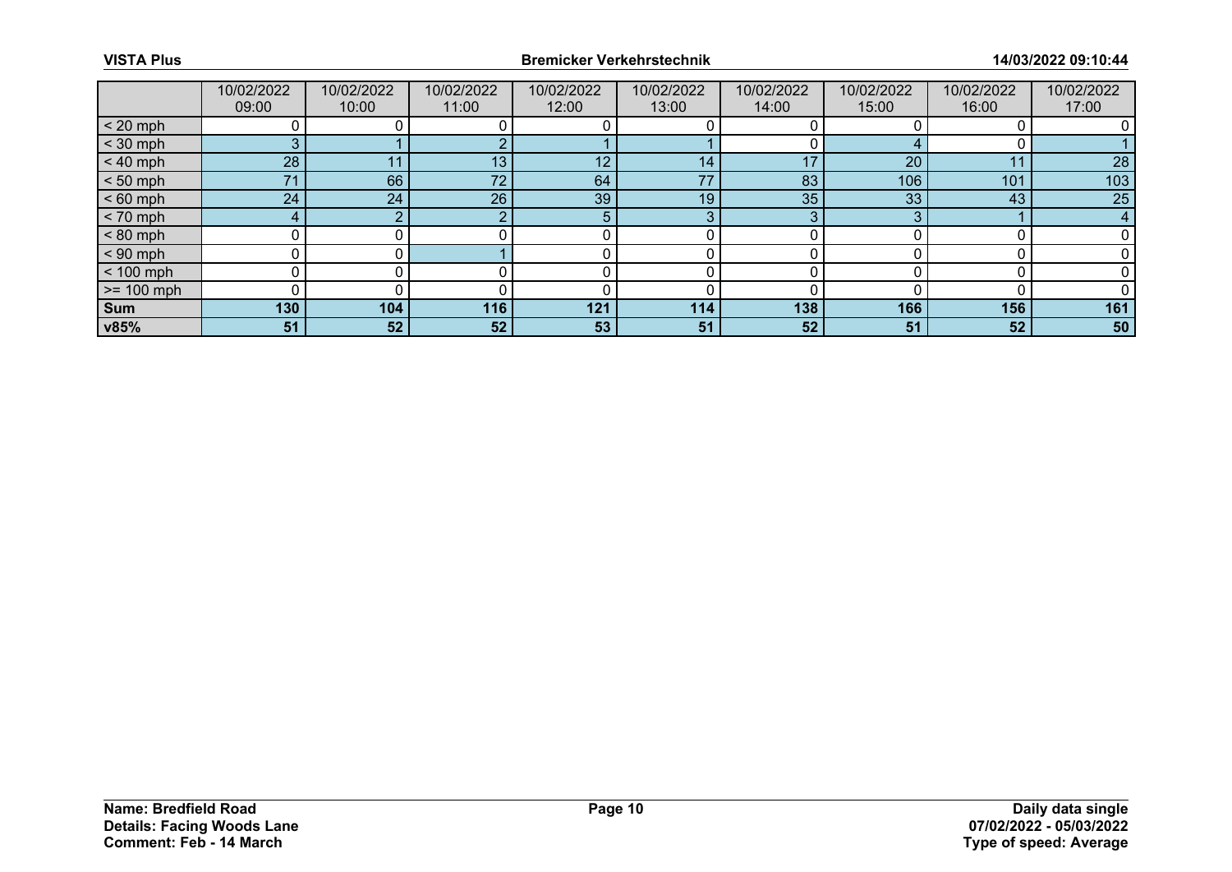|              | 10/02/2022<br>09:00 | 10/02/2022<br>10:00 | 10/02/2022<br>11:00 | 10/02/2022<br>12:00 | 10/02/2022<br>13:00 | 10/02/2022<br>14:00 | 10/02/2022<br>15:00 | 10/02/2022<br>16:00 | 10/02/2022<br>17:00 |
|--------------|---------------------|---------------------|---------------------|---------------------|---------------------|---------------------|---------------------|---------------------|---------------------|
| $< 20$ mph   |                     |                     |                     |                     |                     |                     |                     |                     |                     |
| $<$ 30 mph   | 3                   |                     |                     |                     |                     |                     |                     |                     |                     |
| $< 40$ mph   | 28                  | 11                  | 13                  | 12                  | 14                  | 17                  | 20                  | 11                  | 28                  |
| $< 50$ mph   | 71                  | 66                  | 72 <sub>2</sub>     | 64                  | 77                  | 83                  | 106                 | 101                 | 103                 |
| $< 60$ mph   | 24                  | 24                  | 26                  | 39                  | 19                  | 35                  | 33                  | 43                  | 25                  |
| $< 70$ mph   | 4                   | $\sim$              |                     | 5                   | 3                   | $\sim$              | ◠                   |                     | 4                   |
| $< 80$ mph   |                     |                     |                     |                     |                     |                     |                     |                     |                     |
| $< 90$ mph   |                     |                     |                     |                     |                     |                     |                     |                     |                     |
| $< 100$ mph  | 0                   |                     |                     |                     |                     |                     |                     |                     |                     |
| $>= 100$ mph |                     |                     |                     |                     |                     |                     |                     |                     |                     |
| <b>Sum</b>   | 130                 | 104                 | 116                 | 121                 | 114                 | 138                 | 166                 | 156                 | 161                 |
| v85%         | 51                  | 52                  | 52                  | 53                  | 51                  | 52                  | 51                  | 52                  | 50                  |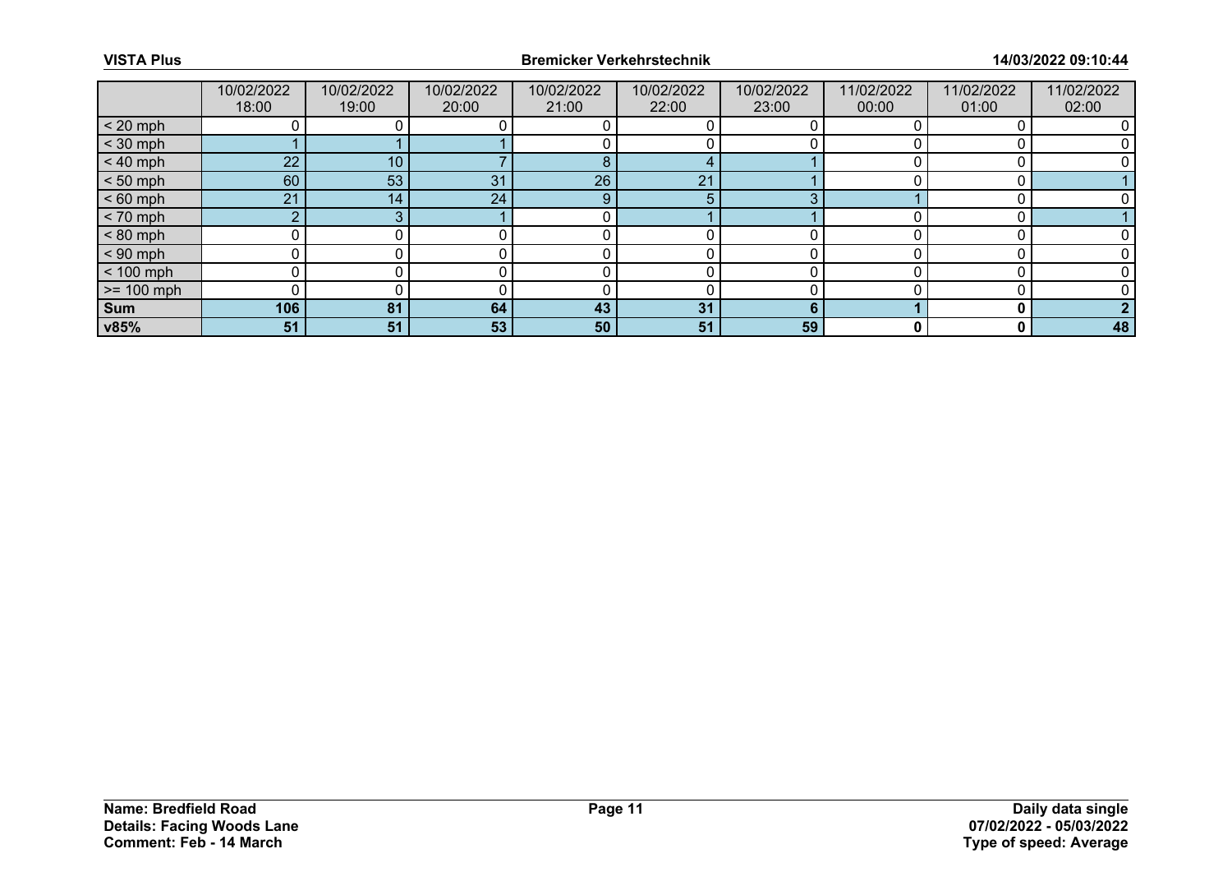|              | 10/02/2022<br>18:00 | 10/02/2022<br>19:00 | 10/02/2022<br>20:00 | 10/02/2022<br>21:00 | 10/02/2022<br>22:00 | 10/02/2022<br>23:00 | 11/02/2022<br>00:00 | 11/02/2022<br>01:00 | 11/02/2022<br>02:00 |
|--------------|---------------------|---------------------|---------------------|---------------------|---------------------|---------------------|---------------------|---------------------|---------------------|
| $< 20$ mph   |                     |                     |                     |                     |                     |                     |                     |                     |                     |
| $<$ 30 mph   |                     |                     |                     |                     |                     |                     |                     |                     |                     |
| $< 40$ mph   | 22                  | 10                  |                     | 8                   |                     |                     |                     |                     |                     |
| $< 50$ mph   | 60                  | 53                  | 31                  | 26                  | 21                  |                     |                     |                     |                     |
| $< 60$ mph   | 21                  | 14                  | 24                  | 9                   | 5                   | ◠                   |                     |                     |                     |
| $< 70$ mph   | $\sim$              |                     |                     |                     |                     |                     |                     |                     |                     |
| $< 80$ mph   |                     |                     |                     |                     |                     |                     |                     |                     |                     |
| $< 90$ mph   |                     |                     |                     |                     |                     |                     |                     |                     |                     |
| $< 100$ mph  | U                   |                     |                     |                     |                     | ∩                   |                     |                     |                     |
| $>= 100$ mph |                     |                     |                     |                     |                     |                     |                     |                     |                     |
| <b>Sum</b>   | 106                 | 81                  | 64                  | 43                  | 31                  | ĥ                   |                     | n                   |                     |
| v85%         | 51                  | 51                  | 53                  | 50                  | 51                  | 59                  |                     | 0                   | 48                  |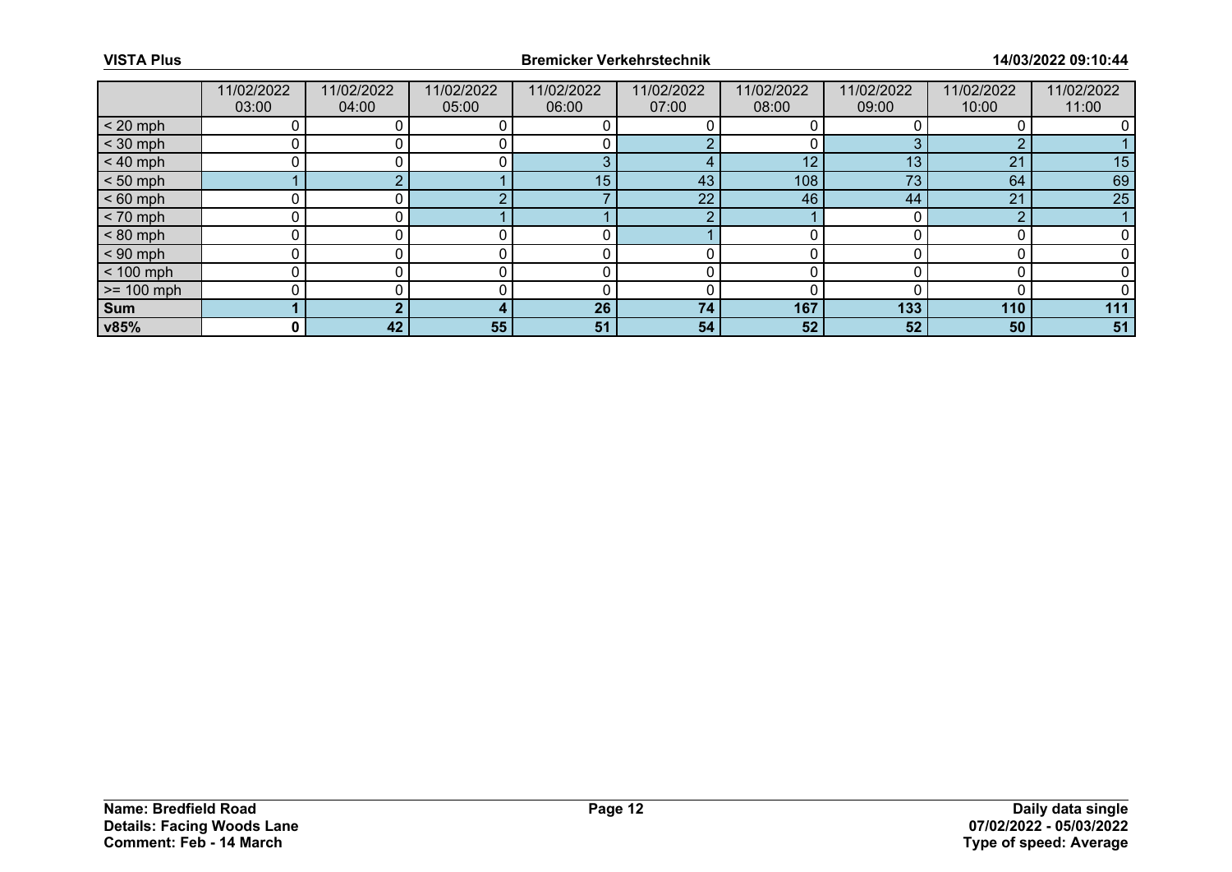|              | 11/02/2022<br>03:00 | 11/02/2022<br>04:00 | 11/02/2022<br>05:00 | 11/02/2022<br>06:00 | 11/02/2022<br>07:00 | 11/02/2022<br>08:00 | 11/02/2022<br>09:00 | 11/02/2022<br>10:00 | 11/02/2022<br>11:00 |
|--------------|---------------------|---------------------|---------------------|---------------------|---------------------|---------------------|---------------------|---------------------|---------------------|
| $< 20$ mph   |                     |                     |                     |                     |                     |                     |                     |                     |                     |
| $<$ 30 mph   |                     |                     |                     |                     |                     |                     |                     | c                   |                     |
| $< 40$ mph   |                     |                     |                     | - 2                 |                     | 12                  | 13                  | 21                  | 15                  |
| $< 50$ mph   |                     |                     |                     | 15                  | 43                  | 108                 | 73                  | 64                  | 69                  |
| $< 60$ mph   |                     |                     |                     |                     | 22                  | 46                  | 44                  | 21                  | 25                  |
| $< 70$ mph   |                     |                     |                     |                     | ∩                   |                     |                     | $\sim$              |                     |
| $< 80$ mph   |                     |                     |                     |                     |                     |                     |                     |                     |                     |
| $< 90$ mph   |                     |                     |                     |                     |                     |                     |                     |                     |                     |
| $< 100$ mph  |                     |                     |                     |                     |                     | ŋ                   |                     |                     |                     |
| $>= 100$ mph |                     |                     |                     |                     |                     |                     |                     |                     |                     |
| Sum          |                     |                     |                     | 26                  | 74                  | 167                 | 133                 | 110                 | 111                 |
| v85%         | 0                   | 42                  | 55                  | 51                  | 54                  | 52                  | 52                  | 50                  | 51                  |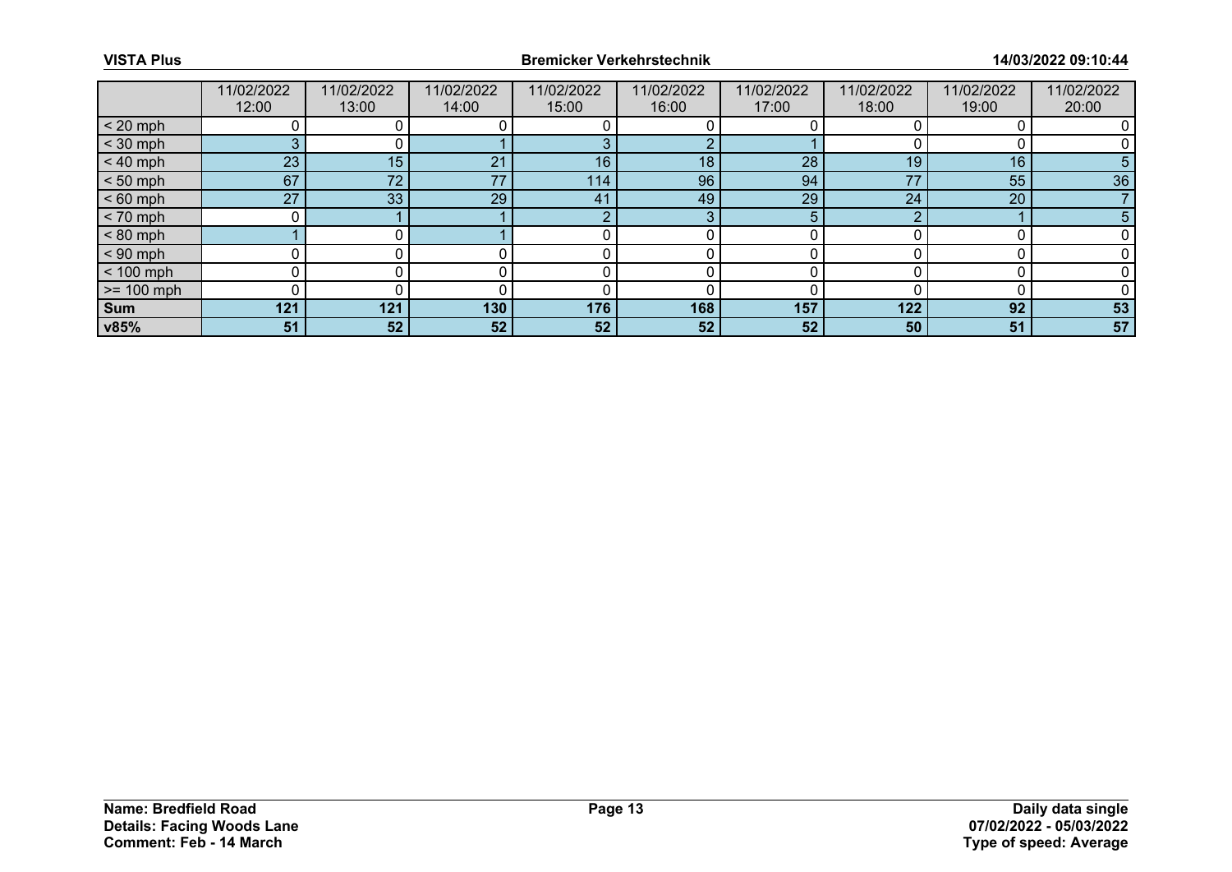|              | 11/02/2022<br>12:00 | 11/02/2022<br>13:00 | 11/02/2022<br>14:00 | 11/02/2022<br>15:00 | 11/02/2022<br>16:00 | 11/02/2022<br>17:00 | 11/02/2022<br>18:00 | 11/02/2022<br>19:00 | 11/02/2022<br>20:00 |
|--------------|---------------------|---------------------|---------------------|---------------------|---------------------|---------------------|---------------------|---------------------|---------------------|
| $< 20$ mph   |                     |                     |                     |                     |                     |                     |                     |                     |                     |
| $<$ 30 mph   | 3                   |                     |                     |                     |                     |                     |                     |                     |                     |
| $< 40$ mph   | 23                  | 15                  | 21                  | 16                  | 18                  | 28                  | 19                  | 16                  | 5.                  |
| $< 50$ mph   | 67                  | 72 <sub>2</sub>     | 77                  | 114.                | 96                  | 94                  | 77                  | 55                  | 36                  |
| $< 60$ mph   | 27                  | 33                  | 29                  | 41                  | 49                  | 29                  | 24                  | 20                  |                     |
| $< 70$ mph   | 0                   |                     |                     | $\sim$              | 3                   |                     | ◠                   |                     | 5                   |
| $< 80$ mph   |                     |                     |                     |                     |                     |                     |                     |                     |                     |
| $< 90$ mph   |                     |                     |                     |                     |                     |                     |                     |                     |                     |
| $< 100$ mph  | 0                   |                     |                     |                     |                     |                     |                     |                     |                     |
| $>= 100$ mph | 0                   |                     |                     |                     |                     |                     |                     |                     |                     |
| <b>Sum</b>   | 121                 | 121                 | 130                 | 176                 | 168                 | 157                 | 122                 | 92                  | 53                  |
| v85%         | 51                  | 52                  | 52                  | 52                  | 52 <sub>1</sub>     | 52                  | 50                  | 51                  | 57                  |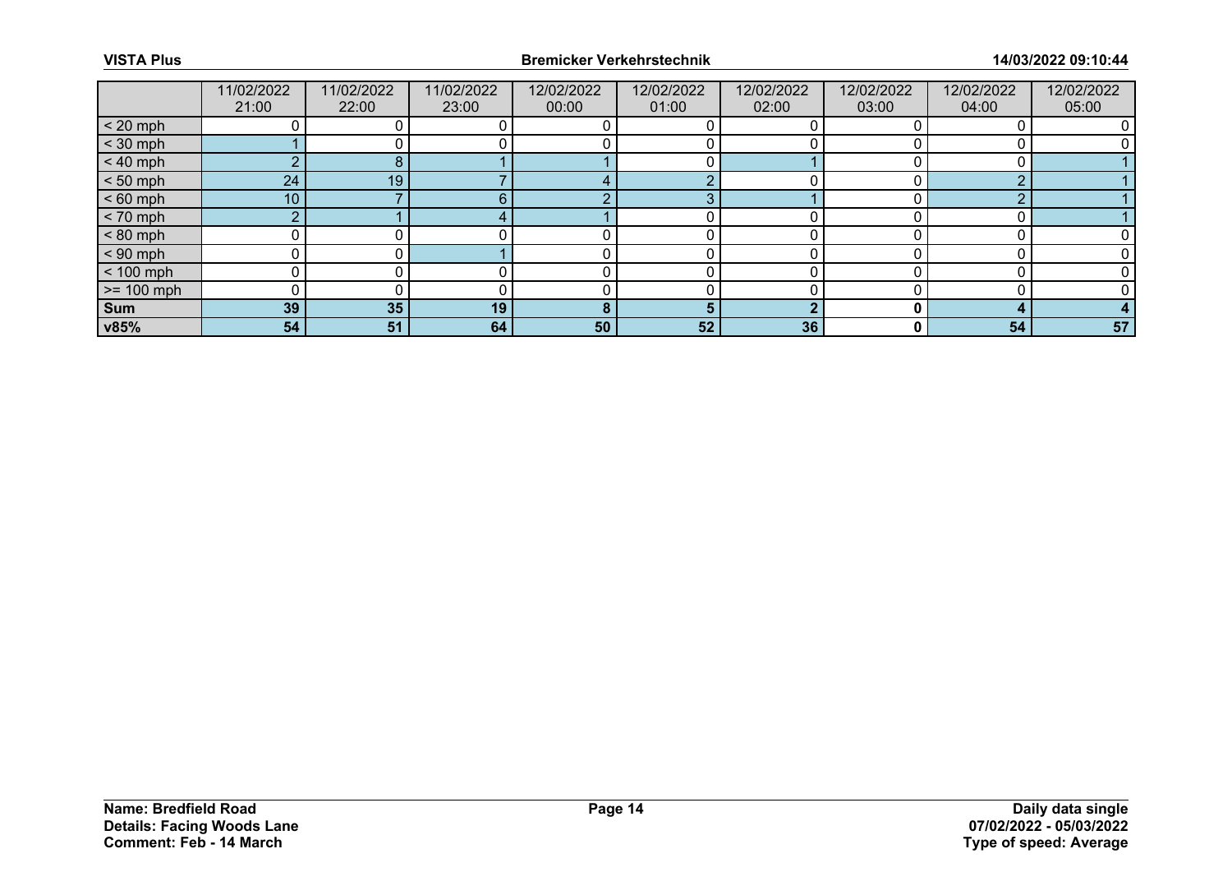|                 | 11/02/2022<br>21:00 | 11/02/2022<br>22:00 | 11/02/2022<br>23:00 | 12/02/2022<br>00:00 | 12/02/2022<br>01:00 | 12/02/2022<br>02:00 | 12/02/2022<br>03:00 | 12/02/2022<br>04:00 | 12/02/2022<br>05:00 |
|-----------------|---------------------|---------------------|---------------------|---------------------|---------------------|---------------------|---------------------|---------------------|---------------------|
| $< 20$ mph      |                     |                     |                     |                     |                     |                     |                     |                     |                     |
| $<$ 30 mph      |                     |                     |                     |                     |                     |                     |                     |                     |                     |
| $< 40$ mph      |                     |                     |                     |                     |                     |                     |                     |                     |                     |
| $< 50$ mph      | 24 <sub>1</sub>     | 19                  |                     |                     |                     |                     |                     | ⌒                   |                     |
| $< 60$ mph      | 10                  |                     | ค                   |                     | З                   |                     |                     | ⌒                   |                     |
| $< 70$ mph      | $\overline{2}$      |                     |                     |                     |                     |                     |                     |                     |                     |
| $< 80$ mph      |                     |                     |                     |                     |                     |                     |                     |                     |                     |
| $< 90$ mph      | 0                   |                     |                     |                     |                     |                     |                     |                     |                     |
| $< 100$ mph     | 0                   |                     |                     |                     |                     |                     |                     |                     |                     |
| $\ge$ = 100 mph |                     |                     |                     |                     |                     |                     |                     |                     |                     |
| Sum             | 39                  | 35                  | 19                  | 8                   | 5                   |                     |                     |                     |                     |
| v85%            | 54 <sub>1</sub>     | 51                  | 64                  | 50                  | 52 <sub>2</sub>     | 36                  |                     | 54                  | 57                  |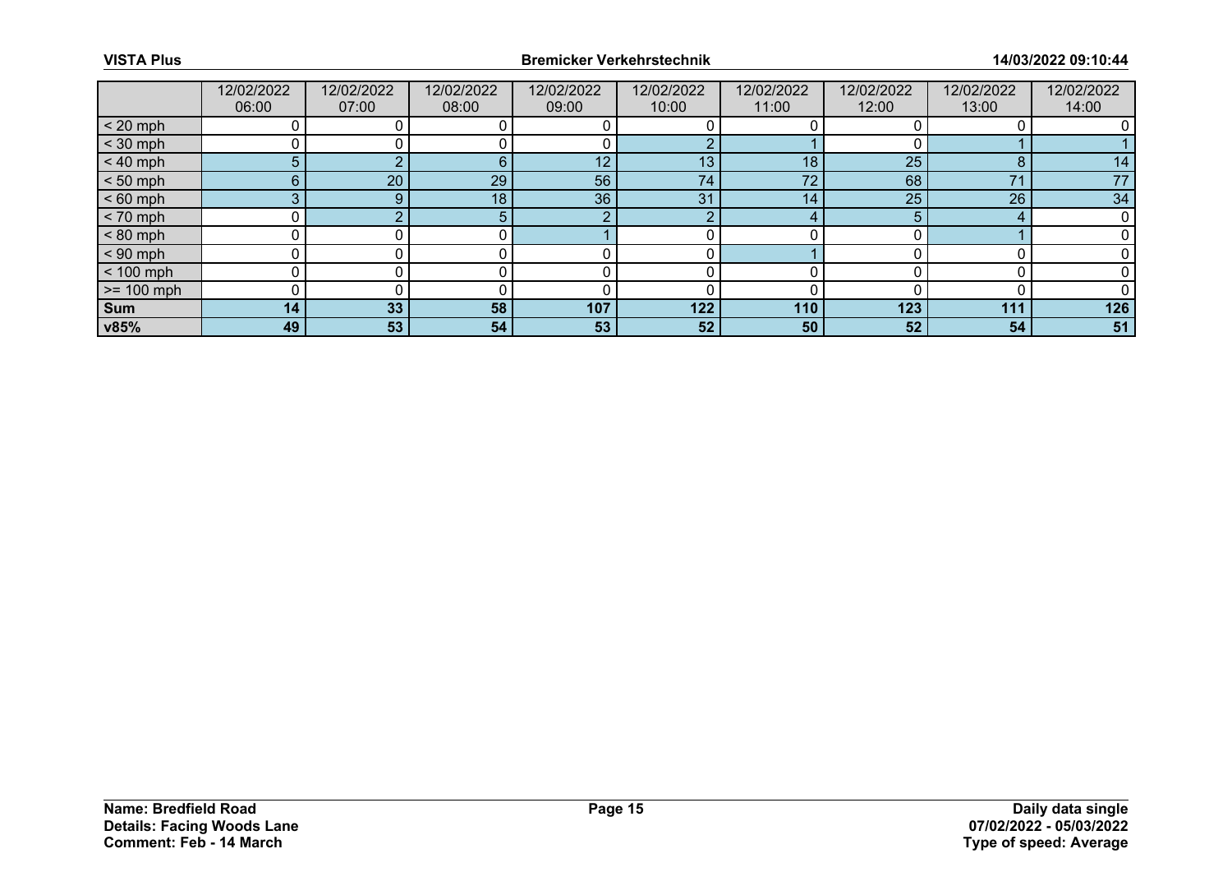|              | 12/02/2022<br>06:00 | 12/02/2022<br>07:00 | 12/02/2022<br>08:00 | 12/02/2022<br>09:00 | 12/02/2022<br>10:00 | 12/02/2022<br>11:00 | 12/02/2022<br>12:00 | 12/02/2022<br>13:00 | 12/02/2022<br>14:00 |
|--------------|---------------------|---------------------|---------------------|---------------------|---------------------|---------------------|---------------------|---------------------|---------------------|
| $< 20$ mph   |                     |                     |                     |                     |                     |                     |                     |                     |                     |
| $<$ 30 mph   |                     |                     |                     |                     | C.                  |                     |                     |                     |                     |
| $< 40$ mph   | 5                   |                     | 6                   | 12                  | 13                  | 18                  | 25                  | $\circ$             | 14                  |
| $< 50$ mph   | $6^{\circ}$         | 20                  | 29                  | 56                  | 74                  | 72                  | 68                  | 71                  | 77                  |
| $< 60$ mph   | 3                   |                     | 18                  | 36                  | 31                  | 14                  | 25                  | 26                  | 34                  |
| $< 70$ mph   |                     |                     |                     | C                   | $\sim$              | 4                   |                     | 4                   |                     |
| $< 80$ mph   |                     |                     |                     |                     |                     |                     |                     |                     |                     |
| $< 90$ mph   |                     |                     |                     |                     |                     |                     |                     |                     |                     |
| $< 100$ mph  | ∩                   |                     |                     |                     |                     |                     |                     |                     |                     |
| $>= 100$ mph |                     |                     |                     |                     |                     |                     |                     |                     |                     |
| Sum          | 14                  | 33                  | 58                  | 107                 | 122                 | 110                 | 123                 | 111                 | 126                 |
| v85%         | 49                  | 53                  | 54                  | 53                  | 52 <sub>2</sub>     | 50                  | 52                  | 54                  | 51                  |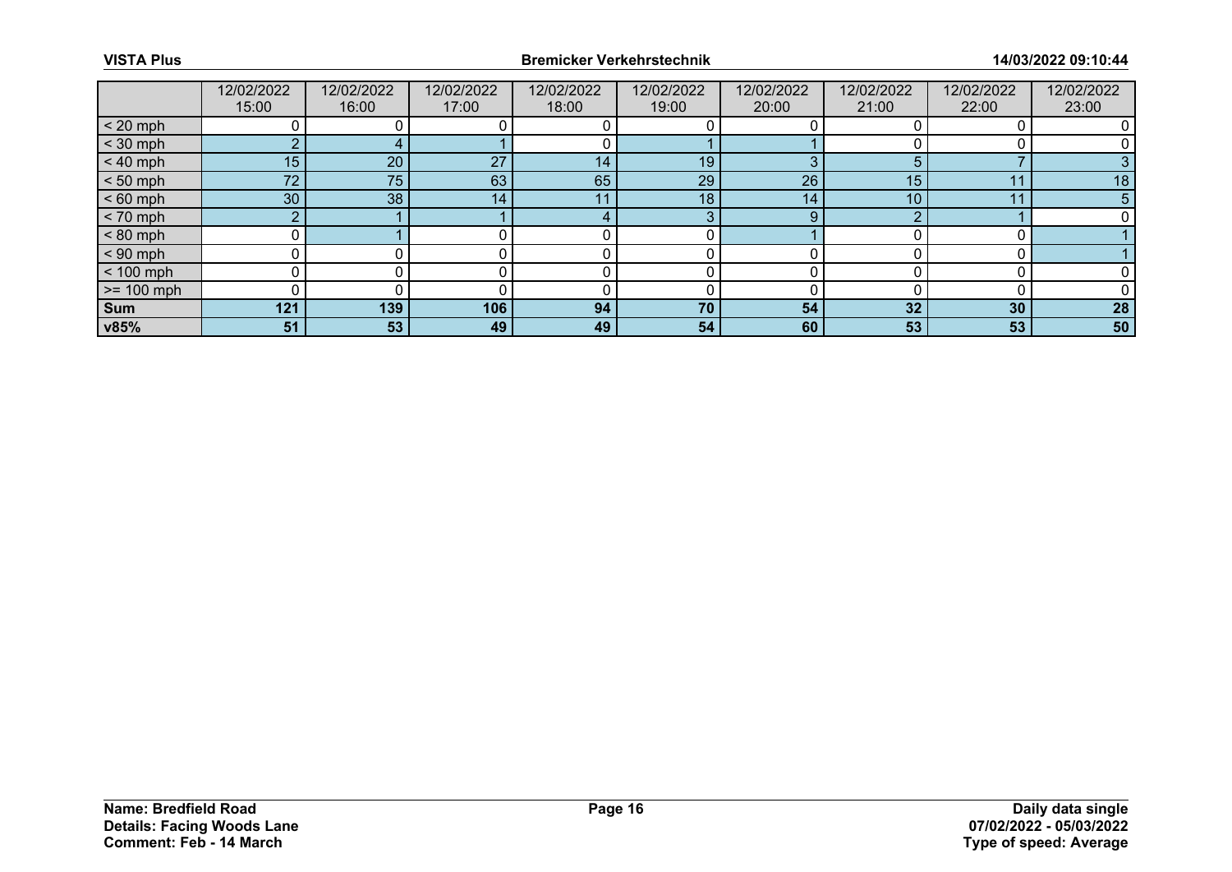|              | 12/02/2022<br>15:00 | 12/02/2022<br>16:00 | 12/02/2022<br>17:00 | 12/02/2022<br>18:00 | 12/02/2022<br>19:00 | 12/02/2022<br>20:00 | 12/02/2022<br>21:00 | 12/02/2022<br>22:00 | 12/02/2022<br>23:00 |
|--------------|---------------------|---------------------|---------------------|---------------------|---------------------|---------------------|---------------------|---------------------|---------------------|
| $< 20$ mph   |                     |                     |                     |                     |                     |                     |                     |                     |                     |
| $<$ 30 mph   | ◠                   |                     |                     |                     |                     |                     |                     |                     |                     |
| $< 40$ mph   | 15                  | 20                  | 27                  | 14                  | 19                  | $\sim$              | 5                   |                     |                     |
| $< 50$ mph   | 72                  | 75                  | 63                  | 65                  | 29                  | 26                  | 15                  | 44                  | 18                  |
| $< 60$ mph   | 30                  | 38                  | 14 <sub>1</sub>     | -1-1                | 18                  | 14                  | 10                  | 11                  | 5                   |
| $< 70$ mph   | ◠                   |                     |                     |                     | 3                   | 9                   | ◠                   |                     |                     |
| $< 80$ mph   |                     |                     |                     |                     |                     |                     |                     |                     |                     |
| $< 90$ mph   |                     |                     |                     |                     |                     |                     |                     |                     |                     |
| $< 100$ mph  | 0                   |                     |                     |                     |                     |                     |                     |                     |                     |
| $>= 100$ mph |                     |                     |                     |                     |                     |                     |                     |                     |                     |
| <b>Sum</b>   | 121                 | 139                 | 106                 | 94                  | 70                  | 54                  | 32                  | 30                  | 28                  |
| v85%         | 51                  | 53                  | 49                  | 49                  | 54                  | 60                  | 53                  | 53                  | 50                  |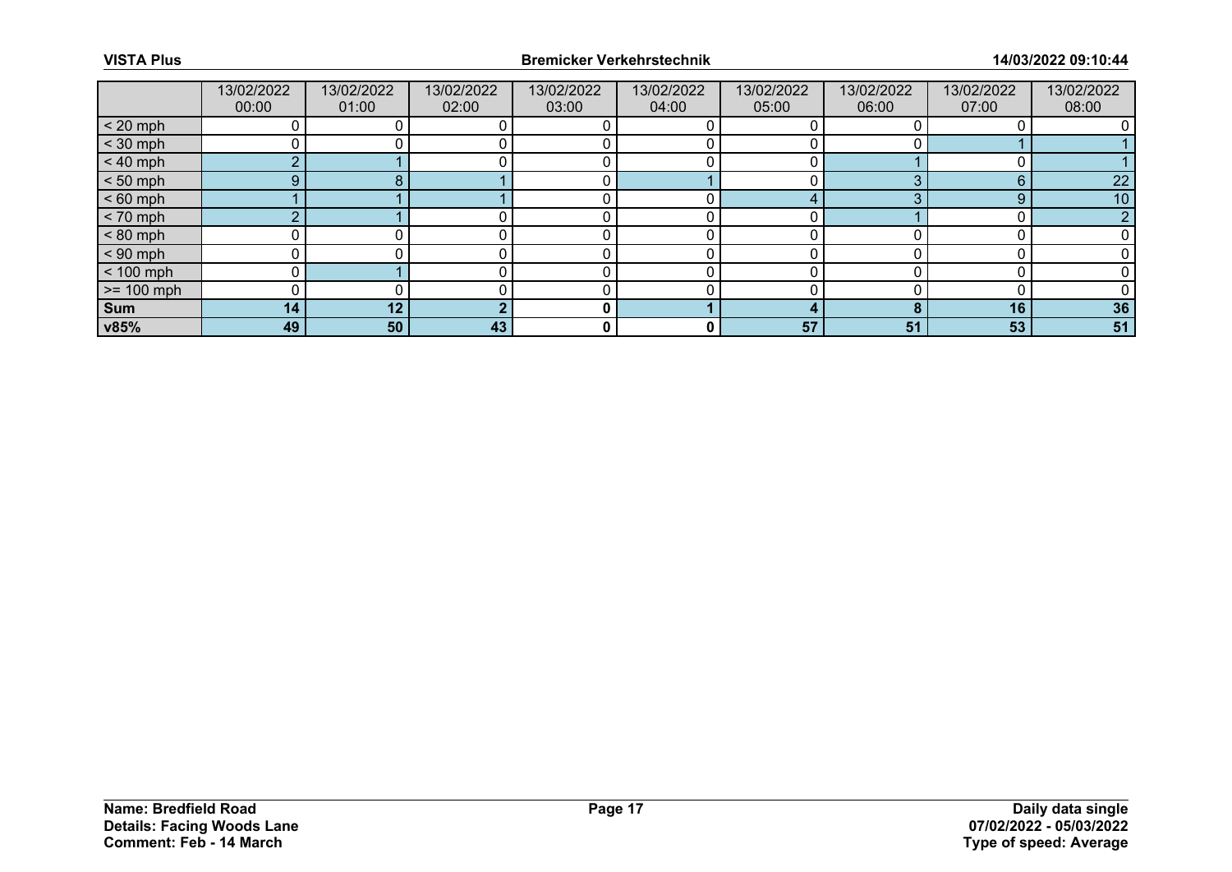|              | 13/02/2022<br>00:00 | 13/02/2022<br>01:00 | 13/02/2022<br>02:00 | 13/02/2022<br>03:00 | 13/02/2022<br>04:00 | 13/02/2022<br>05:00 | 13/02/2022<br>06:00 | 13/02/2022<br>07:00 | 13/02/2022<br>08:00 |
|--------------|---------------------|---------------------|---------------------|---------------------|---------------------|---------------------|---------------------|---------------------|---------------------|
| $< 20$ mph   |                     |                     |                     |                     |                     |                     |                     |                     |                     |
| $<$ 30 mph   |                     |                     |                     |                     |                     |                     |                     |                     |                     |
| $< 40$ mph   | $\sim$              |                     |                     |                     |                     |                     |                     |                     |                     |
| $< 50$ mph   | 9.                  |                     |                     |                     |                     |                     |                     | հ                   | 22                  |
| $< 60$ mph   |                     |                     |                     |                     |                     |                     |                     | 9                   | 10                  |
| $< 70$ mph   | $\sim$              |                     |                     |                     |                     |                     |                     |                     |                     |
| $< 80$ mph   |                     |                     |                     |                     |                     |                     |                     |                     |                     |
| $< 90$ mph   |                     |                     |                     |                     |                     |                     |                     |                     |                     |
| $< 100$ mph  |                     |                     |                     |                     |                     |                     |                     |                     |                     |
| $>= 100$ mph |                     |                     |                     |                     |                     |                     |                     |                     |                     |
| <b>Sum</b>   | 14                  | 12                  |                     | 0                   |                     |                     |                     | 16                  | 36                  |
| v85%         | 49                  | 50                  | 43                  | 0                   | 0                   | 57                  | 51                  | 53                  | 51                  |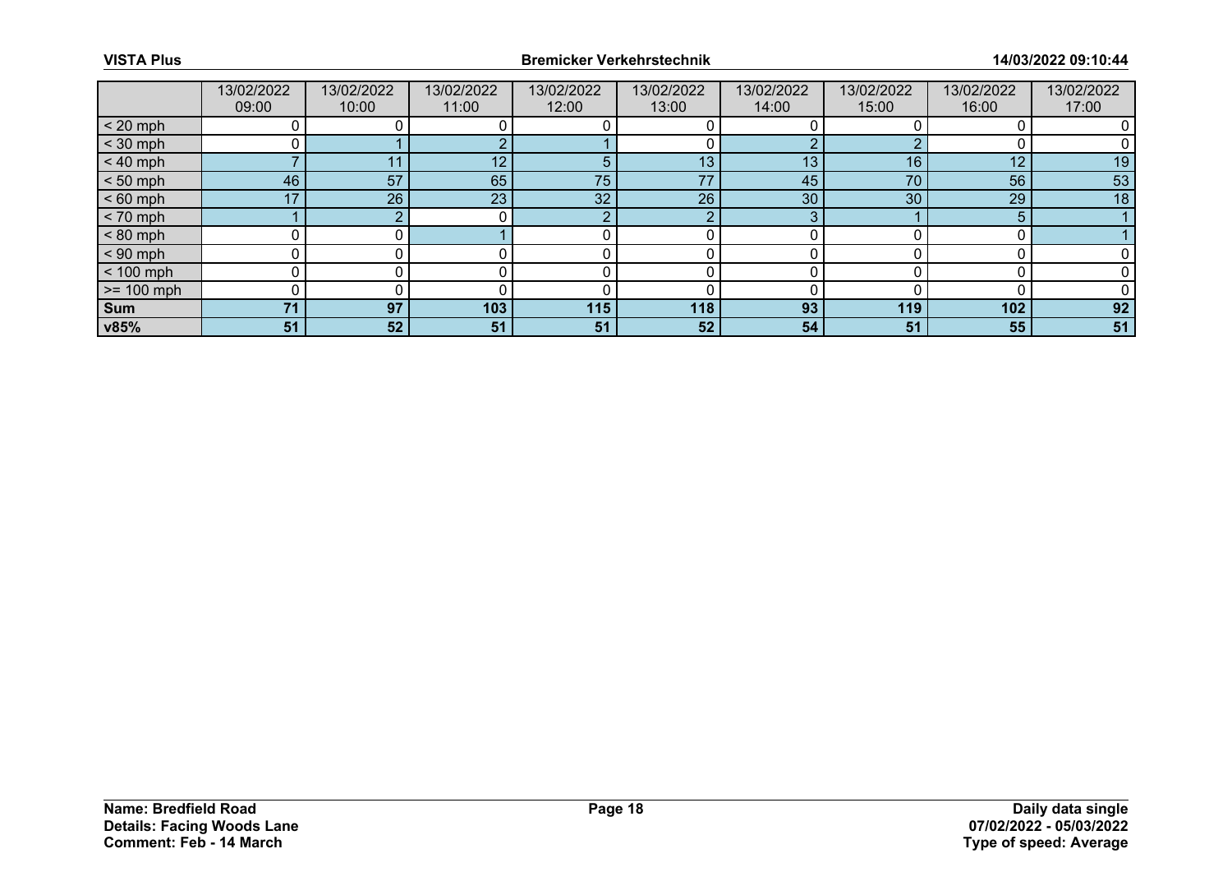|              | 13/02/2022<br>09:00 | 13/02/2022<br>10:00 | 13/02/2022<br>11:00 | 13/02/2022<br>12:00 | 13/02/2022<br>13:00 | 13/02/2022<br>14:00 | 13/02/2022<br>15:00 | 13/02/2022<br>16:00 | 13/02/2022<br>17:00 |
|--------------|---------------------|---------------------|---------------------|---------------------|---------------------|---------------------|---------------------|---------------------|---------------------|
| $< 20$ mph   |                     |                     |                     |                     |                     |                     |                     |                     |                     |
| $<$ 30 mph   |                     |                     |                     |                     |                     |                     |                     |                     |                     |
| $< 40$ mph   |                     | 11                  | 12 <sup>°</sup>     |                     | 13 <sub>1</sub>     | 13                  | 16                  | 12                  | 19                  |
| $< 50$ mph   | 46                  | 57                  | 65                  | 75                  | 77                  | 45                  | 70                  | 56                  | 53                  |
| $< 60$ mph   | 17                  | 26                  | 23 <sup>°</sup>     | 32                  | 26                  | 30                  | 30                  | 29                  | 18                  |
| $< 70$ mph   |                     |                     |                     | $\sim$              | ◠                   | $\sim$              |                     | 5                   |                     |
| $< 80$ mph   |                     |                     |                     |                     |                     |                     |                     |                     |                     |
| $< 90$ mph   |                     |                     |                     |                     |                     |                     |                     |                     |                     |
| $< 100$ mph  | 0                   |                     |                     |                     |                     |                     |                     |                     |                     |
| $>= 100$ mph |                     |                     |                     |                     |                     |                     |                     |                     |                     |
| Sum          | 71                  | 97                  | 103                 | 115                 | 118                 | 93                  | 119                 | 102                 | 92                  |
| v85%         | 51                  | 52                  | 51                  | 51                  | 52 <sub>1</sub>     | 54                  | 51                  | 55                  | 51                  |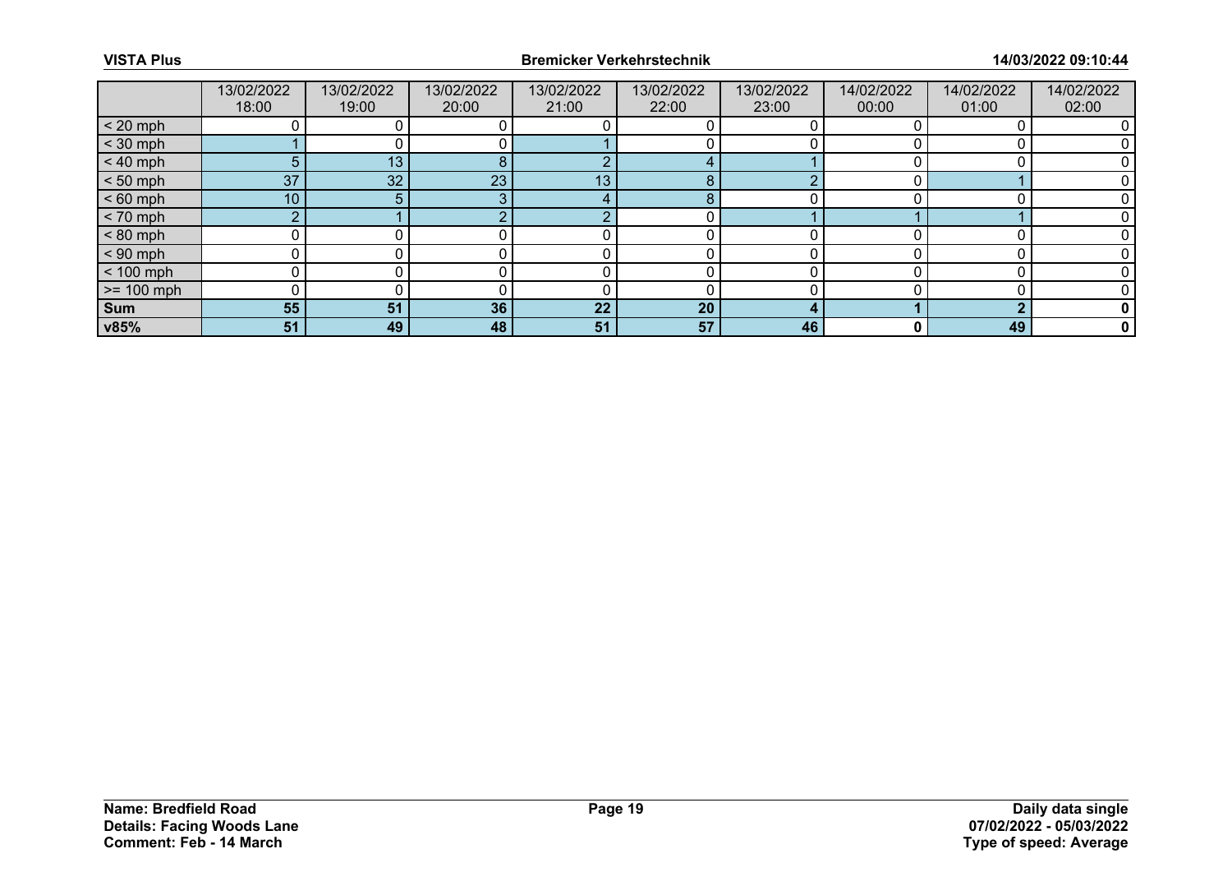|              | 13/02/2022<br>18:00 | 13/02/2022<br>19:00 | 13/02/2022<br>20:00 | 13/02/2022<br>21:00 | 13/02/2022<br>22:00 | 13/02/2022<br>23:00 | 14/02/2022<br>00:00 | 14/02/2022<br>01:00 | 14/02/2022<br>02:00 |
|--------------|---------------------|---------------------|---------------------|---------------------|---------------------|---------------------|---------------------|---------------------|---------------------|
| $< 20$ mph   |                     |                     |                     |                     |                     |                     |                     |                     |                     |
| $<$ 30 mph   |                     |                     |                     |                     |                     |                     |                     |                     |                     |
| $< 40$ mph   | 5                   | 13                  | 8                   | $\sqrt{2}$          |                     |                     |                     |                     |                     |
| $< 50$ mph   | 37                  | 32                  | 23                  | 13                  | 8                   |                     |                     |                     |                     |
| $< 60$ mph   | 10 <sup>°</sup>     | 5.                  |                     |                     | 8                   |                     |                     |                     |                     |
| $< 70$ mph   | $\sim$              |                     |                     | $\sqrt{2}$          |                     |                     |                     |                     |                     |
| $< 80$ mph   |                     |                     |                     |                     |                     |                     |                     |                     |                     |
| $< 90$ mph   |                     |                     |                     |                     |                     |                     |                     |                     |                     |
| $< 100$ mph  |                     |                     |                     |                     |                     |                     |                     |                     |                     |
| $>= 100$ mph |                     |                     |                     |                     |                     |                     |                     |                     |                     |
| <b>Sum</b>   | 55                  | 51                  | 36                  | 22                  | 20                  |                     |                     |                     |                     |
| v85%         | 51                  | 49                  | 48                  | 51                  | 57                  | 46                  | 0                   | 49                  | 0                   |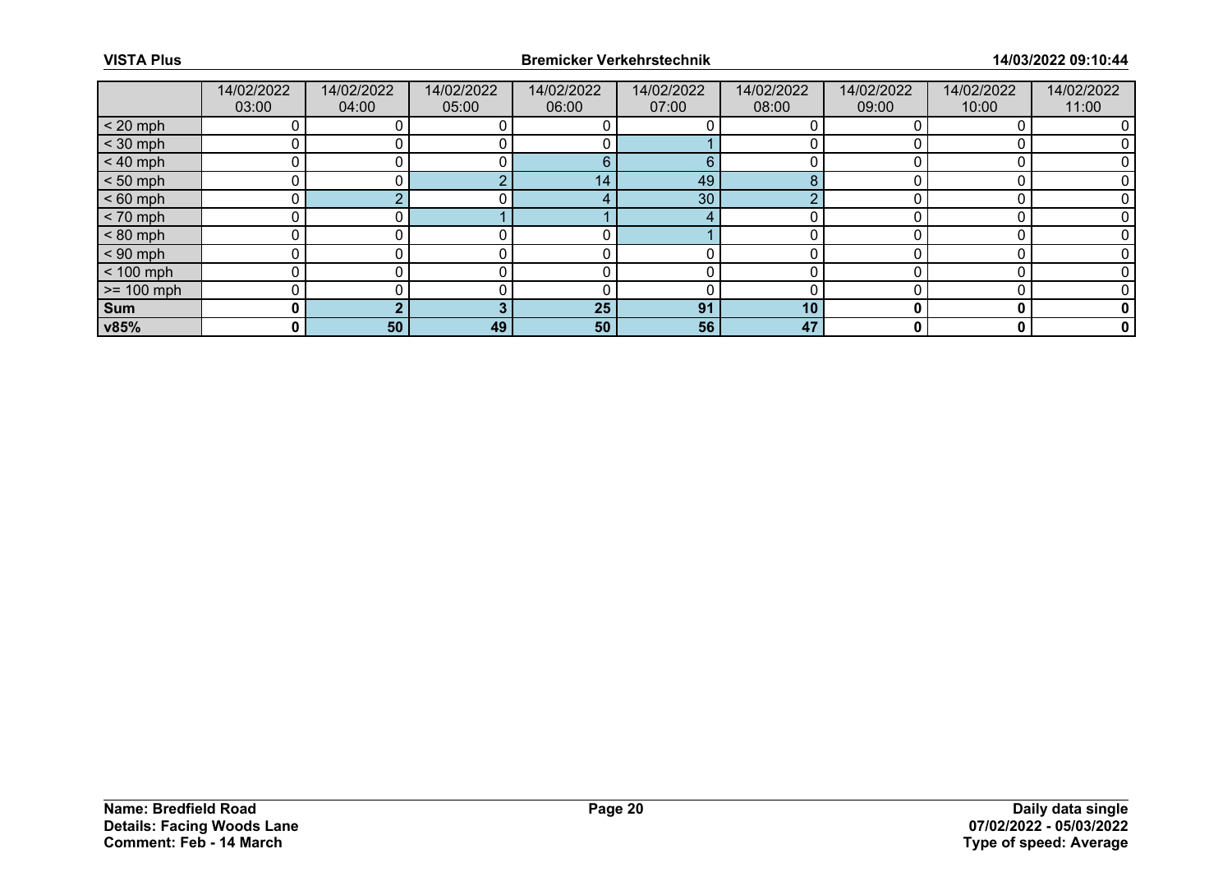|              | 14/02/2022<br>03:00 | 14/02/2022<br>04:00 | 14/02/2022<br>05:00 | 14/02/2022<br>06:00 | 14/02/2022<br>07:00 | 14/02/2022<br>08:00 | 14/02/2022<br>09:00 | 14/02/2022<br>10:00 | 14/02/2022<br>11:00 |
|--------------|---------------------|---------------------|---------------------|---------------------|---------------------|---------------------|---------------------|---------------------|---------------------|
| $< 20$ mph   |                     |                     |                     |                     |                     |                     |                     |                     |                     |
| $<$ 30 mph   |                     |                     |                     |                     |                     |                     |                     |                     |                     |
| $< 40$ mph   | 0                   |                     |                     | 6                   | 6                   |                     |                     |                     |                     |
| $< 50$ mph   |                     |                     |                     | $\sqrt{14}$         | 49                  |                     |                     |                     |                     |
| $< 60$ mph   |                     |                     |                     |                     | 30 <sup>°</sup>     |                     |                     |                     |                     |
| $< 70$ mph   | 0                   |                     |                     |                     |                     |                     |                     |                     |                     |
| $< 80$ mph   |                     |                     |                     |                     |                     |                     |                     |                     |                     |
| $< 90$ mph   |                     |                     |                     |                     |                     |                     |                     |                     |                     |
| $< 100$ mph  | n                   |                     |                     |                     |                     |                     |                     |                     |                     |
| $>= 100$ mph |                     |                     |                     |                     |                     |                     |                     |                     |                     |
| Sum          | 0                   |                     |                     | 25                  | 91                  | 10                  |                     |                     |                     |
| v85%         | 0                   | 50                  | 49                  | 50                  | 56                  | 47                  |                     | 0                   | 0                   |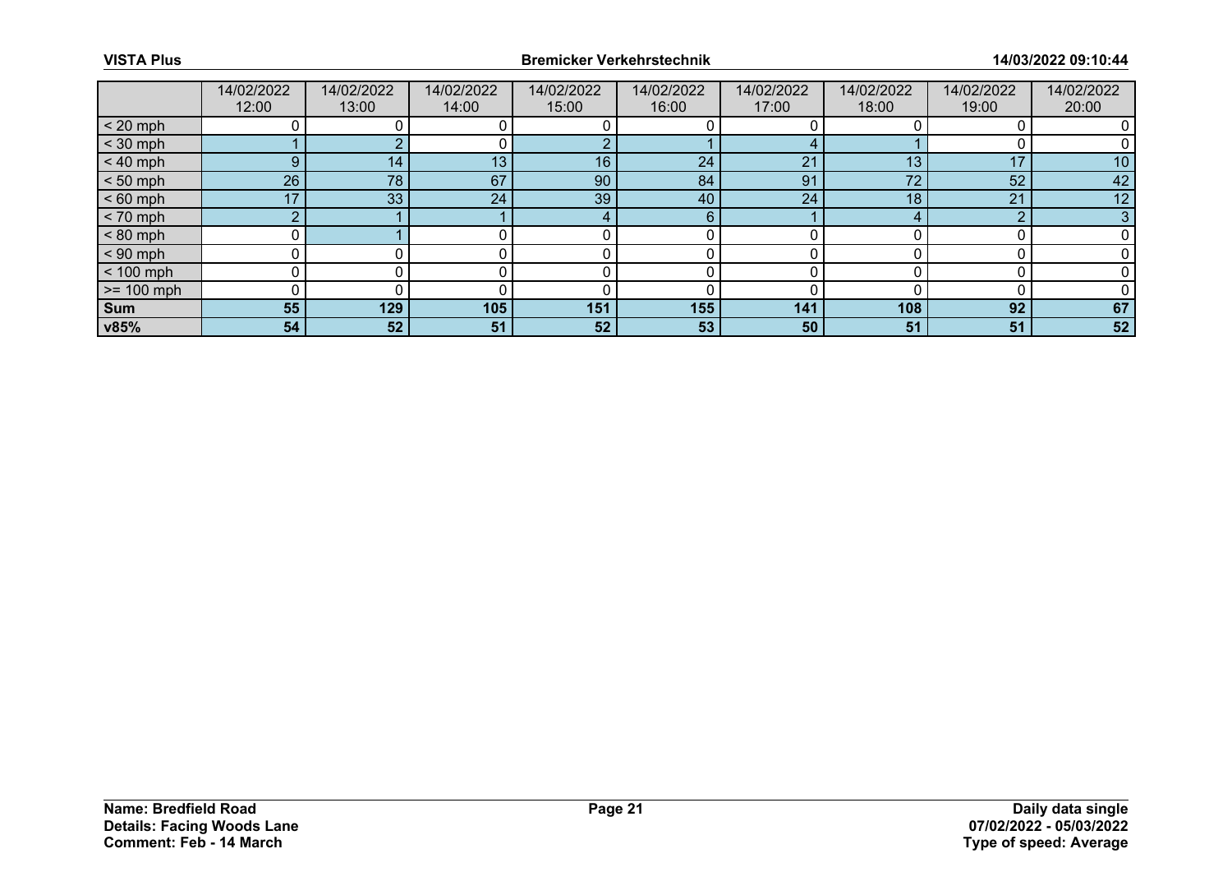|              | 14/02/2022<br>12:00 | 14/02/2022<br>13:00 | 14/02/2022<br>14:00 | 14/02/2022<br>15:00 | 14/02/2022<br>16:00 | 14/02/2022<br>17:00 | 14/02/2022<br>18:00 | 14/02/2022<br>19:00 | 14/02/2022<br>20:00 |
|--------------|---------------------|---------------------|---------------------|---------------------|---------------------|---------------------|---------------------|---------------------|---------------------|
| $< 20$ mph   |                     |                     |                     |                     |                     |                     |                     |                     |                     |
| $<$ 30 mph   |                     |                     |                     |                     |                     |                     |                     |                     |                     |
| $< 40$ mph   | 9                   | 14                  | 13                  | 16                  | 24                  | 21                  | 13                  | 17                  | 10                  |
| $< 50$ mph   | 26                  | 78                  | 67                  | 90                  | 84                  | 91                  | 72                  | 52                  | 42                  |
| $< 60$ mph   | 17                  | 33                  | 24                  | 39                  | 40                  | 24                  | 18                  | 21                  | 12                  |
| $< 70$ mph   | $\Omega$            |                     |                     | $\overline{4}$      | 6                   |                     |                     | $\Omega$            | 3                   |
| $< 80$ mph   |                     |                     |                     |                     |                     |                     |                     |                     |                     |
| $< 90$ mph   |                     |                     |                     |                     |                     |                     |                     |                     |                     |
| $< 100$ mph  | 0                   |                     |                     |                     |                     |                     |                     |                     |                     |
| $>= 100$ mph |                     |                     |                     |                     |                     |                     |                     |                     |                     |
| Sum          | 55                  | 129                 | 105                 | 151                 | 155                 | 141                 | 108                 | 92                  | 67                  |
| v85%         | 54                  | 52                  | 51                  | 52                  | 53                  | 50                  | 51                  | 51                  | 52                  |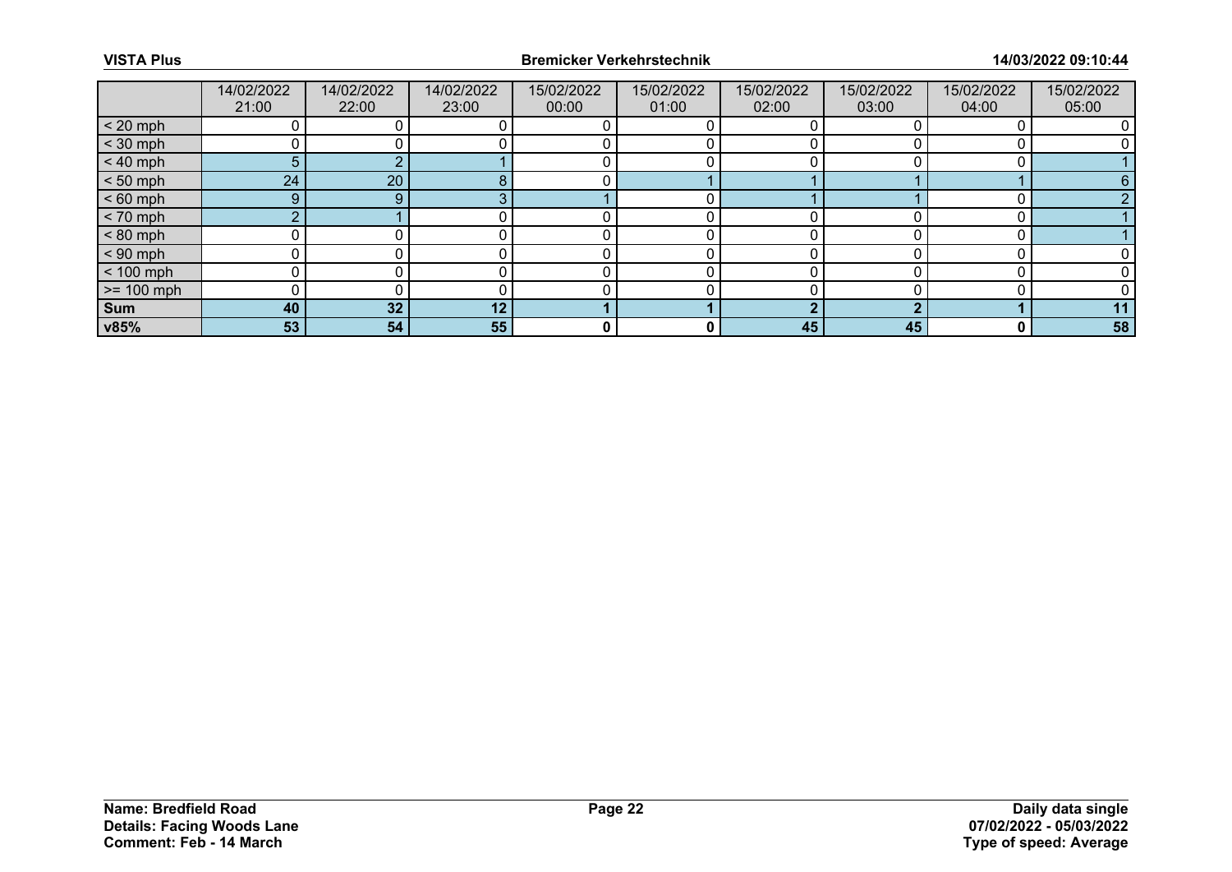|              | 14/02/2022<br>21:00 | 14/02/2022<br>22:00 | 14/02/2022<br>23:00 | 15/02/2022<br>00:00 | 15/02/2022<br>01:00 | 15/02/2022<br>02:00 | 15/02/2022<br>03:00 | 15/02/2022<br>04:00 | 15/02/2022<br>05:00 |
|--------------|---------------------|---------------------|---------------------|---------------------|---------------------|---------------------|---------------------|---------------------|---------------------|
| $< 20$ mph   |                     |                     |                     |                     |                     |                     |                     |                     |                     |
| $<$ 30 mph   |                     |                     |                     |                     |                     |                     |                     |                     |                     |
| $< 40$ mph   | 5                   |                     |                     |                     |                     |                     |                     |                     |                     |
| $< 50$ mph   | 24                  | 20                  |                     |                     |                     |                     |                     |                     | 6                   |
| $< 60$ mph   | 9                   | 9                   |                     |                     |                     |                     |                     |                     |                     |
| $< 70$ mph   | $\sim$              |                     |                     |                     |                     |                     |                     |                     |                     |
| $< 80$ mph   |                     |                     |                     |                     |                     |                     |                     |                     |                     |
| $< 90$ mph   |                     |                     |                     |                     |                     |                     |                     |                     |                     |
| $< 100$ mph  |                     |                     |                     |                     |                     |                     |                     |                     |                     |
| $>= 100$ mph |                     |                     |                     |                     |                     |                     |                     |                     |                     |
| <b>Sum</b>   | 40                  | 32                  | 12 <sub>1</sub>     |                     |                     |                     |                     |                     | 11                  |
| v85%         | 53                  | 54                  | 55                  | 0                   | 0                   | 45                  | 45                  | 0                   | 58                  |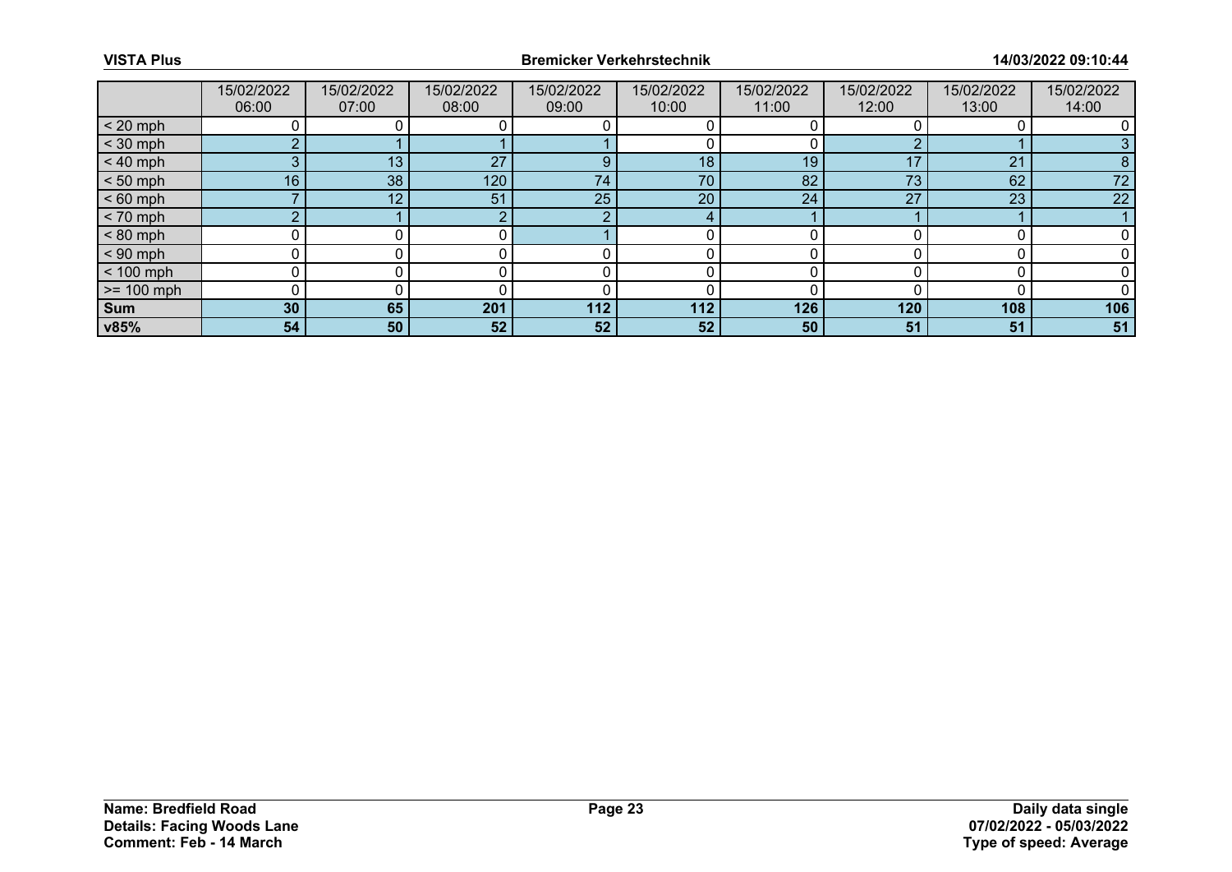|              | 15/02/2022<br>06:00 | 15/02/2022<br>07:00 | 15/02/2022<br>08:00 | 15/02/2022<br>09:00 | 15/02/2022<br>10:00 | 15/02/2022<br>11:00 | 15/02/2022<br>12:00 | 15/02/2022<br>13:00 | 15/02/2022<br>14:00 |
|--------------|---------------------|---------------------|---------------------|---------------------|---------------------|---------------------|---------------------|---------------------|---------------------|
| $< 20$ mph   |                     |                     |                     |                     |                     |                     |                     |                     |                     |
| $<$ 30 mph   | ◠                   |                     |                     |                     |                     |                     |                     |                     |                     |
| $< 40$ mph   | 3                   | 13                  | 27                  | 9                   | 18                  | 19                  | 17                  | 21                  | 8                   |
| $< 50$ mph   | 16                  | 38                  | 120                 | 74                  | 70                  | 82                  | 73                  | 62                  | 72                  |
| $< 60$ mph   |                     | 12                  | 51                  | 25                  | 20                  | 24                  | 27                  | 23                  | 22                  |
| $< 70$ mph   | $\Omega$            |                     |                     |                     |                     |                     |                     |                     |                     |
| $< 80$ mph   |                     |                     |                     |                     |                     |                     |                     |                     |                     |
| $< 90$ mph   |                     |                     |                     |                     |                     |                     |                     |                     |                     |
| $< 100$ mph  | 0                   |                     |                     |                     |                     |                     |                     |                     |                     |
| $>= 100$ mph |                     |                     |                     |                     |                     |                     |                     |                     |                     |
| <b>Sum</b>   | 30                  | 65                  | 201                 | 112                 | 112                 | 126                 | 120                 | 108                 | 106                 |
| v85%         | 54                  | 50                  | 52                  | 52                  | 52 <sub>1</sub>     | 50                  | 51                  | 51                  | 51                  |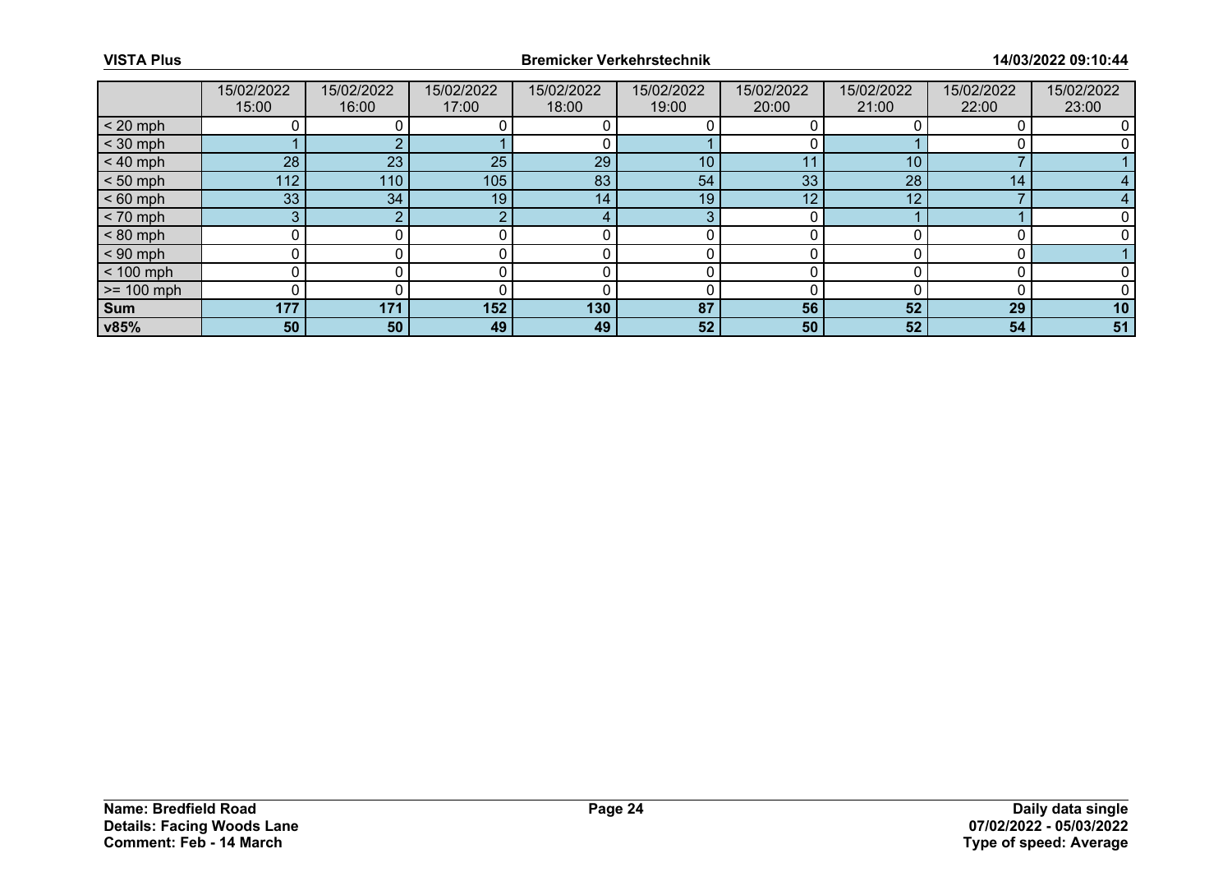|              | 15/02/2022<br>15:00 | 15/02/2022<br>16:00 | 15/02/2022<br>17:00 | 15/02/2022<br>18:00 | 15/02/2022<br>19:00 | 15/02/2022<br>20:00 | 15/02/2022<br>21:00 | 15/02/2022<br>22:00 | 15/02/2022<br>23:00 |
|--------------|---------------------|---------------------|---------------------|---------------------|---------------------|---------------------|---------------------|---------------------|---------------------|
| $< 20$ mph   |                     |                     |                     |                     |                     |                     |                     |                     |                     |
| $<$ 30 mph   |                     |                     |                     |                     |                     |                     |                     |                     |                     |
| $< 40$ mph   | 28                  | 23                  | 25                  | 29                  | 10                  | 11                  | 10                  |                     |                     |
| $< 50$ mph   | 112                 | 110                 | 105                 | 83                  | 54                  | 33                  | 28                  | 14                  |                     |
| $< 60$ mph   | 33                  | 34                  | 19                  | 14                  | 19                  | 12                  | 12                  |                     |                     |
| $< 70$ mph   | 3.                  |                     | $\sim$              | 4                   | 3                   |                     |                     |                     |                     |
| $< 80$ mph   |                     |                     |                     |                     |                     |                     |                     |                     |                     |
| $< 90$ mph   |                     |                     |                     |                     |                     |                     |                     |                     |                     |
| $< 100$ mph  | U                   |                     |                     |                     |                     |                     |                     |                     |                     |
| $>= 100$ mph |                     |                     |                     |                     |                     |                     |                     |                     |                     |
| Sum          | 177                 | 171                 | 152                 | 130                 | 87                  | 56                  | 52                  | 29                  | 10                  |
| v85%         | 50                  | 50                  | 49                  | 49                  | 52 <sub>2</sub>     | 50                  | 52                  | 54                  | 51                  |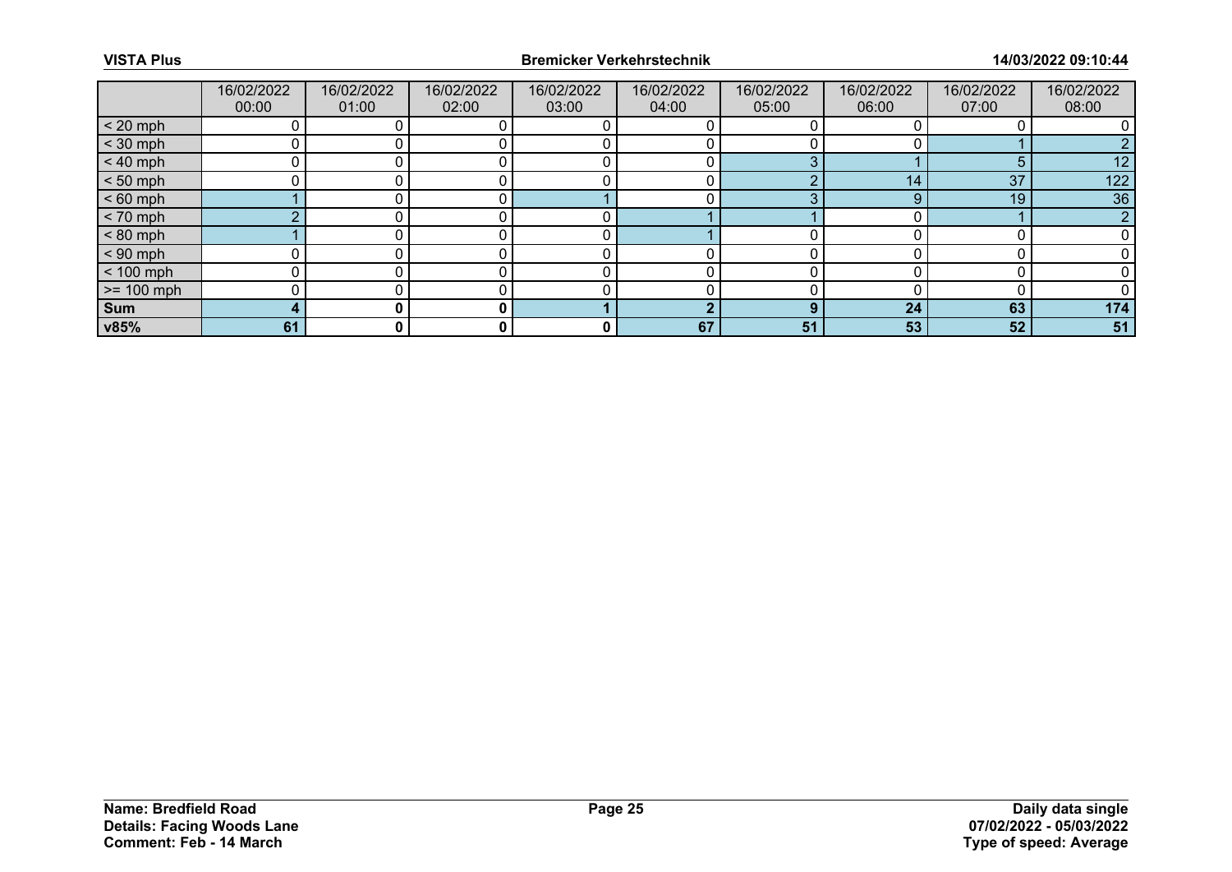|              | 16/02/2022<br>00:00 | 16/02/2022<br>01:00 | 16/02/2022<br>02:00 | 16/02/2022<br>03:00 | 16/02/2022<br>04:00 | 16/02/2022<br>05:00 | 16/02/2022<br>06:00 | 16/02/2022<br>07:00 | 16/02/2022<br>08:00 |
|--------------|---------------------|---------------------|---------------------|---------------------|---------------------|---------------------|---------------------|---------------------|---------------------|
| $< 20$ mph   |                     |                     |                     |                     |                     |                     |                     |                     |                     |
| $<$ 30 mph   |                     |                     |                     |                     |                     |                     |                     |                     |                     |
| $< 40$ mph   |                     |                     |                     |                     |                     |                     |                     |                     | 12                  |
| $< 50$ mph   |                     |                     |                     |                     |                     |                     | 14                  | 37                  | 122                 |
| $< 60$ mph   |                     |                     |                     |                     |                     |                     | 9                   | 19                  | 36                  |
| $< 70$ mph   | $\sim$              |                     |                     |                     |                     |                     |                     |                     | $\Omega$            |
| $< 80$ mph   |                     |                     |                     |                     |                     |                     |                     |                     |                     |
| $< 90$ mph   |                     |                     |                     |                     |                     |                     |                     |                     |                     |
| $< 100$ mph  | n                   |                     |                     |                     |                     |                     |                     |                     |                     |
| $>= 100$ mph |                     |                     |                     |                     |                     |                     |                     |                     |                     |
| Sum          | 4                   |                     |                     |                     | ш                   | n                   | 24                  | 63                  | 174                 |
| v85%         | 61                  | 0                   |                     | 0                   | 67                  | 51                  | 53                  | 52                  | 51                  |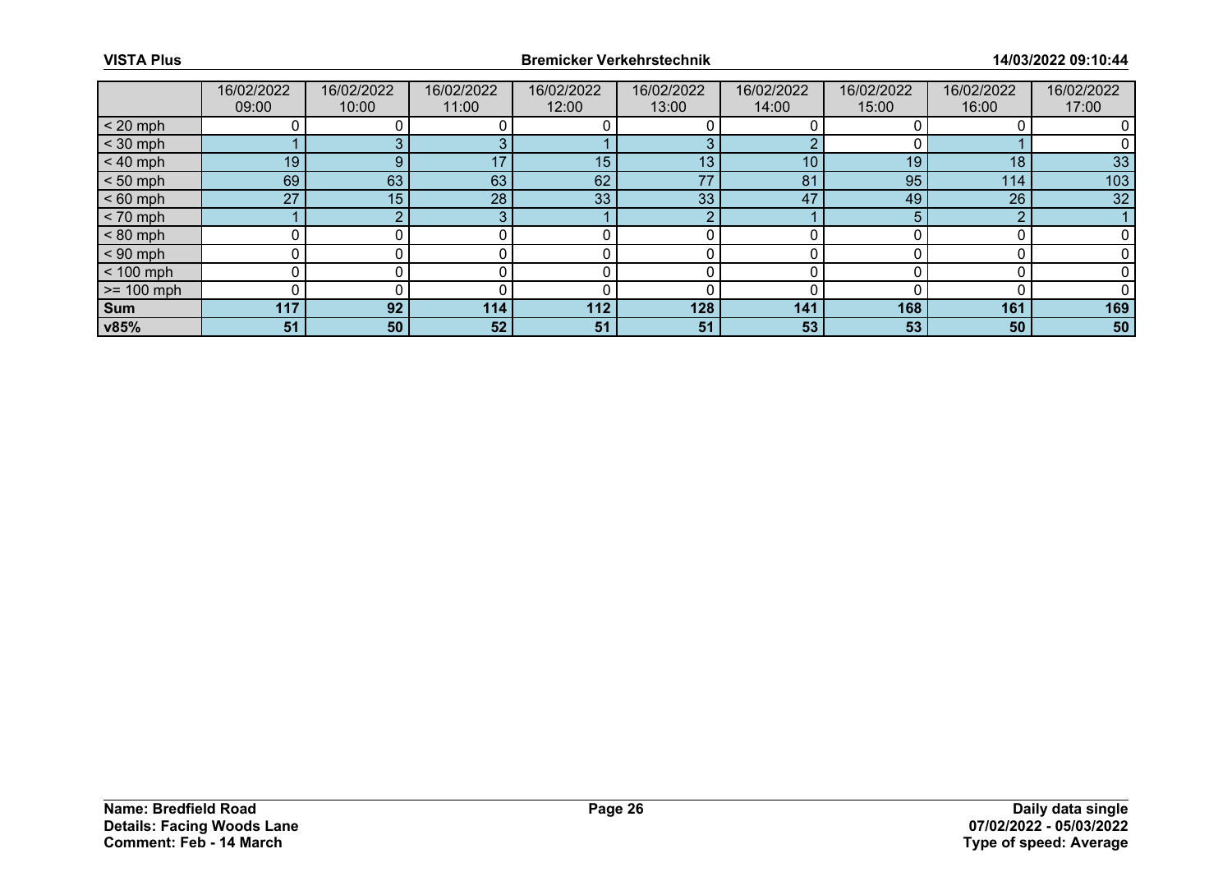|              | 16/02/2022<br>09:00 | 16/02/2022<br>10:00 | 16/02/2022<br>11:00 | 16/02/2022<br>12:00 | 16/02/2022<br>13:00 | 16/02/2022<br>14:00 | 16/02/2022<br>15:00 | 16/02/2022<br>16:00 | 16/02/2022<br>17:00 |
|--------------|---------------------|---------------------|---------------------|---------------------|---------------------|---------------------|---------------------|---------------------|---------------------|
| $< 20$ mph   |                     |                     |                     |                     |                     |                     |                     |                     |                     |
| $<$ 30 mph   |                     |                     |                     |                     | ≏                   |                     |                     |                     |                     |
| $< 40$ mph   | 19                  | 9                   | 17                  | 15                  | 13 <sub>1</sub>     | 10                  | 19                  | 18                  | 33                  |
| $< 50$ mph   | 69                  | 63                  | 63                  | 62                  | 77                  | 81                  | 95                  | 114                 | 103                 |
| $< 60$ mph   | 27                  | 15                  | 28                  | 33                  | 33                  | 47                  | 49                  | 26                  | 32                  |
| $< 70$ mph   |                     | $\sim$              | o                   |                     | റ                   |                     |                     | n                   |                     |
| $< 80$ mph   |                     |                     |                     |                     |                     |                     |                     |                     |                     |
| $< 90$ mph   |                     |                     |                     |                     |                     |                     |                     |                     |                     |
| $< 100$ mph  | 0                   |                     |                     |                     |                     |                     |                     |                     |                     |
| $>= 100$ mph |                     |                     |                     |                     |                     |                     |                     |                     |                     |
| <b>Sum</b>   | 117                 | 92                  | 114                 | 112                 | 128                 | 141                 | 168                 | 161                 | 169                 |
| v85%         | 51                  | 50                  | 52                  | 51                  | 51                  | 53                  | 53                  | 50                  | 50                  |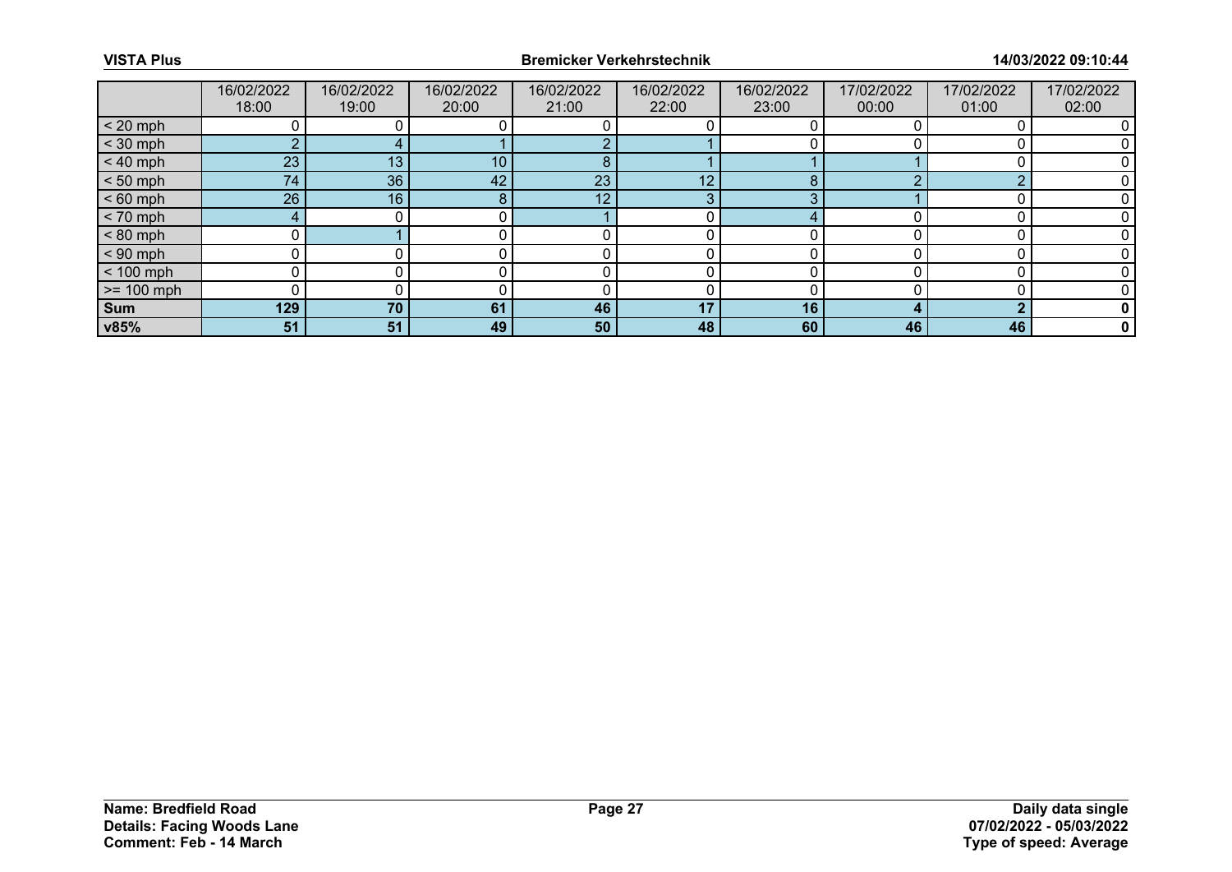|              | 16/02/2022<br>18:00 | 16/02/2022<br>19:00 | 16/02/2022<br>20:00 | 16/02/2022<br>21:00 | 16/02/2022<br>22:00 | 16/02/2022<br>23:00 | 17/02/2022<br>00:00 | 17/02/2022<br>01:00 | 17/02/2022<br>02:00 |
|--------------|---------------------|---------------------|---------------------|---------------------|---------------------|---------------------|---------------------|---------------------|---------------------|
| $< 20$ mph   |                     |                     |                     |                     |                     |                     |                     |                     |                     |
| $<$ 30 mph   | $\sim$              |                     |                     |                     |                     |                     |                     |                     |                     |
| $< 40$ mph   | 23                  | 13                  | 10 <sup>1</sup>     | 8                   |                     |                     |                     |                     |                     |
| $< 50$ mph   | 74 <sub>1</sub>     | 36                  | 42                  | 23                  | 12                  | 8                   |                     | ◠                   |                     |
| $< 60$ mph   | 26                  | 16                  | ο<br>õ              | 12                  | 3                   | ◠                   |                     |                     |                     |
| $< 70$ mph   | $4 \cdot$           |                     |                     |                     |                     | 4                   |                     |                     |                     |
| $< 80$ mph   |                     |                     |                     |                     |                     |                     |                     |                     |                     |
| $< 90$ mph   |                     |                     |                     |                     |                     |                     |                     |                     |                     |
| $< 100$ mph  | U                   |                     |                     |                     |                     |                     |                     |                     |                     |
| $>= 100$ mph |                     |                     |                     |                     |                     |                     |                     |                     |                     |
| <b>Sum</b>   | 129                 | 70                  | 61                  | 46                  | 17                  | 16                  |                     |                     |                     |
| v85%         | 51                  | 51                  | 49                  | 50                  | 48                  | 60                  | 46                  | 46                  | 0                   |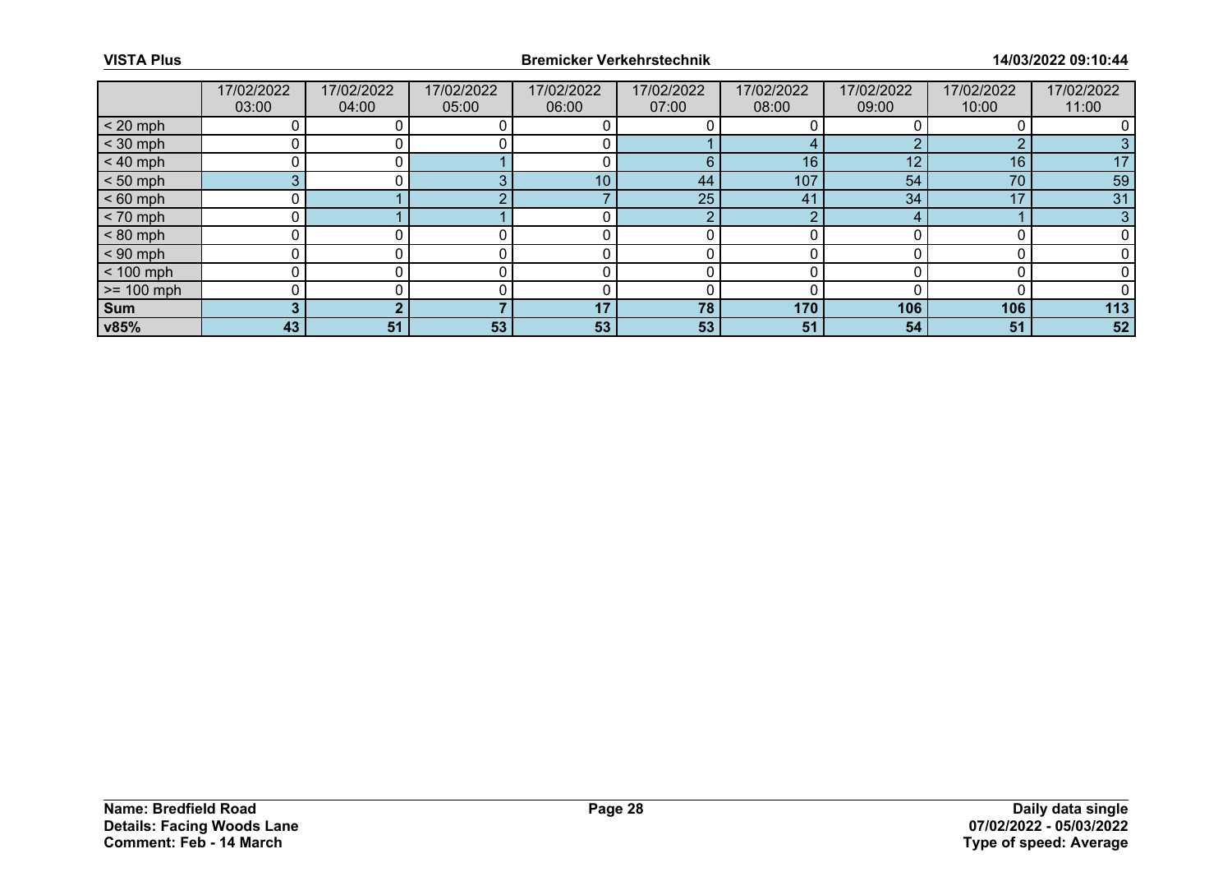|              | 17/02/2022<br>03:00 | 17/02/2022<br>04:00 | 17/02/2022<br>05:00 | 17/02/2022<br>06:00 | 17/02/2022<br>07:00 | 17/02/2022<br>08:00 | 17/02/2022<br>09:00 | 17/02/2022<br>10:00 | 17/02/2022<br>11:00 |
|--------------|---------------------|---------------------|---------------------|---------------------|---------------------|---------------------|---------------------|---------------------|---------------------|
| $< 20$ mph   |                     |                     |                     |                     |                     |                     |                     |                     |                     |
| $<$ 30 mph   |                     |                     |                     |                     |                     |                     |                     |                     |                     |
| $< 40$ mph   |                     |                     |                     |                     | 6                   | 16                  | 12                  | 16                  | 17                  |
| $< 50$ mph   |                     |                     |                     | 10                  | 44                  | 107                 | 54                  | 70                  | 59                  |
| $< 60$ mph   |                     |                     |                     |                     | 25                  | 41                  | 34                  | 17                  | 31                  |
| $< 70$ mph   |                     |                     |                     |                     | റ                   | $\sim$              |                     |                     | 3                   |
| $< 80$ mph   |                     |                     |                     |                     |                     |                     |                     |                     |                     |
| $< 90$ mph   |                     |                     |                     |                     |                     |                     |                     |                     |                     |
| $< 100$ mph  | ⌒                   |                     |                     |                     |                     | ∩                   |                     |                     |                     |
| $>= 100$ mph |                     |                     |                     |                     |                     |                     |                     |                     |                     |
| <b>Sum</b>   |                     |                     |                     | 17                  | 78                  | 170                 | 106                 | 106                 | 113                 |
| v85%         | 43                  | 51                  | 53                  | 53                  | 53                  | 51                  | 54                  | 51                  | 52                  |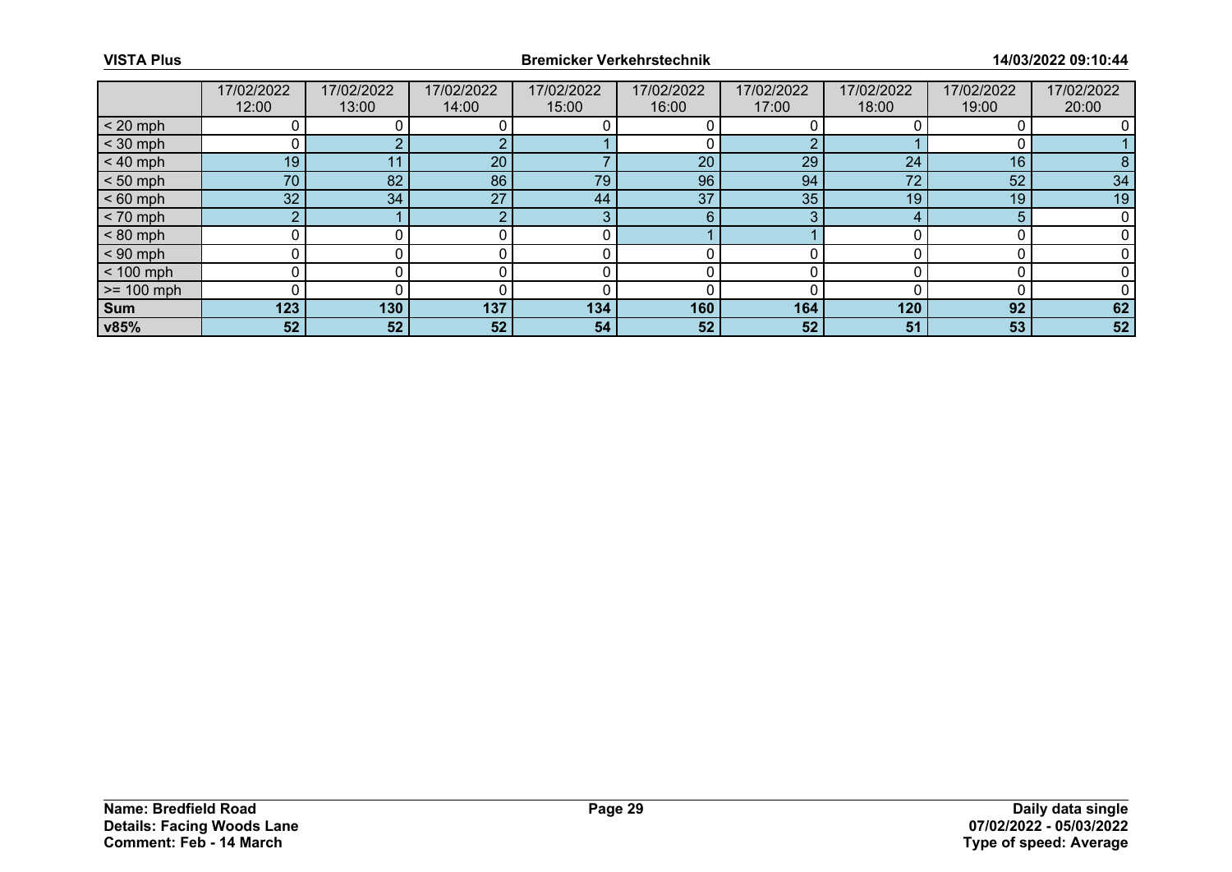|              | 17/02/2022<br>12:00 | 17/02/2022<br>13:00 | 17/02/2022<br>14:00 | 17/02/2022<br>15:00 | 17/02/2022<br>16:00 | 17/02/2022<br>17:00 | 17/02/2022<br>18:00 | 17/02/2022<br>19:00 | 17/02/2022<br>20:00 |
|--------------|---------------------|---------------------|---------------------|---------------------|---------------------|---------------------|---------------------|---------------------|---------------------|
| $< 20$ mph   |                     |                     |                     |                     |                     |                     |                     |                     |                     |
| $<$ 30 mph   |                     |                     |                     |                     |                     |                     |                     |                     |                     |
| $< 40$ mph   | 19                  | 11                  | 20 <sup>°</sup>     |                     | 20                  | 29                  | 24                  | 16                  |                     |
| $< 50$ mph   | 70                  | 82                  | 86                  | 79                  | 96                  | 94                  | 72                  | 52                  | 34                  |
| $< 60$ mph   | 32 <sub>2</sub>     | 34                  | 27                  | 44                  | 37                  | 35                  | 19                  | 19                  | 19                  |
| $< 70$ mph   | $\Omega$            |                     |                     | ാ                   | 6                   | ◠                   |                     |                     |                     |
| $< 80$ mph   |                     |                     |                     |                     |                     |                     |                     |                     |                     |
| $< 90$ mph   |                     |                     |                     |                     |                     |                     |                     |                     |                     |
| $< 100$ mph  | 0                   |                     |                     |                     |                     |                     |                     |                     |                     |
| $>= 100$ mph |                     |                     |                     |                     |                     |                     |                     |                     |                     |
| <b>Sum</b>   | 123                 | 130                 | 137                 | 134                 | 160                 | 164                 | 120                 | 92                  | 62                  |
| v85%         | 52                  | 52                  | 52                  | 54                  | 52                  | 52                  | 51                  | 53                  | 52                  |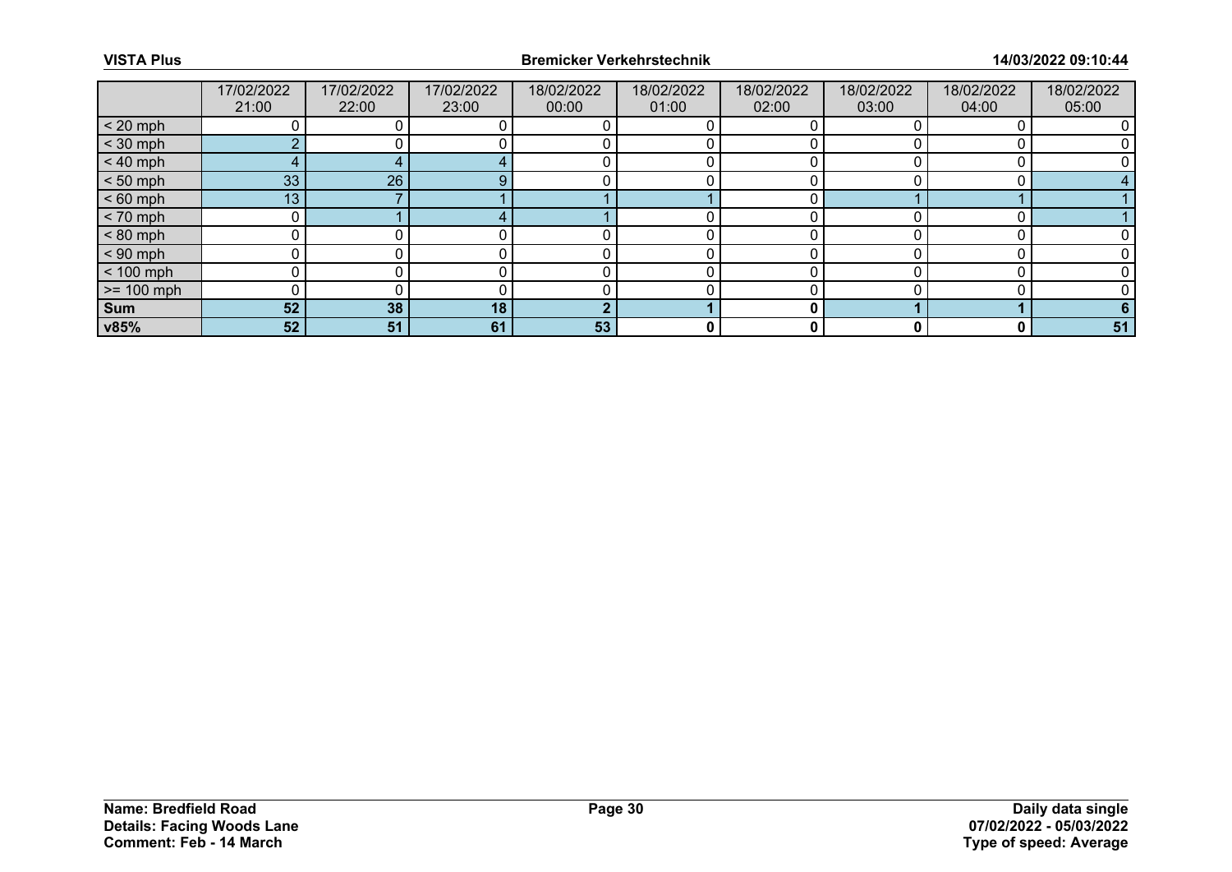|              | 17/02/2022<br>21:00 | 17/02/2022<br>22:00 | 17/02/2022<br>23:00 | 18/02/2022<br>00:00 | 18/02/2022<br>01:00 | 18/02/2022<br>02:00 | 18/02/2022<br>03:00 | 18/02/2022<br>04:00 | 18/02/2022<br>05:00 |
|--------------|---------------------|---------------------|---------------------|---------------------|---------------------|---------------------|---------------------|---------------------|---------------------|
| $< 20$ mph   |                     |                     |                     |                     |                     |                     |                     |                     |                     |
| $<$ 30 mph   |                     |                     |                     |                     |                     |                     |                     |                     |                     |
| $< 40$ mph   | $4 \cdot$           |                     |                     |                     |                     |                     |                     |                     |                     |
| $< 50$ mph   | 33                  | 26                  |                     |                     |                     |                     |                     |                     |                     |
| $< 60$ mph   | 13 <sub>1</sub>     |                     |                     |                     |                     |                     |                     |                     |                     |
| $< 70$ mph   |                     |                     |                     |                     |                     |                     |                     |                     |                     |
| $< 80$ mph   |                     |                     |                     |                     |                     |                     |                     |                     |                     |
| $< 90$ mph   |                     |                     |                     |                     |                     |                     |                     |                     |                     |
| $< 100$ mph  |                     |                     |                     |                     |                     |                     |                     |                     |                     |
| $>= 100$ mph |                     |                     |                     |                     |                     |                     |                     |                     |                     |
| <b>Sum</b>   | 52                  | 38                  | 18                  | ຳ                   |                     | 0                   |                     |                     |                     |
| v85%         | 52                  | 51                  | 61                  | 53                  | 0                   | 0                   |                     | 0                   | 51                  |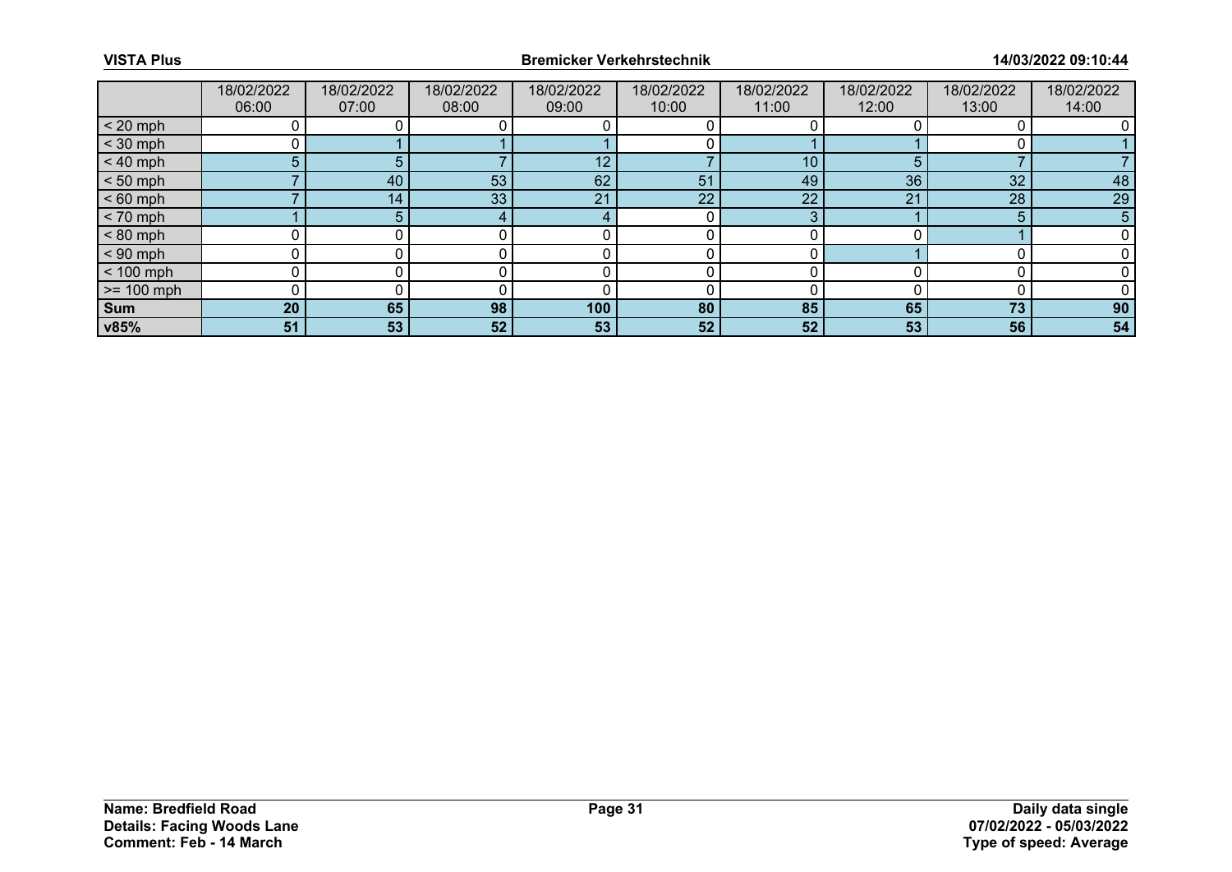|              | 18/02/2022<br>06:00 | 18/02/2022<br>07:00 | 18/02/2022<br>08:00 | 18/02/2022<br>09:00 | 18/02/2022<br>10:00 | 18/02/2022<br>11:00 | 18/02/2022<br>12:00 | 18/02/2022<br>13:00 | 18/02/2022<br>14:00 |
|--------------|---------------------|---------------------|---------------------|---------------------|---------------------|---------------------|---------------------|---------------------|---------------------|
| $< 20$ mph   |                     |                     |                     |                     |                     |                     |                     |                     |                     |
| $<$ 30 mph   |                     |                     |                     |                     |                     |                     |                     |                     |                     |
| $< 40$ mph   | 5                   | 5.                  |                     | 12                  |                     | 10                  | 5                   |                     |                     |
| $< 50$ mph   |                     | 40                  | 53                  | 62                  | 51                  | 49                  | 36                  | 32                  | 48                  |
| $< 60$ mph   |                     | 14                  | 33                  | 21                  | 22                  | 22                  | 21                  | 28                  | 29                  |
| $< 70$ mph   |                     | 5.                  |                     |                     |                     | ິ                   |                     | 5                   | 5                   |
| $< 80$ mph   |                     |                     |                     |                     |                     |                     |                     |                     |                     |
| $< 90$ mph   |                     |                     |                     |                     |                     |                     |                     |                     |                     |
| $< 100$ mph  | ŋ                   |                     |                     |                     |                     |                     |                     |                     |                     |
| $>= 100$ mph |                     |                     |                     |                     |                     |                     |                     |                     |                     |
| Sum          | 20                  | 65                  | 98                  | 100                 | 80                  | 85                  | 65                  | 73                  | 90                  |
| v85%         | 51                  | 53                  | 52                  | 53                  | 52                  | 52                  | 53                  | 56                  | 54                  |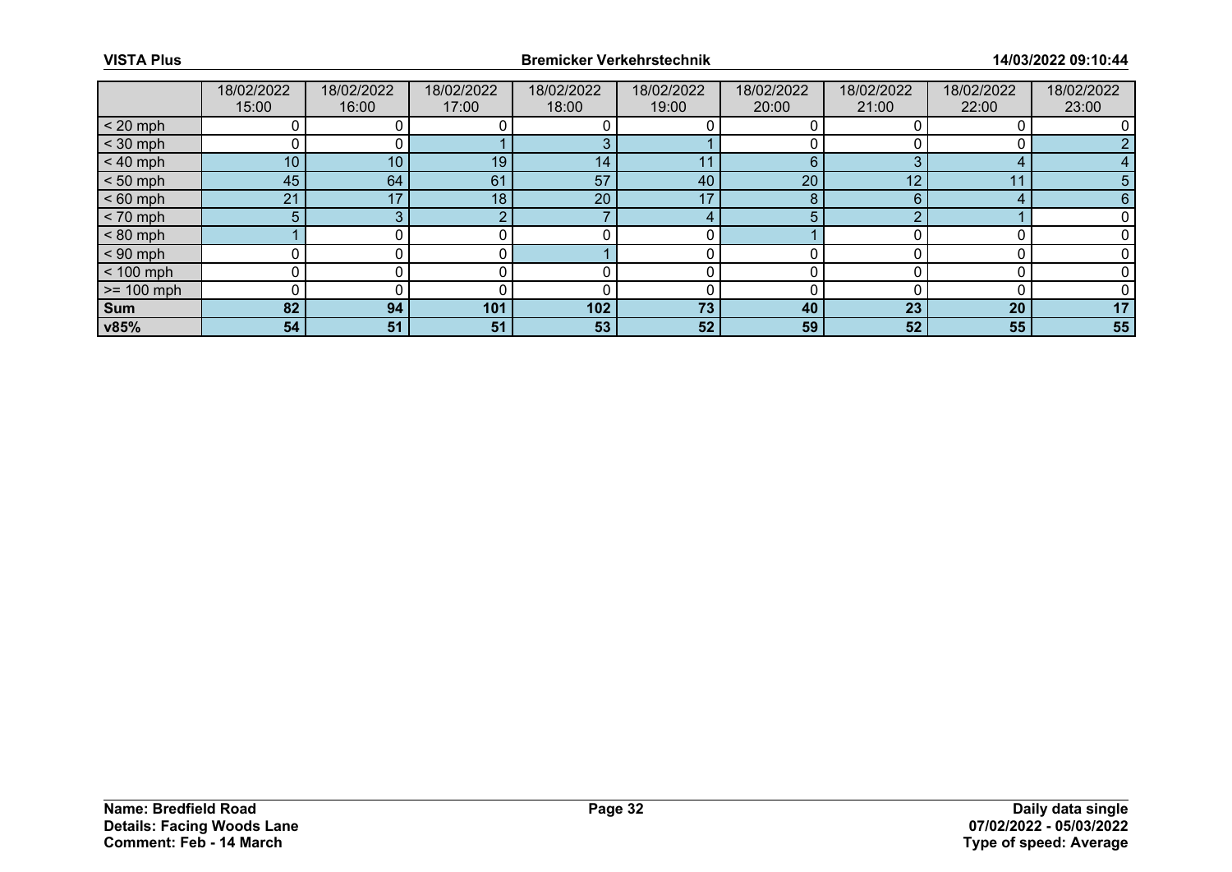|              | 18/02/2022<br>15:00 | 18/02/2022<br>16:00 | 18/02/2022<br>17:00 | 18/02/2022<br>18:00 | 18/02/2022<br>19:00 | 18/02/2022<br>20:00 | 18/02/2022<br>21:00 | 18/02/2022<br>22:00 | 18/02/2022<br>23:00 |
|--------------|---------------------|---------------------|---------------------|---------------------|---------------------|---------------------|---------------------|---------------------|---------------------|
| $< 20$ mph   |                     |                     |                     |                     |                     |                     |                     |                     |                     |
| $<$ 30 mph   |                     |                     |                     |                     |                     |                     |                     |                     |                     |
| $< 40$ mph   | 10 <sup>°</sup>     | 10                  | 19                  | 14                  |                     | 6                   | ⌒                   |                     |                     |
| $< 50$ mph   | 45                  | 64                  | 61                  | 57                  | 40                  | 20                  | 10                  | 1.                  | 5                   |
| $< 60$ mph   | 21                  | 17                  | 18                  | 20                  | 17                  | 8                   | 6                   |                     |                     |
| $< 70$ mph   | 5                   |                     |                     |                     | 4                   | 5                   |                     |                     |                     |
| $< 80$ mph   |                     |                     |                     |                     |                     |                     |                     |                     |                     |
| $< 90$ mph   |                     |                     |                     |                     |                     |                     |                     |                     |                     |
| $< 100$ mph  |                     |                     |                     |                     |                     |                     |                     |                     |                     |
| $>= 100$ mph |                     |                     |                     |                     |                     |                     |                     |                     |                     |
| Sum          | 82                  | 94                  | 101                 | 102                 | 73                  | 40                  | 23                  | 20                  | 17                  |
| v85%         | 54                  | 51                  | 51                  | 53                  | 52                  | 59                  | 52                  | 55                  | 55                  |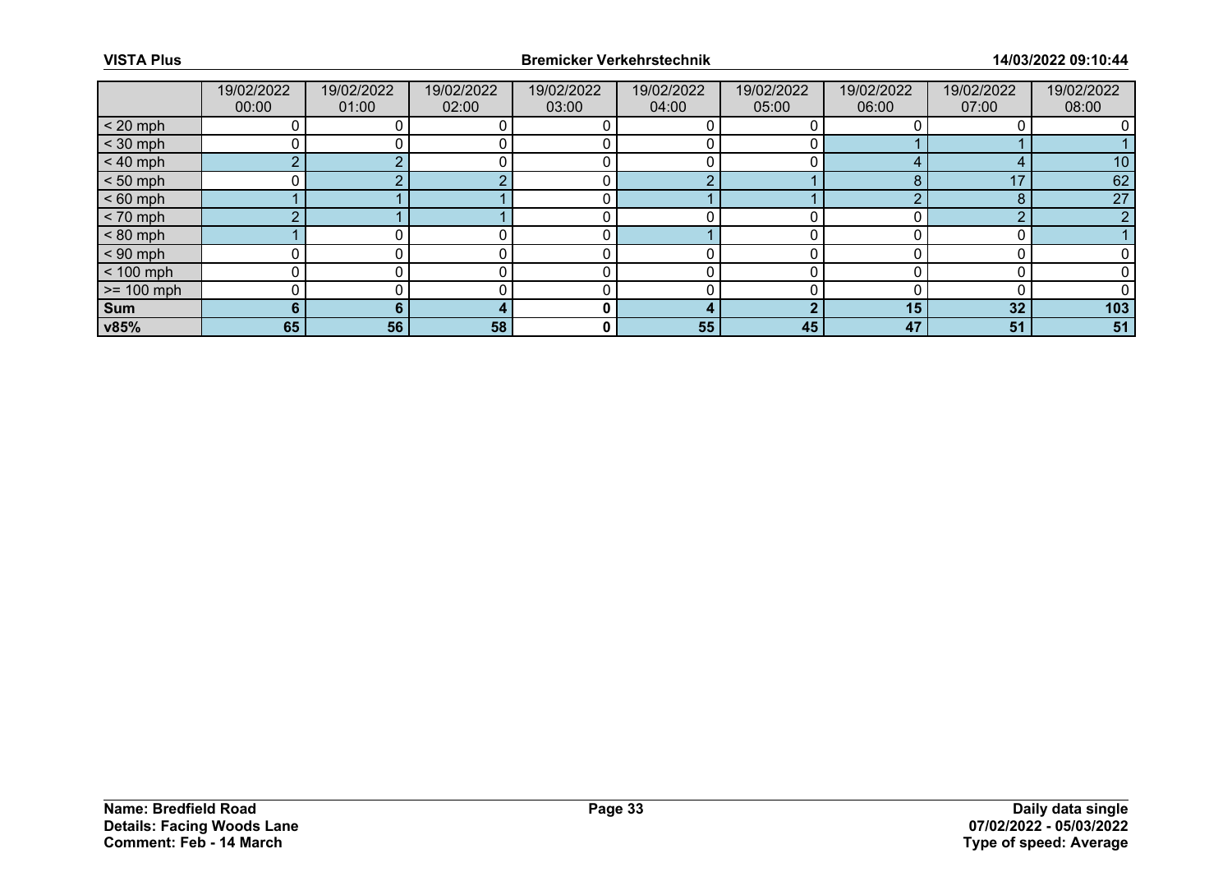|                 | 19/02/2022<br>00:00 | 19/02/2022<br>01:00 | 19/02/2022<br>02:00 | 19/02/2022<br>03:00 | 19/02/2022<br>04:00 | 19/02/2022<br>05:00 | 19/02/2022<br>06:00 | 19/02/2022<br>07:00 | 19/02/2022<br>08:00 |
|-----------------|---------------------|---------------------|---------------------|---------------------|---------------------|---------------------|---------------------|---------------------|---------------------|
| $< 20$ mph      |                     |                     |                     |                     |                     |                     |                     |                     |                     |
| $<$ 30 mph      |                     |                     |                     |                     |                     |                     |                     |                     |                     |
| $< 40$ mph      | $\sim$              |                     |                     |                     |                     |                     |                     |                     | 10                  |
| $< 50$ mph      |                     |                     |                     |                     |                     |                     |                     | 17                  | 62                  |
| $< 60$ mph      |                     |                     |                     |                     |                     |                     |                     | $\bullet$<br>◠      | 27                  |
| $< 70$ mph      |                     |                     |                     |                     |                     |                     |                     | n                   | $\sim$              |
| $< 80$ mph      |                     |                     |                     |                     |                     |                     |                     |                     |                     |
| $< 90$ mph      |                     |                     |                     |                     |                     |                     |                     |                     |                     |
| $< 100$ mph     | 0                   |                     |                     |                     |                     |                     |                     |                     |                     |
| $\ge$ = 100 mph |                     |                     |                     |                     |                     |                     |                     |                     |                     |
| Sum             | 6.                  |                     |                     | 0                   |                     |                     | 15                  | 32                  | 103                 |
| v85%            | 65                  | 56                  | 58                  | 0                   | 55                  | 45                  | 47                  | 51                  | 51                  |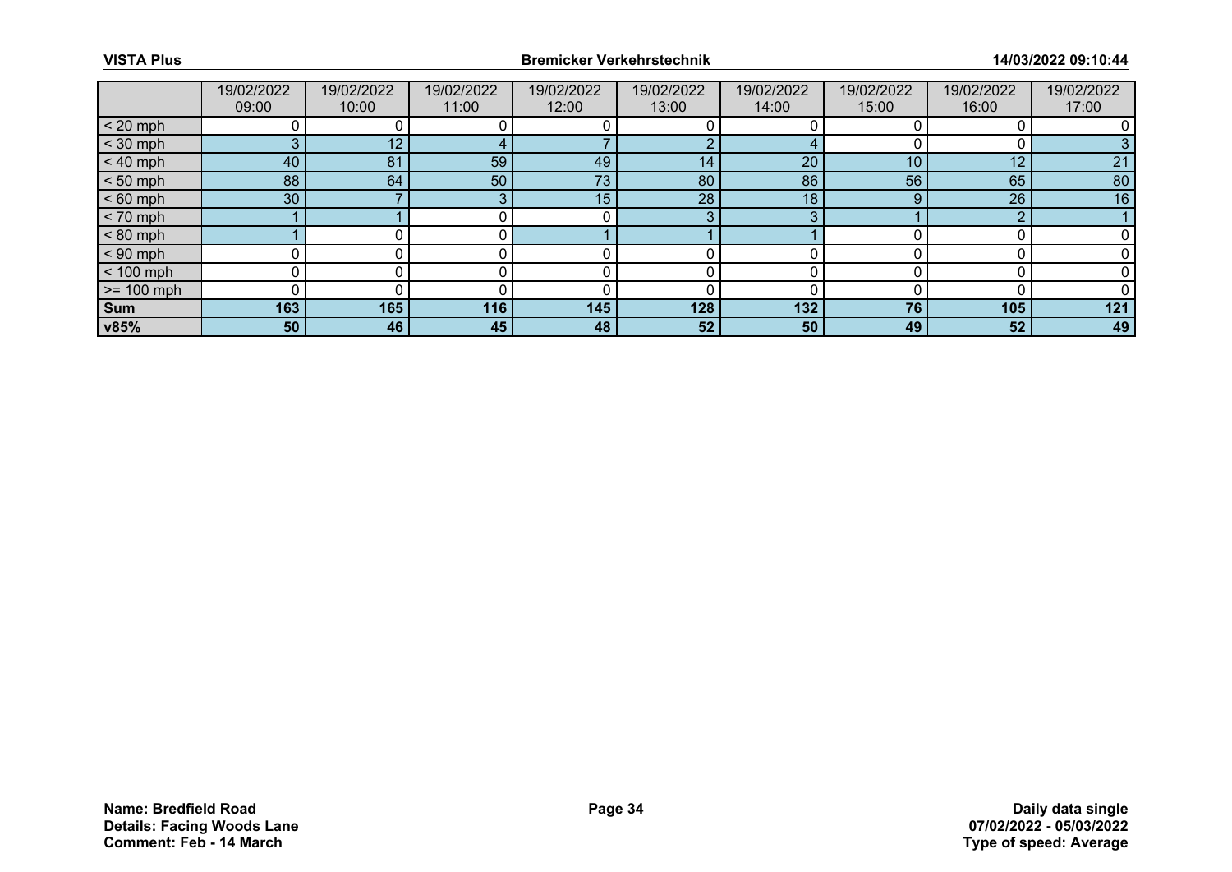|              | 19/02/2022<br>09:00 | 19/02/2022<br>10:00 | 19/02/2022<br>11:00 | 19/02/2022<br>12:00 | 19/02/2022<br>13:00 | 19/02/2022<br>14:00 | 19/02/2022<br>15:00 | 19/02/2022<br>16:00 | 19/02/2022<br>17:00 |
|--------------|---------------------|---------------------|---------------------|---------------------|---------------------|---------------------|---------------------|---------------------|---------------------|
| $< 20$ mph   |                     |                     |                     |                     |                     |                     |                     |                     |                     |
| $<$ 30 mph   | 3                   | 12                  |                     |                     |                     |                     |                     |                     |                     |
| $< 40$ mph   | 40                  | 81                  | 59                  | 49                  | 14                  | 20                  | 10 <sup>°</sup>     | 12                  | 21                  |
| $< 50$ mph   | 88                  | 64                  | 50                  | 73                  | 80                  | 86                  | 56                  | 65                  | 80                  |
| $< 60$ mph   | 30                  |                     |                     | 15                  | 28                  | 18                  | 9                   | 26                  | 16                  |
| $< 70$ mph   |                     |                     |                     |                     | 3                   | $\sim$              |                     | $\sim$              |                     |
| $< 80$ mph   |                     |                     |                     |                     |                     |                     |                     |                     |                     |
| $< 90$ mph   |                     |                     |                     |                     |                     |                     |                     |                     |                     |
| $< 100$ mph  | 0                   |                     |                     |                     |                     |                     |                     |                     |                     |
| $>= 100$ mph |                     |                     |                     |                     |                     |                     |                     |                     |                     |
| <b>Sum</b>   | 163                 | 165                 | 116                 | 145                 | 128                 | 132                 | 76                  | 105                 | 121                 |
| v85%         | 50                  | 46                  | 45                  | 48                  | 52 <sub>1</sub>     | 50                  | 49                  | 52                  | 49                  |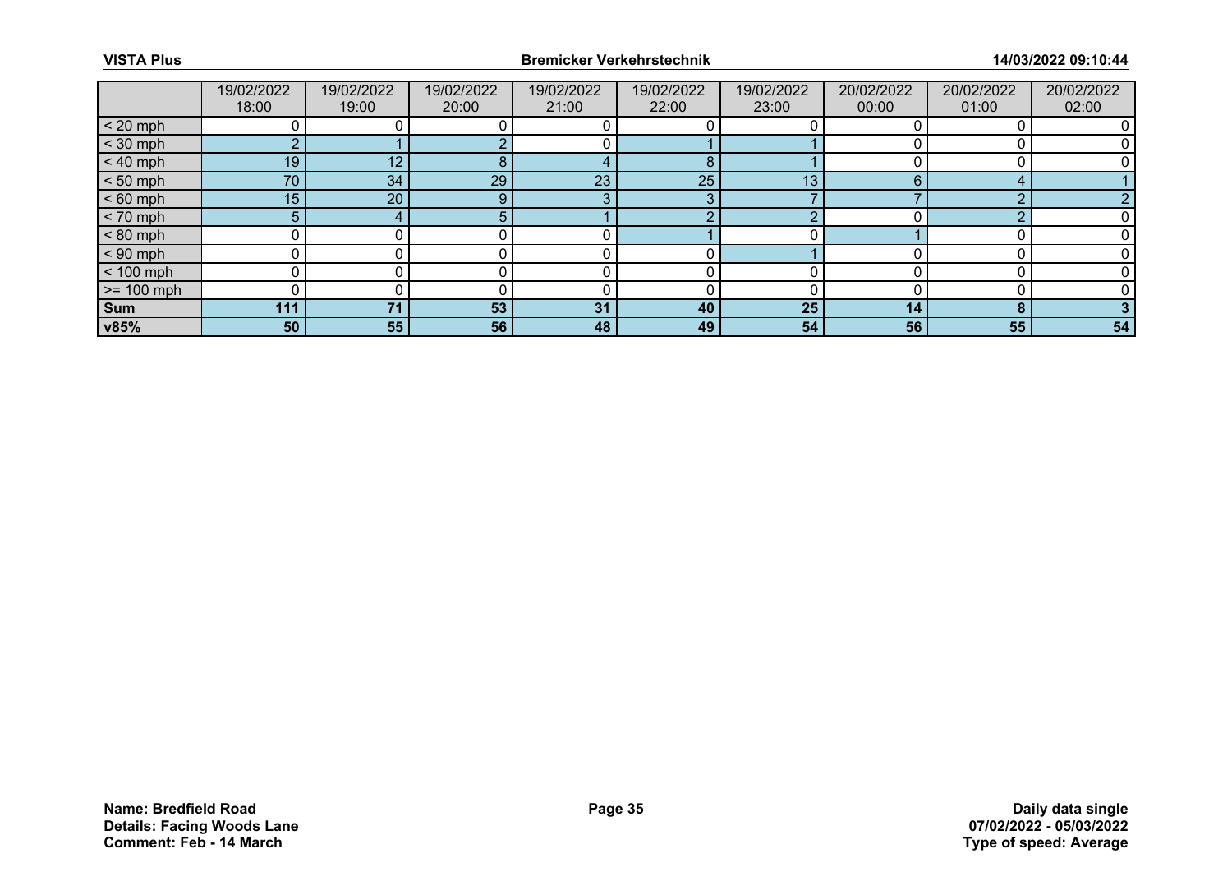|              | 19/02/2022 | 19/02/2022 | 19/02/2022 | 19/02/2022 | 19/02/2022 | 19/02/2022 | 20/02/2022 | 20/02/2022 | 20/02/2022 |
|--------------|------------|------------|------------|------------|------------|------------|------------|------------|------------|
|              | 18:00      | 19:00      | 20:00      | 21:00      | 22:00      | 23:00      | 00:00      | 01:00      | 02:00      |
| $< 20$ mph   |            |            |            |            |            |            |            |            |            |
| $<$ 30 mph   | $\sim$     |            |            |            |            |            |            |            |            |
| $< 40$ mph   | 19         | 12         | 8          |            | 8          |            |            |            |            |
| $< 50$ mph   | 70         | 34         | 29         | 23         | 25         | 13         |            |            |            |
| $< 60$ mph   | 15         | 20         | $\Omega$   | -9         | 3          |            |            | $\Omega$   |            |
| $< 70$ mph   | 5          |            |            |            | റ          | ◠          |            | ◠          |            |
| $< 80$ mph   |            |            |            |            |            |            |            |            |            |
| $< 90$ mph   |            |            |            |            |            |            |            |            |            |
| $< 100$ mph  |            |            |            |            |            |            |            |            |            |
| $>= 100$ mph |            |            |            |            |            |            |            |            |            |
| <b>Sum</b>   | 111        | 71         | 53         | 31         | 40         | 25         | 14         | $\bullet$  |            |
| v85%         | 50         | 55         | 56         | 48         | 49         | 54         | 56         | 55         | 54         |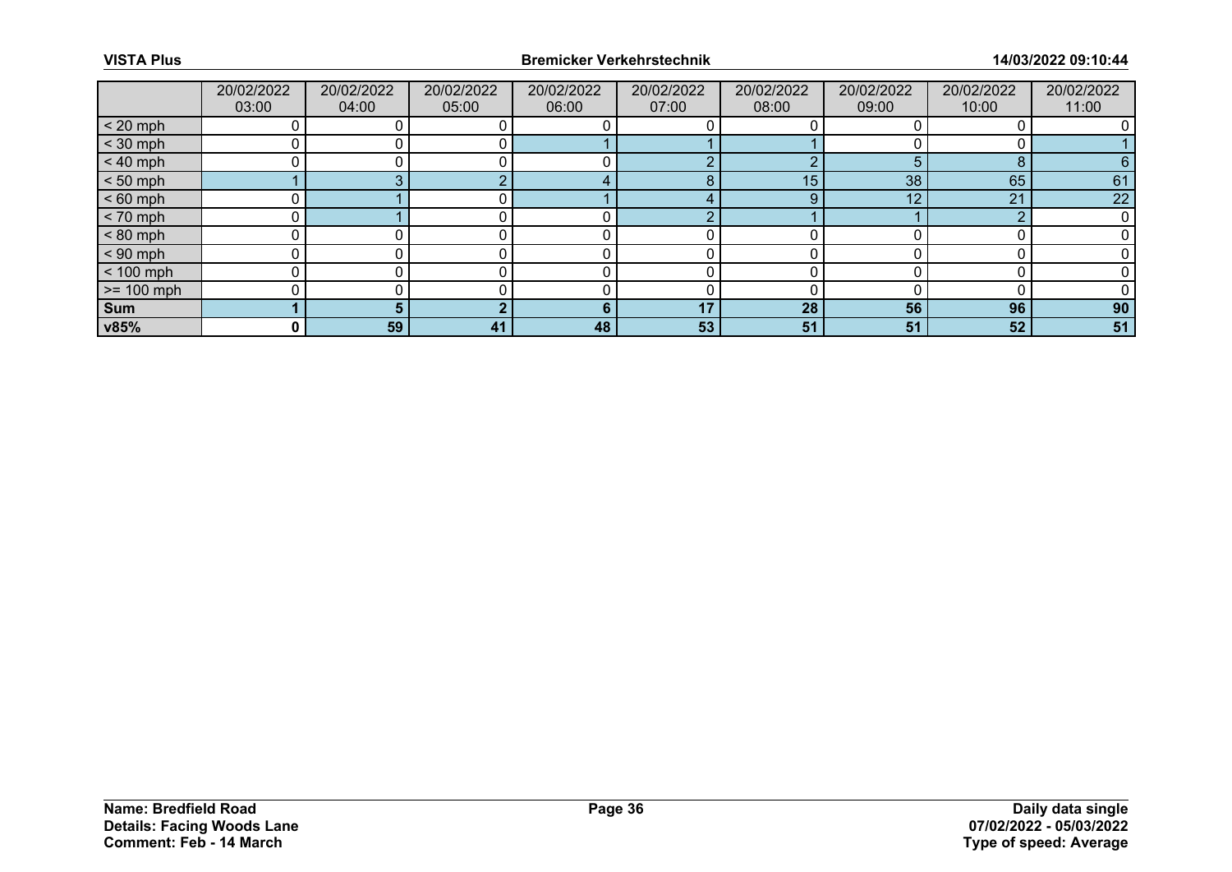|              | 20/02/2022<br>03:00 | 20/02/2022<br>04:00 | 20/02/2022<br>05:00 | 20/02/2022<br>06:00 | 20/02/2022<br>07:00 | 20/02/2022<br>08:00 | 20/02/2022<br>09:00 | 20/02/2022<br>10:00 | 20/02/2022<br>11:00 |
|--------------|---------------------|---------------------|---------------------|---------------------|---------------------|---------------------|---------------------|---------------------|---------------------|
| $< 20$ mph   |                     |                     |                     |                     |                     |                     |                     |                     |                     |
| $<$ 30 mph   |                     |                     |                     |                     |                     |                     |                     |                     |                     |
| $< 40$ mph   |                     |                     |                     |                     | ◠                   | $\sqrt{ }$          |                     | 8                   | 6                   |
| $< 50$ mph   |                     |                     |                     |                     | 8                   | 15                  | 38 <sup>1</sup>     | 65                  | 61                  |
| $< 60$ mph   |                     |                     |                     |                     |                     | 9                   | 12                  | 21                  | 22                  |
| $< 70$ mph   |                     |                     |                     |                     | $\Omega$            |                     |                     | $\Omega$            |                     |
| $< 80$ mph   |                     |                     |                     |                     |                     |                     |                     |                     |                     |
| $< 90$ mph   |                     |                     |                     |                     |                     |                     |                     |                     |                     |
| $< 100$ mph  |                     |                     |                     |                     |                     |                     |                     |                     |                     |
| $>= 100$ mph |                     |                     |                     |                     |                     |                     |                     |                     |                     |
| <b>Sum</b>   |                     |                     |                     | 6                   | 17                  | 28                  | 56                  | 96                  | 90                  |
| v85%         | 0 I                 | 59                  | 41                  | 48                  | 53                  | 51                  | 51                  | 52                  | 51                  |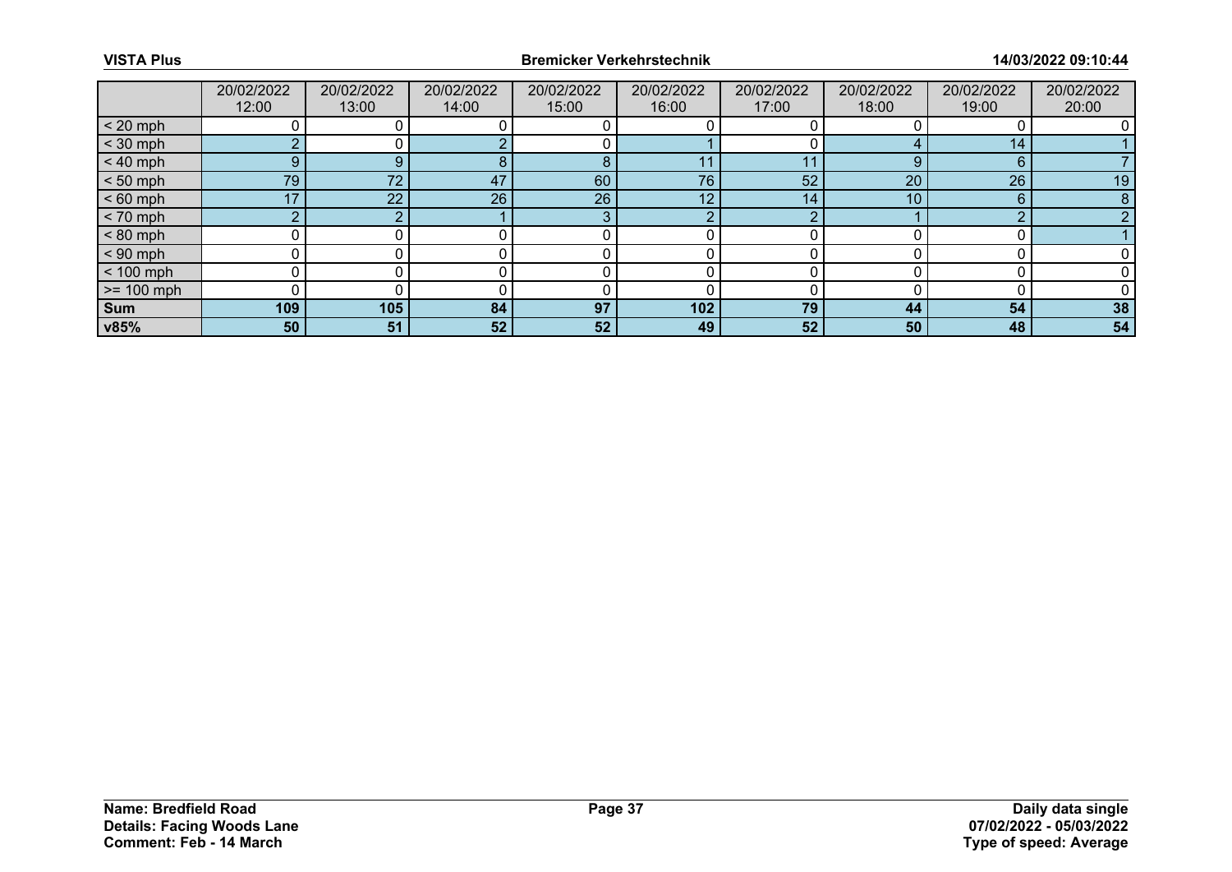|                 | 20/02/2022<br>12:00 | 20/02/2022<br>13:00 | 20/02/2022<br>14:00 | 20/02/2022<br>15:00 | 20/02/2022<br>16:00 | 20/02/2022<br>17:00 | 20/02/2022<br>18:00 | 20/02/2022<br>19:00 | 20/02/2022<br>20:00 |
|-----------------|---------------------|---------------------|---------------------|---------------------|---------------------|---------------------|---------------------|---------------------|---------------------|
|                 |                     |                     |                     |                     |                     |                     |                     |                     |                     |
| $< 20$ mph      |                     |                     |                     |                     |                     |                     |                     |                     |                     |
| $<$ 30 mph      | $\sim$              |                     |                     |                     |                     |                     |                     | 14                  |                     |
| $< 40$ mph      | 9                   | 9                   | 8                   | 8                   |                     | 11                  | 9                   | 6                   |                     |
| $< 50$ mph      | 79                  | 72                  | 47                  | 60                  | 76                  | 52                  | 20                  | 26                  | 19                  |
| $< 60$ mph      | 17                  | 22                  | 26                  | 26                  | 12 <sub>1</sub>     | 14                  | 10                  | 6                   |                     |
| $< 70$ mph      | o                   |                     |                     | 3                   | ◠                   | ◠                   |                     | ◠                   |                     |
| $< 80$ mph      |                     |                     |                     |                     |                     |                     |                     |                     |                     |
| $< 90$ mph      | 0                   |                     |                     |                     |                     |                     |                     |                     |                     |
| $< 100$ mph     | 0                   |                     |                     |                     |                     |                     |                     |                     |                     |
| $\ge$ = 100 mph |                     |                     |                     |                     |                     |                     |                     |                     |                     |
| Sum             | 109                 | 105                 | 84                  | 97                  | 102                 | 79                  | 44                  | 54                  | 38                  |
| v85%            | 50                  | 51                  | 52                  | 52                  | 49                  | 52                  | 50                  | 48                  | 54                  |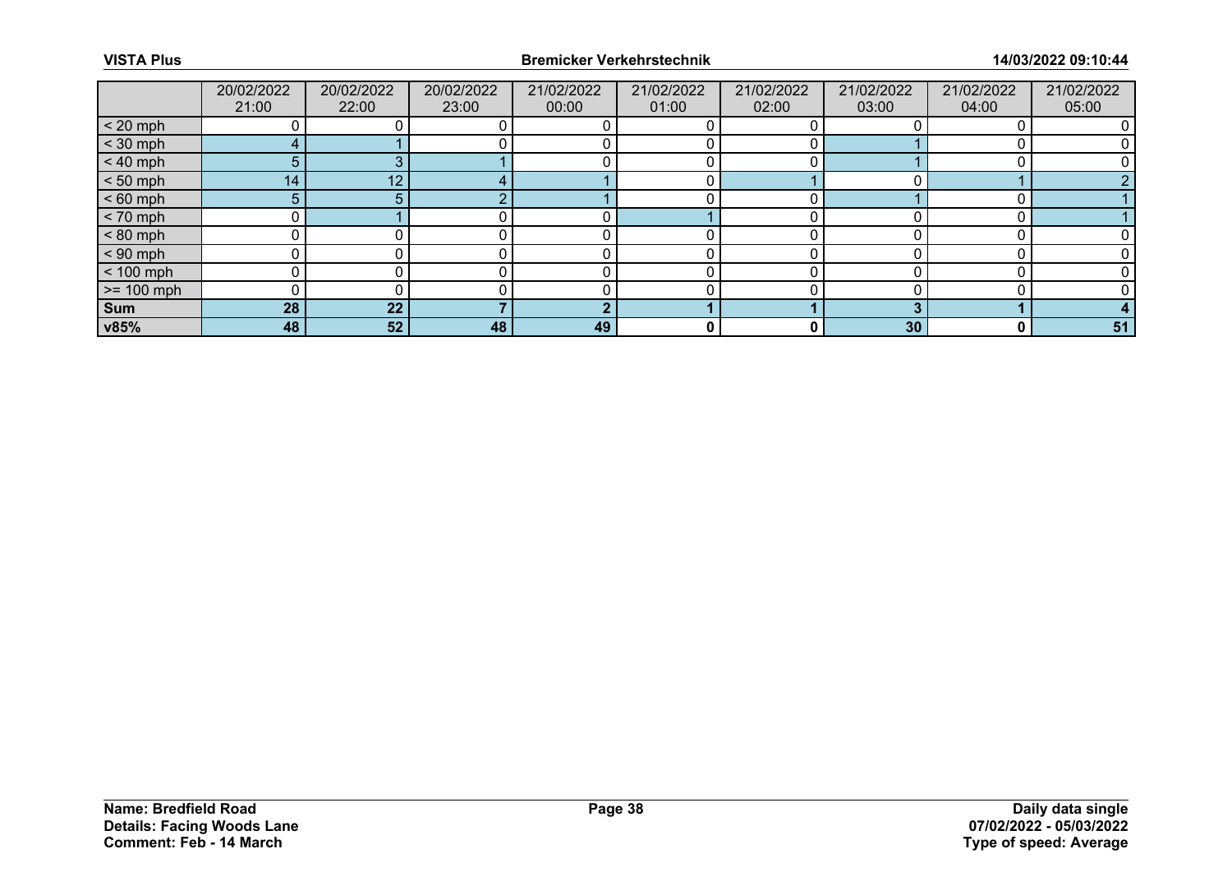|                 | 20/02/2022 | 20/02/2022 | 20/02/2022 | 21/02/2022 | 21/02/2022 | 21/02/2022 | 21/02/2022      | 21/02/2022 | 21/02/2022 |
|-----------------|------------|------------|------------|------------|------------|------------|-----------------|------------|------------|
|                 | 21:00      | 22:00      | 23:00      | 00:00      | 01:00      | 02:00      | 03:00           | 04:00      | 05:00      |
| $< 20$ mph      |            |            |            |            |            |            |                 |            |            |
| $<$ 30 mph      |            |            |            |            |            |            |                 |            |            |
| $< 40$ mph      | 5.         |            |            |            |            |            |                 |            |            |
| $< 50$ mph      | 14         | 12         |            |            |            |            |                 |            |            |
| $< 60$ mph      | 5.         |            |            |            |            |            |                 |            |            |
| $< 70$ mph      | 0          |            |            |            |            |            |                 |            |            |
| $< 80$ mph      |            |            |            |            |            |            |                 |            |            |
| $< 90$ mph      |            |            |            |            |            |            |                 |            |            |
| $< 100$ mph     |            |            |            |            |            |            |                 |            |            |
| $\ge$ = 100 mph |            |            |            |            |            |            |                 |            |            |
| Sum             | 28         | 22         |            | ш          |            |            |                 |            |            |
| v85%            | 48         | 52         | 48         | 49         | 0          | 0          | 30 <sup>°</sup> | 0          | 51         |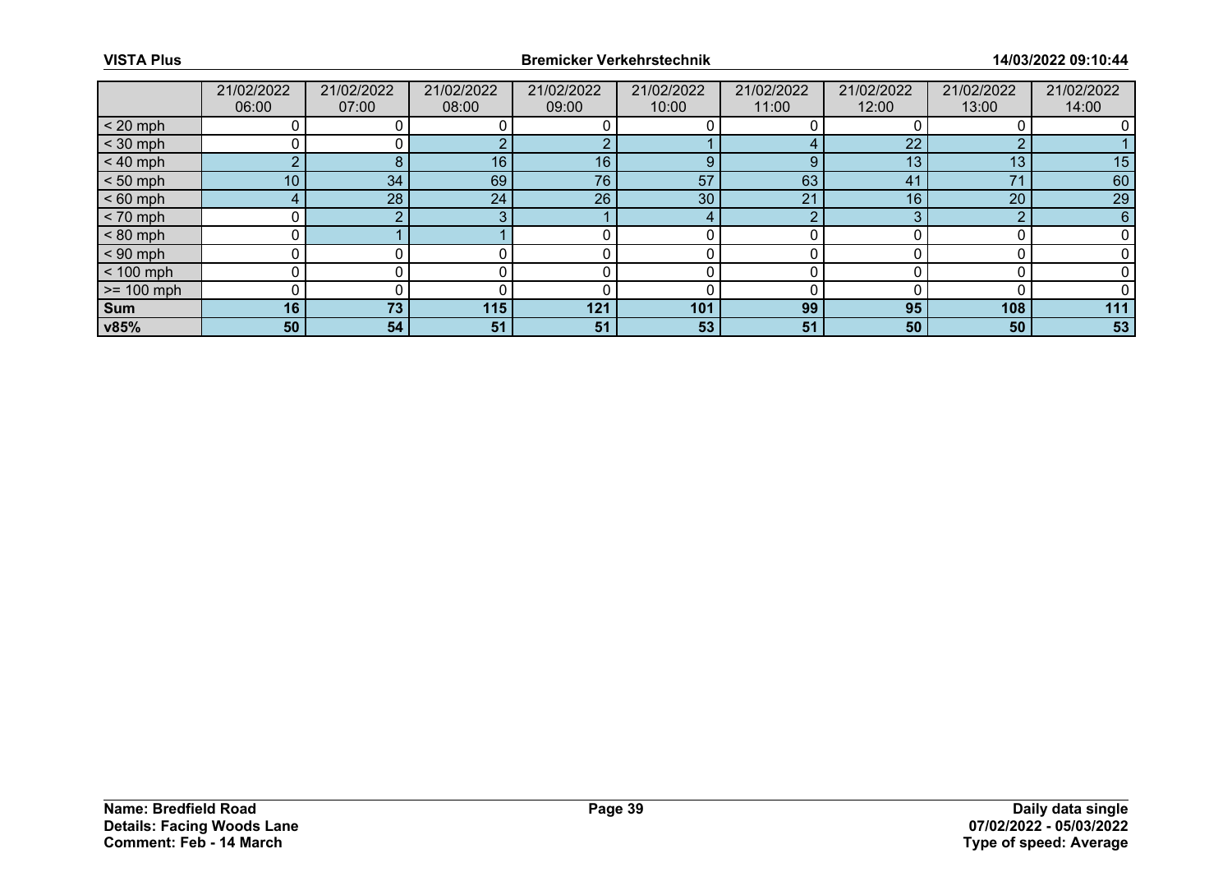|              | 21/02/2022      | 21/02/2022 | 21/02/2022 | 21/02/2022 | 21/02/2022 | 21/02/2022 | 21/02/2022     | 21/02/2022      | 21/02/2022 |
|--------------|-----------------|------------|------------|------------|------------|------------|----------------|-----------------|------------|
|              | 06:00           | 07:00      | 08:00      | 09:00      | 10:00      | 11:00      | 12:00          | 13:00           | 14:00      |
| $< 20$ mph   |                 |            |            |            |            |            |                |                 |            |
| $<$ 30 mph   |                 |            |            |            |            |            | 22             |                 |            |
| $< 40$ mph   | $\sim$          | 8          | 16         | 16         | 9          | 9          | 13             | 13              | 15         |
| $< 50$ mph   | 10 <sup>°</sup> | 34         | 69         | 76         | 57         | 63         | 4 <sup>1</sup> | $\overline{7}1$ | 60         |
| $< 60$ mph   |                 | 28         | 24         | 26         | 30         | 21         | 16             | 20              | 29         |
| $< 70$ mph   |                 |            |            |            |            | o          |                | ◠               | 6          |
| $< 80$ mph   |                 |            |            |            |            |            |                |                 |            |
| $< 90$ mph   |                 |            |            |            |            |            |                |                 |            |
| $< 100$ mph  |                 |            |            |            |            |            |                |                 |            |
| $>= 100$ mph |                 |            |            |            |            |            |                |                 |            |
| <b>Sum</b>   | 16              | 73         | 115        | 121        | 101        | 99         | 95             | 108             | 111        |
| v85%         | 50              | 54         | 51         | 51         | 53         | 51         | 50             | 50              | 53         |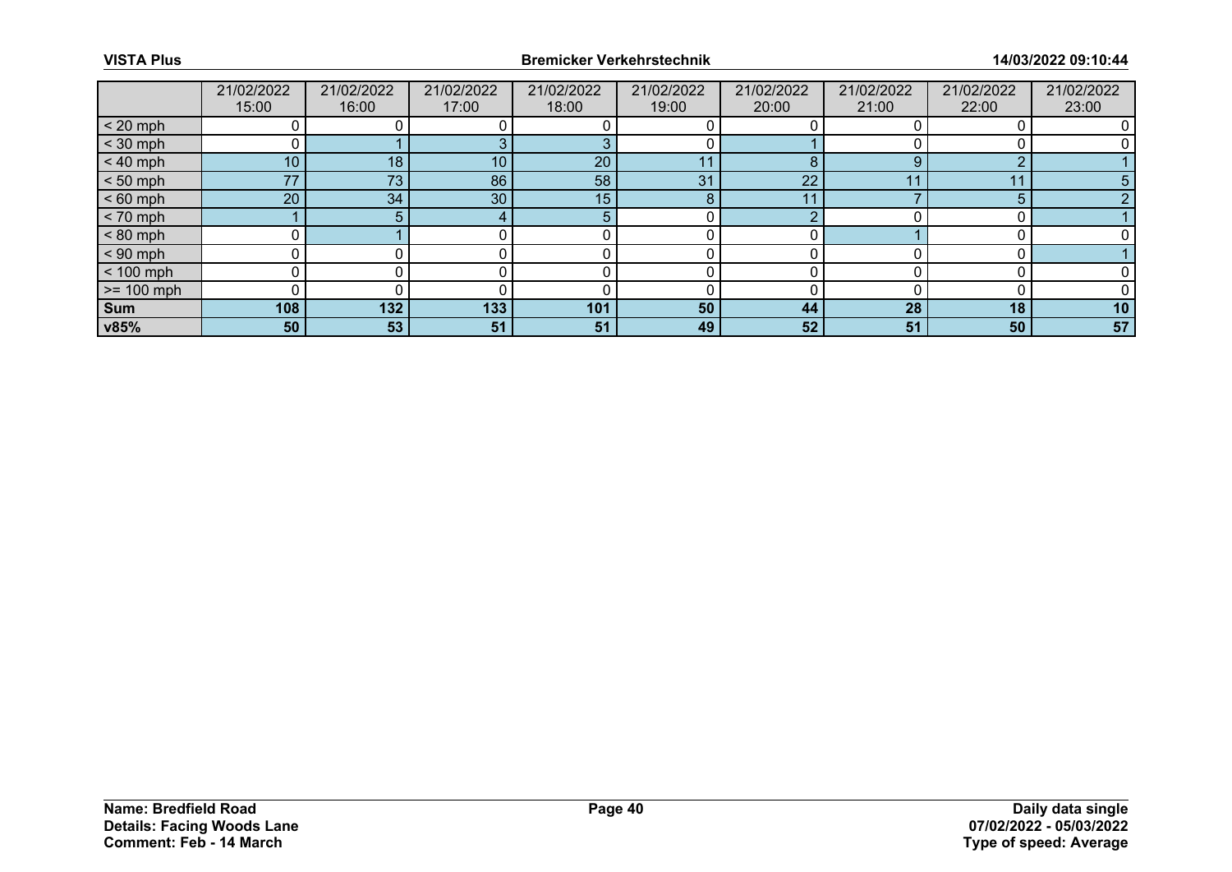|              | 21/02/2022<br>15:00 | 21/02/2022<br>16:00 | 21/02/2022<br>17:00 | 21/02/2022<br>18:00 | 21/02/2022<br>19:00 | 21/02/2022<br>20:00 | 21/02/2022<br>21:00 | 21/02/2022<br>22:00 | 21/02/2022<br>23:00 |
|--------------|---------------------|---------------------|---------------------|---------------------|---------------------|---------------------|---------------------|---------------------|---------------------|
| $< 20$ mph   |                     |                     |                     |                     |                     |                     |                     |                     |                     |
| $<$ 30 mph   |                     |                     |                     |                     |                     |                     |                     |                     |                     |
| $< 40$ mph   | 10 <sup>°</sup>     | 18                  | 10 <sub>1</sub>     | 20                  | 11                  | 8                   | 9                   | ົ                   |                     |
| $< 50$ mph   | 77                  | 73                  | 86                  | 58                  | 31                  | 22                  | 44                  | 11                  |                     |
| $< 60$ mph   | 20                  | 34                  | 30 <sup>°</sup>     | 15                  | 8                   | 11                  |                     | 5                   |                     |
| $< 70$ mph   |                     | 5.                  |                     |                     |                     | c                   |                     |                     |                     |
| $< 80$ mph   |                     |                     |                     |                     |                     |                     |                     |                     |                     |
| $< 90$ mph   |                     |                     |                     |                     |                     |                     |                     |                     |                     |
| $< 100$ mph  | 0                   |                     |                     |                     |                     |                     |                     |                     |                     |
| $>= 100$ mph |                     |                     |                     |                     |                     |                     |                     |                     |                     |
| Sum          | 108                 | 132                 | 133                 | 101                 | 50                  | 44                  | 28                  | 18                  | 10                  |
| v85%         | 50                  | 53                  | 51                  | 51                  | 49                  | 52                  | 51                  | 50                  | 57                  |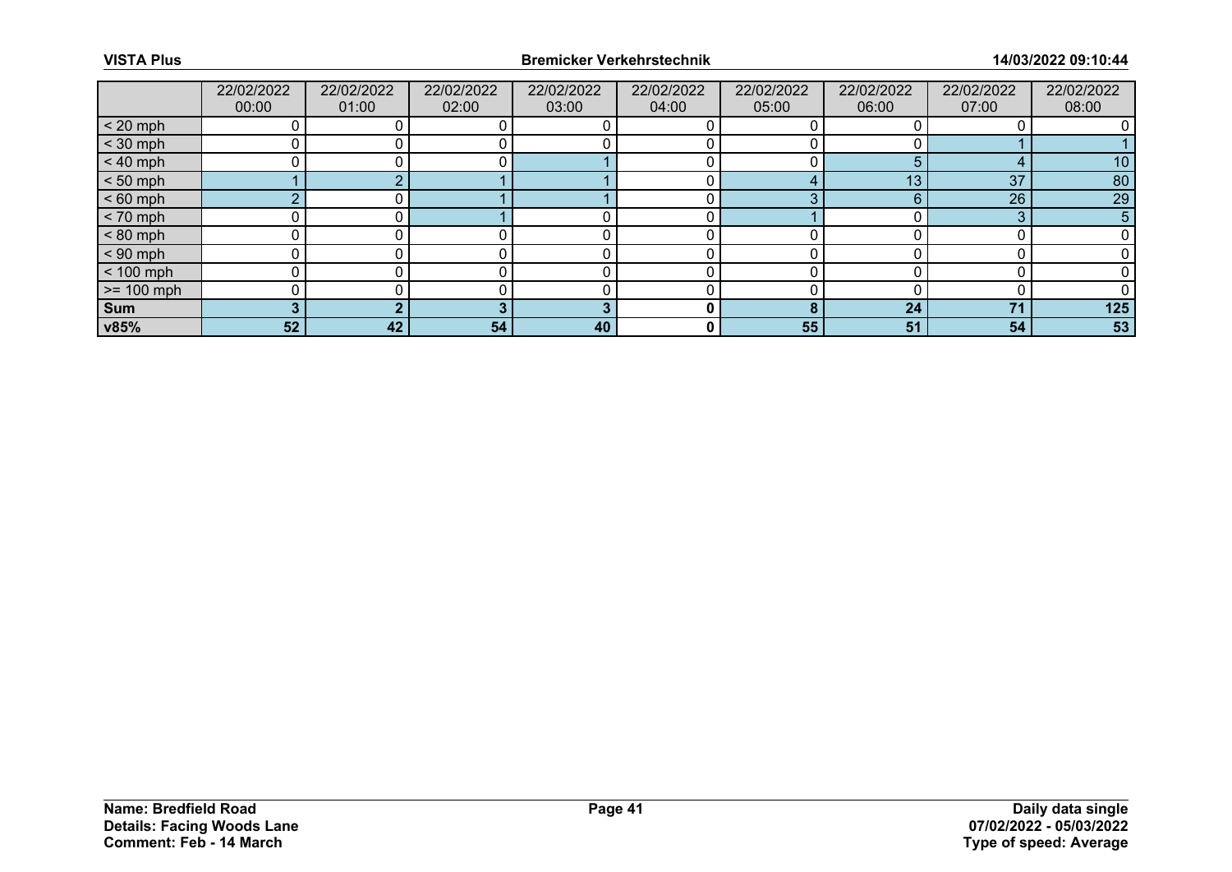|              | 22/02/2022<br>00:00 | 22/02/2022<br>01:00 | 22/02/2022<br>02:00 | 22/02/2022<br>03:00 | 22/02/2022<br>04:00 | 22/02/2022<br>05:00 | 22/02/2022<br>06:00 | 22/02/2022<br>07:00 | 22/02/2022<br>08:00 |
|--------------|---------------------|---------------------|---------------------|---------------------|---------------------|---------------------|---------------------|---------------------|---------------------|
| $< 20$ mph   |                     |                     |                     |                     |                     |                     |                     |                     |                     |
| $<$ 30 mph   |                     |                     |                     |                     |                     |                     |                     |                     |                     |
| $< 40$ mph   |                     |                     |                     |                     |                     |                     |                     |                     | 10                  |
| $< 50$ mph   |                     |                     |                     |                     |                     | 4                   | 13                  | 37                  | 80                  |
| $< 60$ mph   | $\sim$              |                     |                     |                     |                     | ◠                   |                     | 26                  | 29                  |
| $< 70$ mph   |                     |                     |                     |                     |                     |                     |                     | 3                   | 5                   |
| $< 80$ mph   |                     |                     |                     |                     |                     |                     |                     |                     |                     |
| $< 90$ mph   |                     |                     |                     |                     |                     |                     |                     |                     |                     |
| $< 100$ mph  |                     |                     |                     |                     |                     |                     |                     |                     |                     |
| $>= 100$ mph |                     |                     |                     |                     |                     |                     |                     |                     |                     |
| <b>Sum</b>   |                     |                     |                     |                     |                     | я                   | 24                  | 71                  | 125                 |
| v85%         | 52                  | 42                  | 54                  | 40                  | 0                   | 55                  | 51                  | 54                  | 53                  |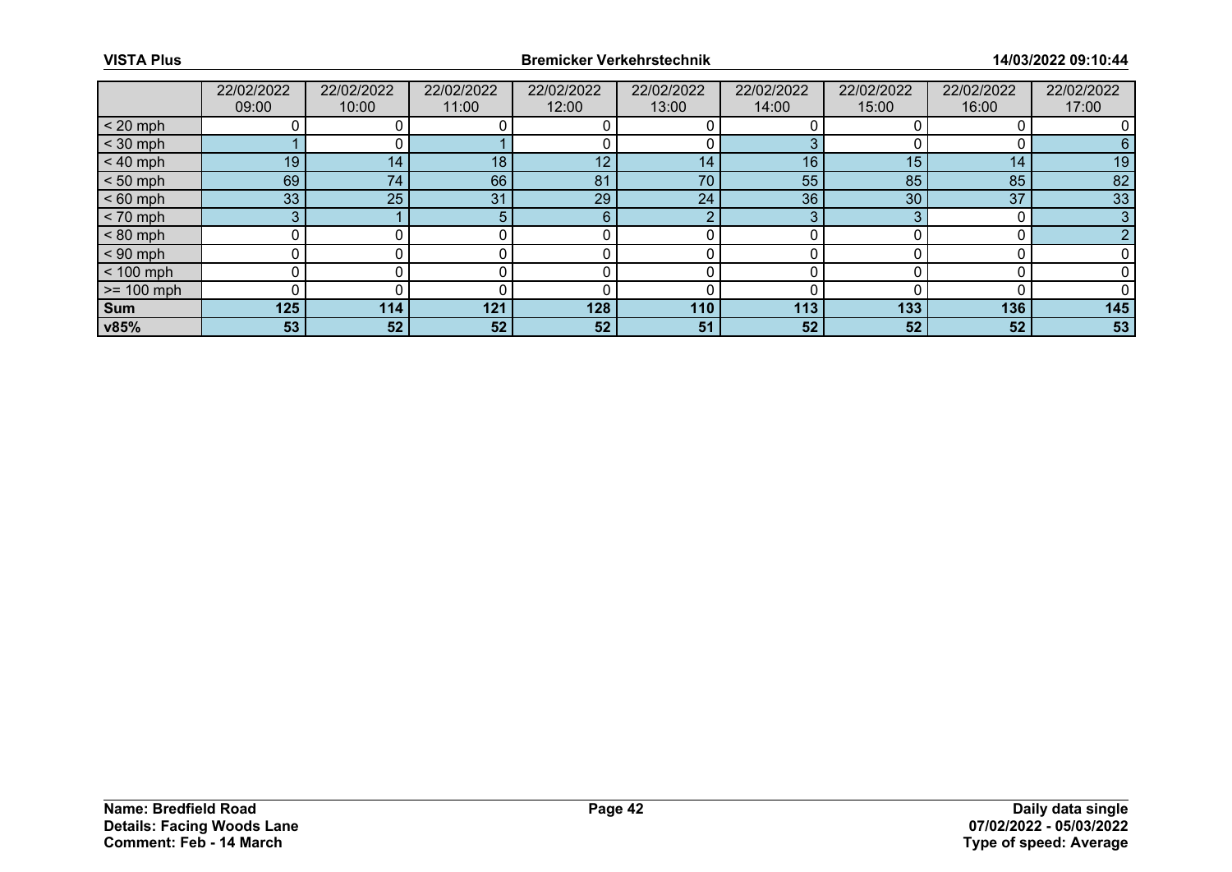|              | 22/02/2022 | 22/02/2022 | 22/02/2022      | 22/02/2022 | 22/02/2022 | 22/02/2022 | 22/02/2022      | 22/02/2022 | 22/02/2022 |
|--------------|------------|------------|-----------------|------------|------------|------------|-----------------|------------|------------|
|              | 09:00      | 10:00      | 11:00           | 12:00      | 13:00      | 14:00      | 15:00           | 16:00      | 17:00      |
| $< 20$ mph   |            |            |                 |            |            |            |                 |            |            |
| $<$ 30 mph   |            |            |                 |            |            |            |                 |            |            |
| $< 40$ mph   | 19         | 14         | 18 <sub>1</sub> | 12         | 14         | 16         | 15              | 14         | 19         |
| $< 50$ mph   | 69         | 74         | 66              | 81         | 70         | 55         | 85              | 85         | 82         |
| $< 60$ mph   | 33         | 25         | 31              | 29         | 24         | 36         | 30 <sup>°</sup> | 37         | 33         |
| $< 70$ mph   | 3          |            |                 | 6          | റ          | ົ          |                 |            | 3          |
| $< 80$ mph   |            |            |                 |            |            |            |                 |            |            |
| $< 90$ mph   |            |            |                 |            |            |            |                 |            |            |
| $< 100$ mph  |            |            |                 |            |            |            |                 |            |            |
| $>= 100$ mph |            |            |                 |            |            |            |                 |            |            |
| <b>Sum</b>   | 125        | 114        | 121             | 128        | 110        | 113        | 133             | 136        | 145        |
| v85%         | 53         | 52         | 52              | 52         | 51         | 52         | 52              | 52         | 53         |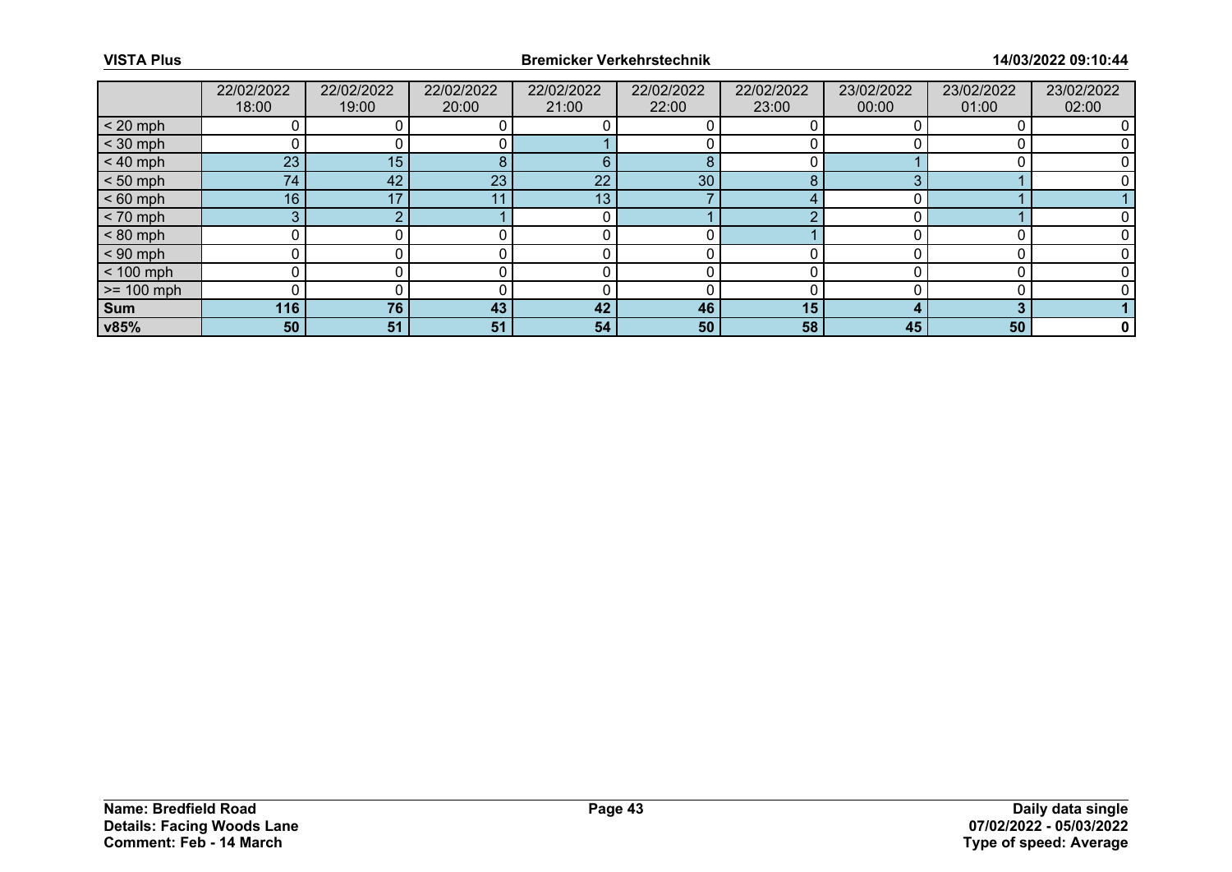|              | 22/02/2022 | 22/02/2022 | 22/02/2022 | 22/02/2022 | 22/02/2022 | 22/02/2022 | 23/02/2022 | 23/02/2022 | 23/02/2022 |
|--------------|------------|------------|------------|------------|------------|------------|------------|------------|------------|
|              | 18:00      | 19:00      | 20:00      | 21:00      | 22:00      | 23:00      | 00:00      | 01:00      | 02:00      |
| $< 20$ mph   |            |            |            |            |            |            |            |            |            |
| $<$ 30 mph   |            |            |            |            |            |            |            |            |            |
| $< 40$ mph   | 23         | 15         | 8          | 6          | 8          |            |            |            |            |
| $< 50$ mph   | 74         | 42         | 23         | 22         | 30         | 8          |            |            |            |
| $< 60$ mph   | 16         | 17         |            | 13         |            |            |            |            |            |
| $< 70$ mph   | 3          |            |            |            |            |            |            |            |            |
| $< 80$ mph   |            |            |            |            |            |            |            |            |            |
| $< 90$ mph   |            |            |            |            |            |            |            |            |            |
| $< 100$ mph  |            |            |            |            |            |            |            |            |            |
| $>= 100$ mph |            |            |            |            |            |            |            |            |            |
| <b>Sum</b>   | 116        | 76         | 43         | 42         | 46         | 15         |            |            |            |
| v85%         | 50         | 51         | 51         | 54         | 50         | 58         | 45         | 50         | 0          |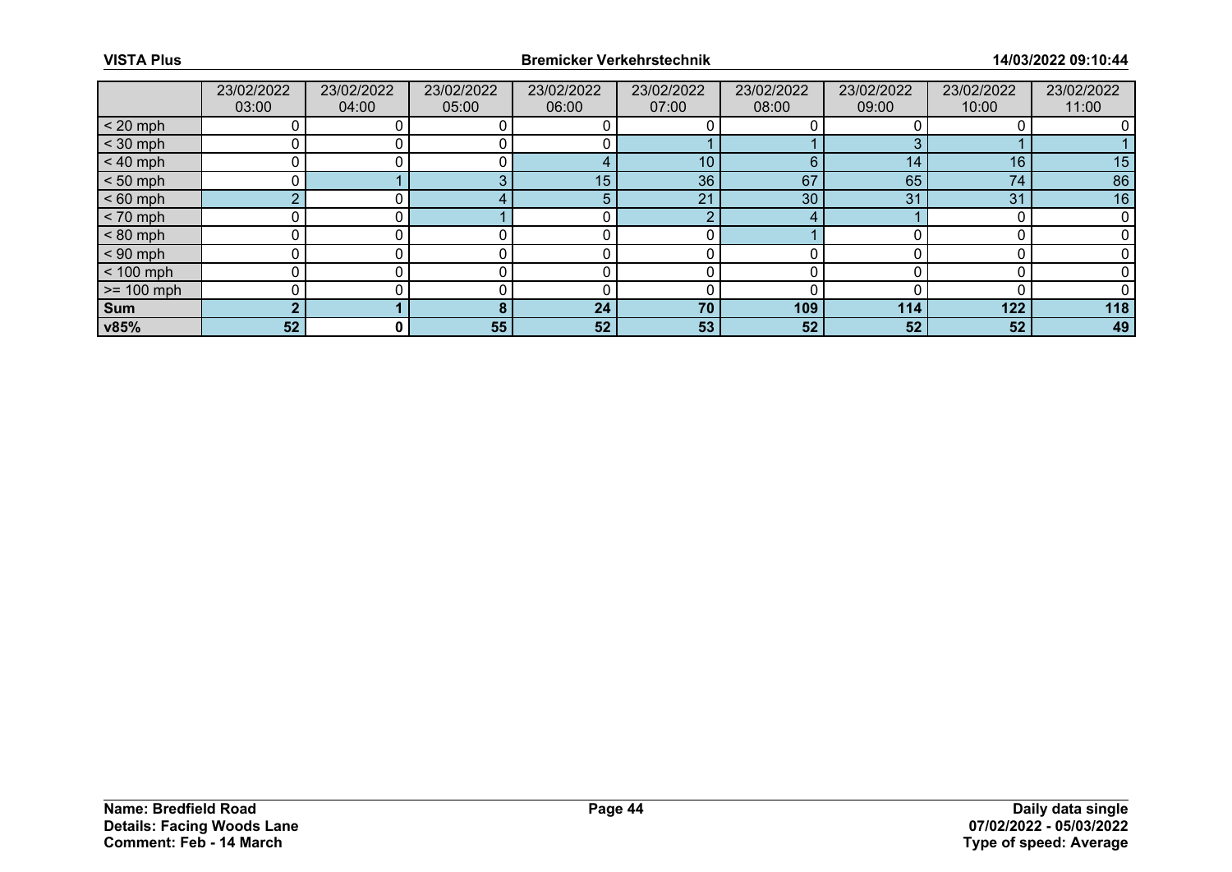|              | 23/02/2022 | 23/02/2022 | 23/02/2022 | 23/02/2022 | 23/02/2022      | 23/02/2022 | 23/02/2022 | 23/02/2022 | 23/02/2022 |
|--------------|------------|------------|------------|------------|-----------------|------------|------------|------------|------------|
|              | 03:00      | 04:00      | 05:00      | 06:00      | 07:00           | 08:00      | 09:00      | 10:00      | 11:00      |
| $< 20$ mph   |            |            |            |            |                 |            |            |            |            |
| $<$ 30 mph   |            |            |            |            |                 |            |            |            |            |
| $< 40$ mph   |            |            |            |            | 10 <sup>°</sup> | 6          | 14         | 16         | 15         |
| $< 50$ mph   |            |            |            | 15         | 36              | 67         | 65         | 74         | 86         |
| $< 60$ mph   | $\sim$     |            |            | 5          | 21              | 30         | 31         | 31         | 16         |
| $< 70$ mph   |            |            |            |            | $\Omega$        | 4          |            |            |            |
| $< 80$ mph   |            |            |            |            |                 |            |            |            |            |
| $< 90$ mph   |            |            |            |            |                 |            |            |            |            |
| $< 100$ mph  |            |            |            |            |                 |            |            |            |            |
| $>= 100$ mph |            |            |            |            |                 |            |            |            |            |
| <b>Sum</b>   |            |            |            | 24         | 70              | 109        | 114        | 122        | 118        |
| v85%         | 52         | 0          | 55         | 52         | 53              | 52         | 52         | 52         | 49         |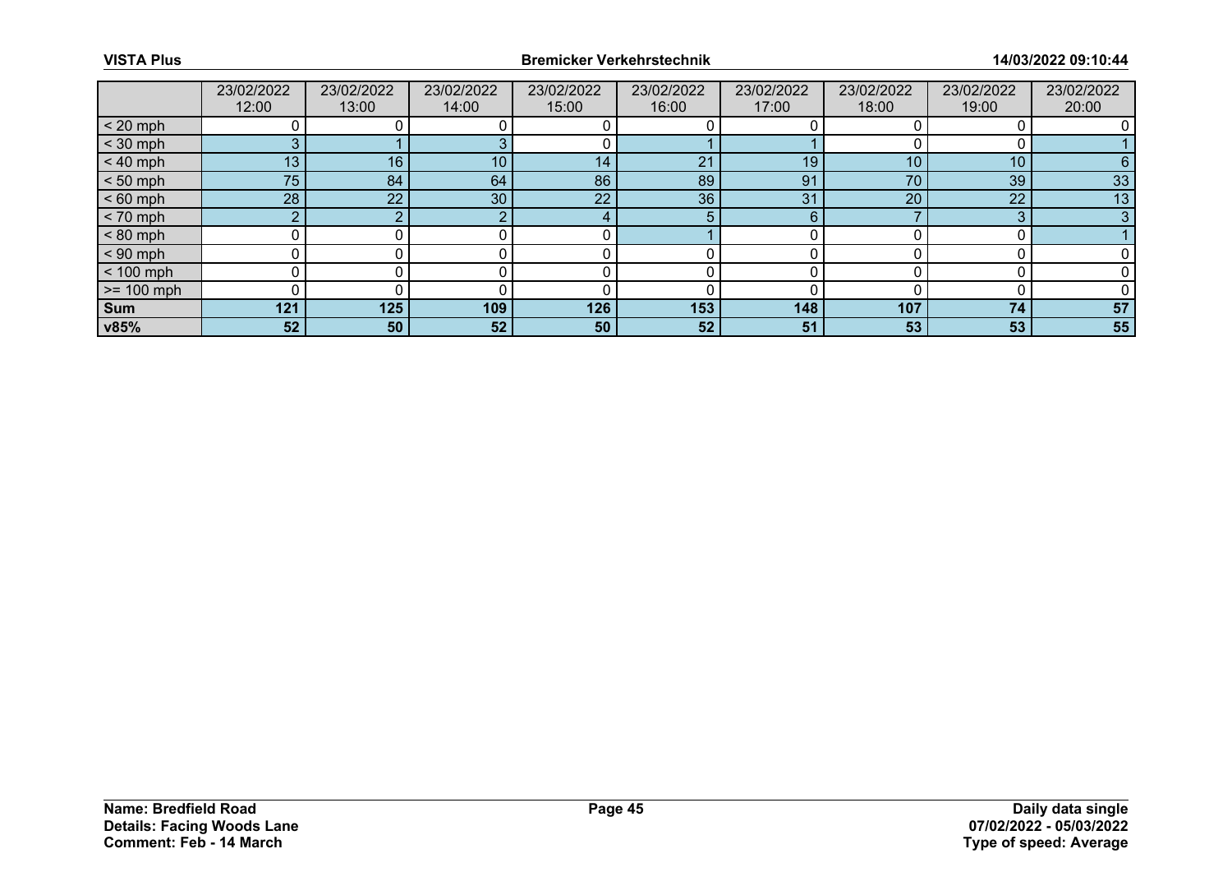|              | 23/02/2022      | 23/02/2022 | 23/02/2022 | 23/02/2022 | 23/02/2022 | 23/02/2022 | 23/02/2022 | 23/02/2022      | 23/02/2022 |
|--------------|-----------------|------------|------------|------------|------------|------------|------------|-----------------|------------|
|              | 12:00           | 13:00      | 14:00      | 15:00      | 16:00      | 17:00      | 18:00      | 19:00           | 20:00      |
| $< 20$ mph   |                 |            |            |            |            |            |            |                 |            |
| $<$ 30 mph   |                 |            |            |            |            |            |            |                 |            |
| $< 40$ mph   | 13              | 16         | 10         | 14         | 21         | 19         | 10         | 10 <sup>°</sup> | 6          |
| $< 50$ mph   | 75              | 84         | 64         | 86         | 89         | 91         | 70         | 39              | 33         |
| $< 60$ mph   | 28              | 22         | 30         | 22         | 36         | 31         | 20         | 22              | 13         |
| $< 70$ mph   | o.              |            |            |            | 5          | 6          |            | 3               | 3          |
| $< 80$ mph   |                 |            |            |            |            |            |            |                 |            |
| $< 90$ mph   |                 |            |            |            |            |            |            |                 |            |
| $< 100$ mph  |                 |            |            |            |            |            |            |                 |            |
| $>= 100$ mph |                 |            |            |            |            |            |            |                 |            |
| Sum          | 121             | 125        | 109        | 126        | 153        | 148        | 107        | 74              | 57         |
| v85%         | 52 <sub>2</sub> | 50         | 52         | 50         | 52         | 51         | 53         | 53              | 55         |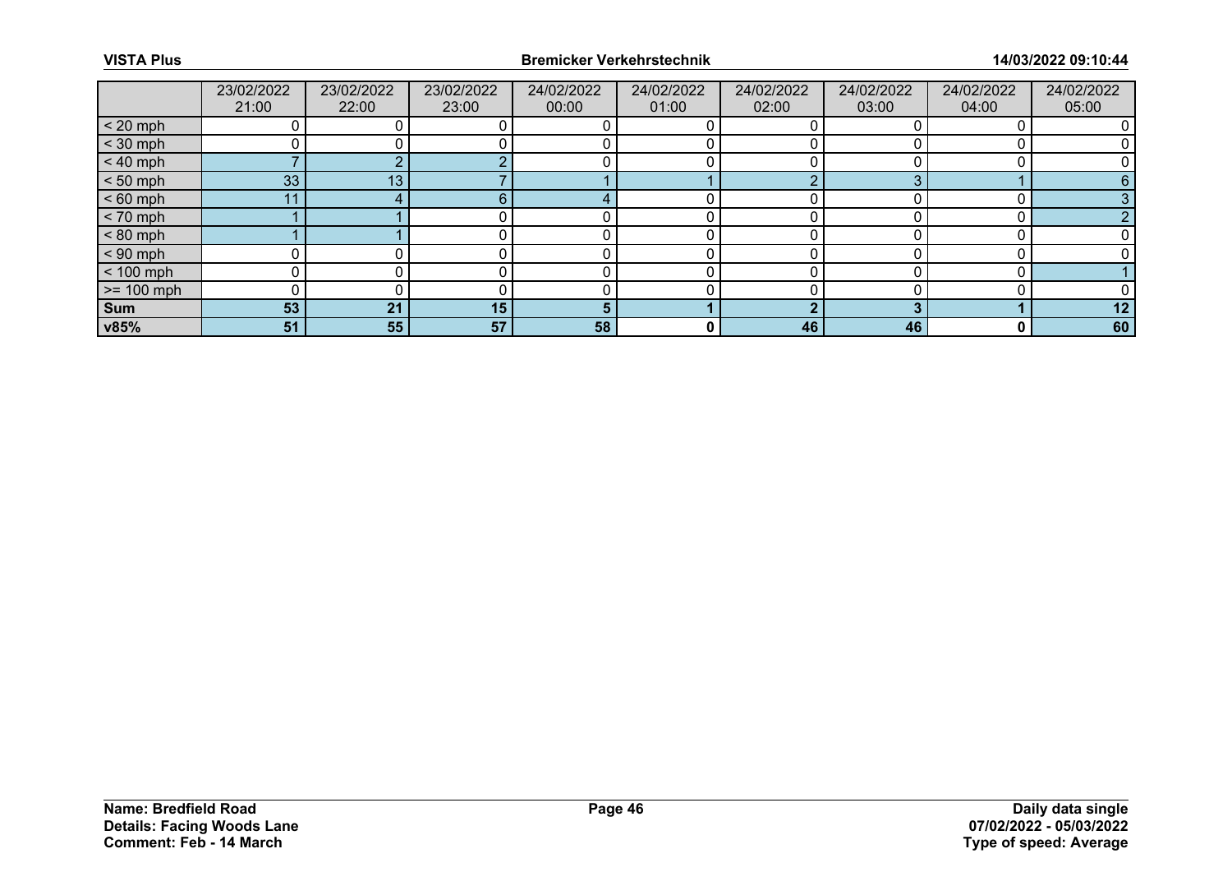|                 | 23/02/2022<br>21:00 | 23/02/2022<br>22:00 | 23/02/2022<br>23:00 | 24/02/2022<br>00:00 | 24/02/2022<br>01:00 | 24/02/2022<br>02:00 | 24/02/2022<br>03:00 | 24/02/2022<br>04:00 | 24/02/2022<br>05:00 |
|-----------------|---------------------|---------------------|---------------------|---------------------|---------------------|---------------------|---------------------|---------------------|---------------------|
| $< 20$ mph      |                     |                     |                     |                     |                     |                     |                     |                     |                     |
| $<$ 30 mph      |                     |                     |                     |                     |                     |                     |                     |                     |                     |
| $< 40$ mph      |                     |                     |                     |                     |                     |                     |                     |                     |                     |
| $< 50$ mph      | 33                  | 13                  |                     |                     |                     |                     |                     |                     |                     |
| $< 60$ mph      | 11                  |                     | ิค                  |                     |                     |                     |                     |                     |                     |
| $< 70$ mph      |                     |                     |                     |                     |                     |                     |                     |                     |                     |
| $< 80$ mph      |                     |                     |                     |                     |                     |                     |                     |                     |                     |
| $< 90$ mph      |                     |                     |                     |                     |                     |                     |                     |                     |                     |
| $< 100$ mph     | 0                   |                     |                     |                     |                     |                     |                     |                     |                     |
| $\ge$ = 100 mph |                     |                     |                     |                     |                     |                     |                     |                     |                     |
| Sum             | 53                  | 21                  | 15                  |                     |                     |                     |                     |                     | 12                  |
| v85%            | 51                  | 55                  | 57                  | 58                  | 0                   | 46                  | 46                  | 0                   | 60                  |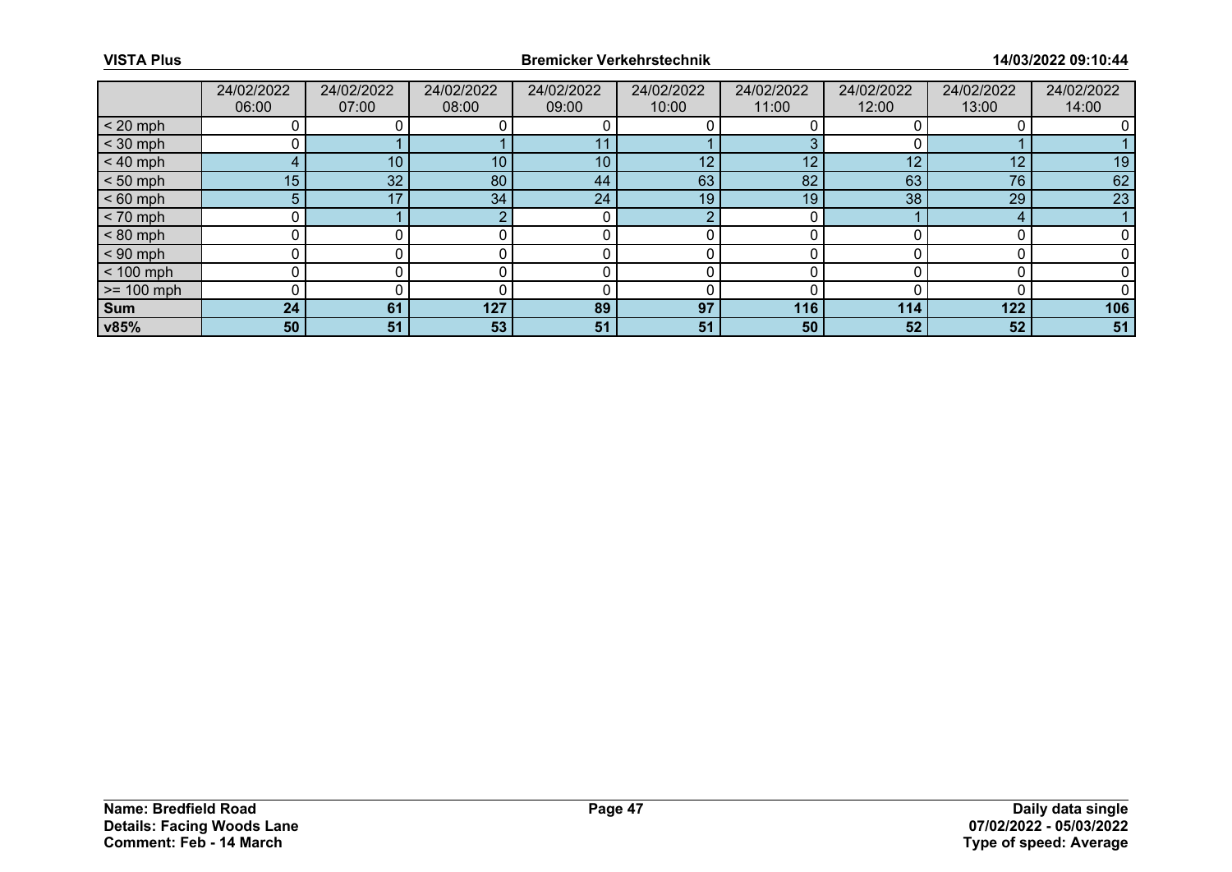|              | 24/02/2022      | 24/02/2022 | 24/02/2022 | 24/02/2022 | 24/02/2022      | 24/02/2022 | 24/02/2022 | 24/02/2022 | 24/02/2022 |
|--------------|-----------------|------------|------------|------------|-----------------|------------|------------|------------|------------|
|              | 06:00           | 07:00      | 08:00      | 09:00      | 10:00           | 11:00      | 12:00      | 13:00      | 14:00      |
| $< 20$ mph   |                 |            |            |            |                 |            |            |            |            |
| $<$ 30 mph   |                 |            |            | 11         |                 |            |            |            |            |
| $< 40$ mph   |                 | 10         | 10         | 10         | 12 <sup>2</sup> | 12         | 12         | 12         | 19         |
| $< 50$ mph   | 15 <sub>1</sub> | 32         | 80         | 44         | 63              | 82         | 63         | 76         | 62         |
| $< 60$ mph   | 5.              | 17         | 34         | 24         | 19              | 19         | 38         | 29         | 23         |
| $< 70$ mph   |                 |            |            |            | റ               |            |            |            |            |
| $< 80$ mph   |                 |            |            |            |                 |            |            |            |            |
| $< 90$ mph   |                 |            |            |            |                 |            |            |            |            |
| $< 100$ mph  |                 |            |            |            |                 |            |            |            |            |
| $>= 100$ mph |                 |            |            |            |                 |            |            |            |            |
| <b>Sum</b>   | 24              | 61         | 127        | 89         | 97              | 116        | 114        | 122        | 106        |
| v85%         | 50              | 51         | 53         | 51         | 51              | 50         | 52         | 52         | 51         |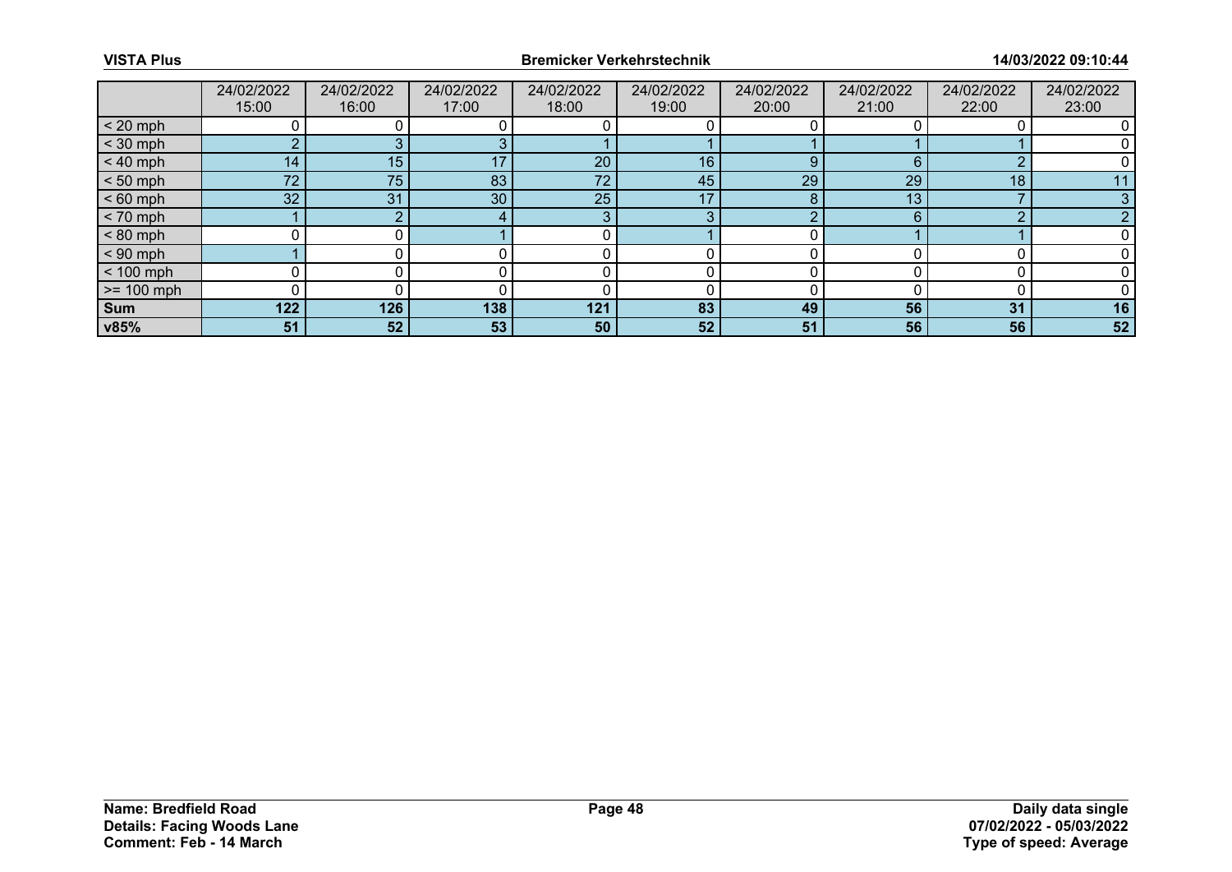|              | 24/02/2022<br>15:00 | 24/02/2022<br>16:00 | 24/02/2022<br>17:00 | 24/02/2022<br>18:00 | 24/02/2022<br>19:00 | 24/02/2022<br>20:00 | 24/02/2022<br>21:00 | 24/02/2022<br>22:00 | 24/02/2022<br>23:00 |
|--------------|---------------------|---------------------|---------------------|---------------------|---------------------|---------------------|---------------------|---------------------|---------------------|
| $< 20$ mph   |                     |                     |                     |                     |                     |                     |                     |                     |                     |
| $<$ 30 mph   | ◠                   |                     |                     |                     |                     |                     |                     |                     |                     |
| $< 40$ mph   | 14 <sub>1</sub>     | 15                  | 17                  | 20                  | 16                  | 9                   | 6                   | ◠                   |                     |
| $< 50$ mph   | 72 <sup>°</sup>     | 75                  | 83                  | 72                  | 45                  | 29                  | 29                  | 18                  |                     |
| $< 60$ mph   | 32                  | 31                  | 30                  | 25                  | 17                  |                     | 13                  |                     |                     |
| $< 70$ mph   |                     |                     |                     | $\bullet$           | 3                   |                     | 6                   | n                   |                     |
| $< 80$ mph   |                     |                     |                     |                     |                     |                     |                     |                     |                     |
| $< 90$ mph   |                     |                     |                     |                     |                     |                     |                     |                     |                     |
| $< 100$ mph  | ი                   |                     |                     |                     |                     |                     |                     |                     |                     |
| $>= 100$ mph |                     |                     |                     |                     |                     |                     |                     |                     |                     |
| <b>Sum</b>   | 122                 | 126                 | 138                 | 121                 | 83                  | 49                  | 56                  | 31                  | 16                  |
| v85%         | 51                  | 52                  | 53                  | 50                  | 52 <sub>1</sub>     | 51                  | 56                  | 56                  | 52                  |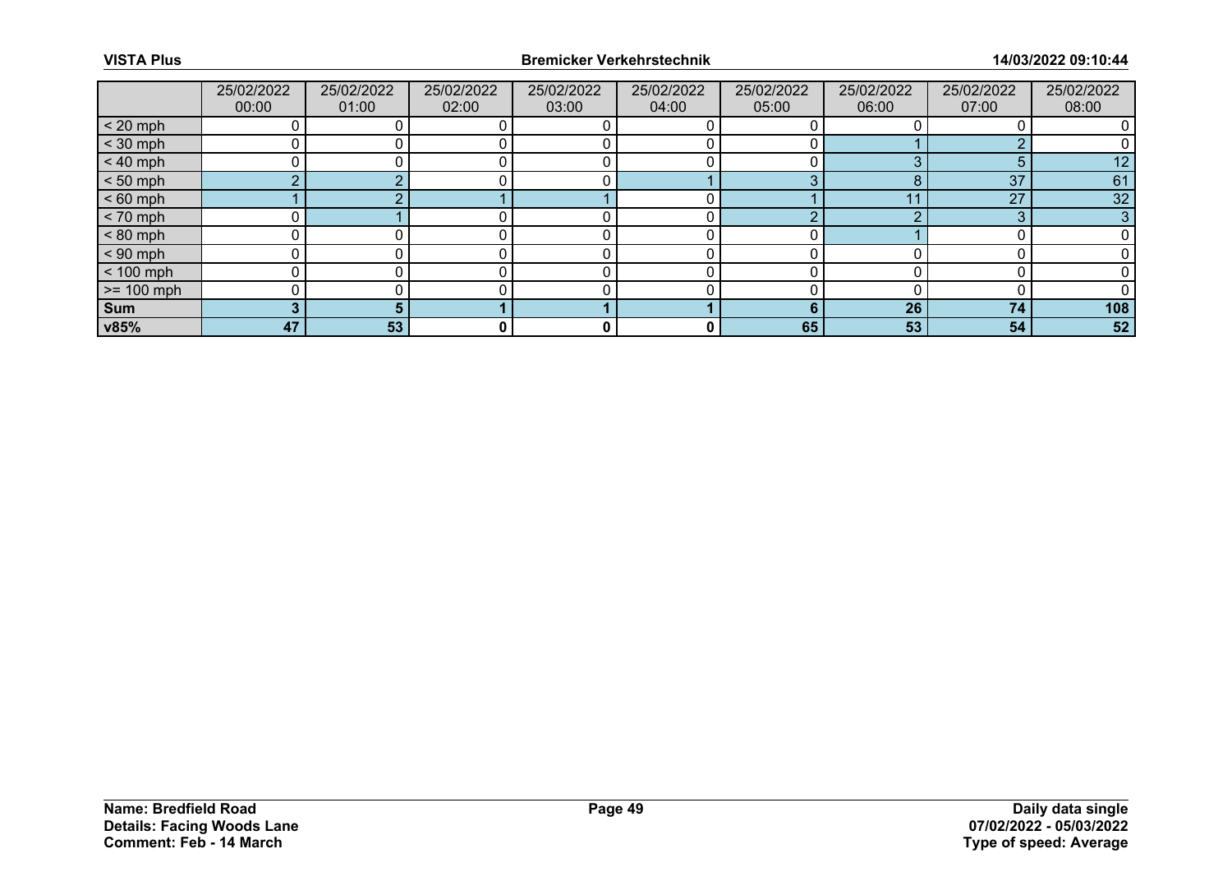|              | 25/02/2022<br>00:00 | 25/02/2022<br>01:00 | 25/02/2022<br>02:00 | 25/02/2022<br>03:00 | 25/02/2022<br>04:00 | 25/02/2022<br>05:00 | 25/02/2022<br>06:00 | 25/02/2022<br>07:00 | 25/02/2022<br>08:00 |
|--------------|---------------------|---------------------|---------------------|---------------------|---------------------|---------------------|---------------------|---------------------|---------------------|
| $< 20$ mph   |                     |                     |                     |                     |                     |                     |                     |                     |                     |
| $<$ 30 mph   |                     |                     |                     |                     |                     |                     |                     |                     |                     |
| $< 40$ mph   |                     |                     |                     |                     |                     |                     |                     | 5                   | 12                  |
| $< 50$ mph   |                     |                     |                     |                     |                     | $\sim$              |                     | 37                  | 61                  |
| $< 60$ mph   |                     |                     |                     |                     |                     |                     |                     | 27                  | 32                  |
| $< 70$ mph   |                     |                     |                     |                     |                     | $\sqrt{ }$          |                     | 3                   | 3                   |
| $< 80$ mph   |                     |                     |                     |                     |                     |                     |                     |                     |                     |
| $< 90$ mph   |                     |                     |                     |                     |                     |                     |                     |                     |                     |
| $< 100$ mph  |                     |                     |                     |                     |                     |                     |                     |                     |                     |
| $>= 100$ mph |                     |                     |                     |                     |                     |                     |                     |                     |                     |
| <b>Sum</b>   |                     |                     |                     |                     |                     |                     | 26                  | 74                  | 108                 |
| v85%         | 47                  | 53                  | 0                   | 0                   | 0                   | 65                  | 53                  | 54                  | 52                  |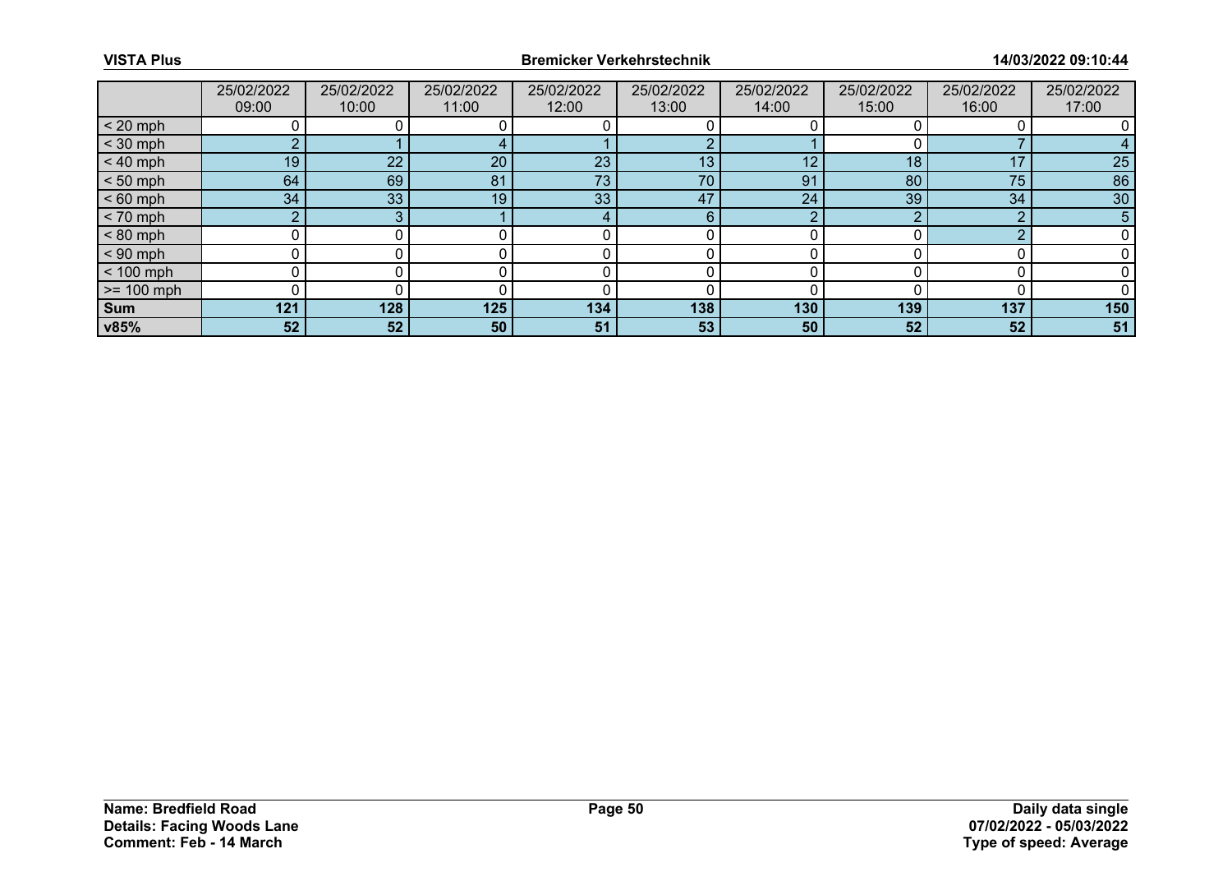|              | 25/02/2022 | 25/02/2022 | 25/02/2022 | 25/02/2022 | 25/02/2022 | 25/02/2022 | 25/02/2022 | 25/02/2022 | 25/02/2022 |
|--------------|------------|------------|------------|------------|------------|------------|------------|------------|------------|
|              | 09:00      | 10:00      | 11:00      | 12:00      | 13:00      | 14:00      | 15:00      | 16:00      | 17:00      |
| $< 20$ mph   |            |            |            |            |            |            |            |            |            |
| $<$ 30 mph   | o.         |            |            |            |            |            |            |            |            |
| $< 40$ mph   | 19         | 22         | 20         | 23         | 13         | 12         | 18         | 17         | 25         |
| $< 50$ mph   | 64         | 69         | 81         | 73         | 70         | 91         | 80         | 75         | 86         |
| $< 60$ mph   | 34         | 33         | 19         | 33         | 47         | 24         | 39         | 34         | 30         |
| $< 70$ mph   | o.         | ີ          |            |            | 6          | o          |            | ⌒          | 5          |
| $< 80$ mph   |            |            |            |            |            |            |            |            |            |
| $< 90$ mph   |            |            |            |            |            |            |            |            |            |
| $< 100$ mph  | U          |            |            |            |            |            |            |            |            |
| $>= 100$ mph |            |            |            |            |            |            |            |            |            |
| <b>Sum</b>   | 121        | 128        | 125        | 134        | 138        | 130        | 139        | 137        | 150        |
| v85%         | 52         | 52         | 50         | 51         | 53         | 50         | 52         | 52         | 51         |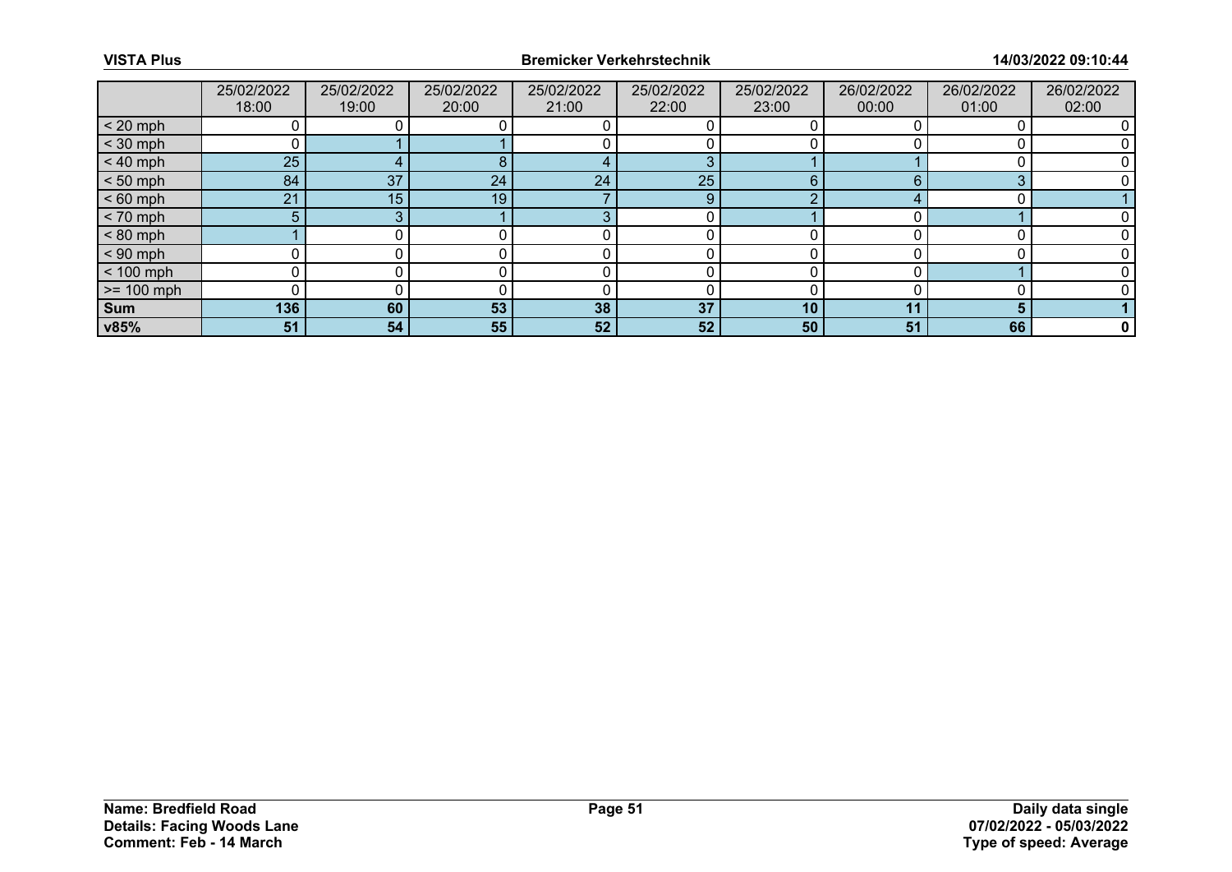|              | 25/02/2022 | 25/02/2022 | 25/02/2022 | 25/02/2022 | 25/02/2022 | 25/02/2022 | 26/02/2022 | 26/02/2022 | 26/02/2022 |
|--------------|------------|------------|------------|------------|------------|------------|------------|------------|------------|
|              | 18:00      | 19:00      | 20:00      | 21:00      | 22:00      | 23:00      | 00:00      | 01:00      | 02:00      |
| $< 20$ mph   |            |            |            |            |            |            |            |            |            |
| $<$ 30 mph   |            |            |            |            |            |            |            |            |            |
| $< 40$ mph   | 25         |            | 8          |            | 3          |            |            |            |            |
| $< 50$ mph   | 84         | 37         | 24         | 24         | 25         | 6          |            | ◠          |            |
| $< 60$ mph   | 21         | 15         | 19         |            | 9          | $\sqrt{ }$ |            |            |            |
| $< 70$ mph   | 5          |            |            | c          |            |            |            |            |            |
| $< 80$ mph   |            |            |            |            |            |            |            |            |            |
| $< 90$ mph   |            |            |            |            |            |            |            |            |            |
| $< 100$ mph  |            |            |            |            |            |            |            |            |            |
| $>= 100$ mph |            |            |            |            |            |            |            |            |            |
| <b>Sum</b>   | 136        | 60         | 53         | 38         | 37         | 10         | 44         |            |            |
| v85%         | 51         | 54         | 55         | 52         | 52         | 50         | 51         | 66         | 0          |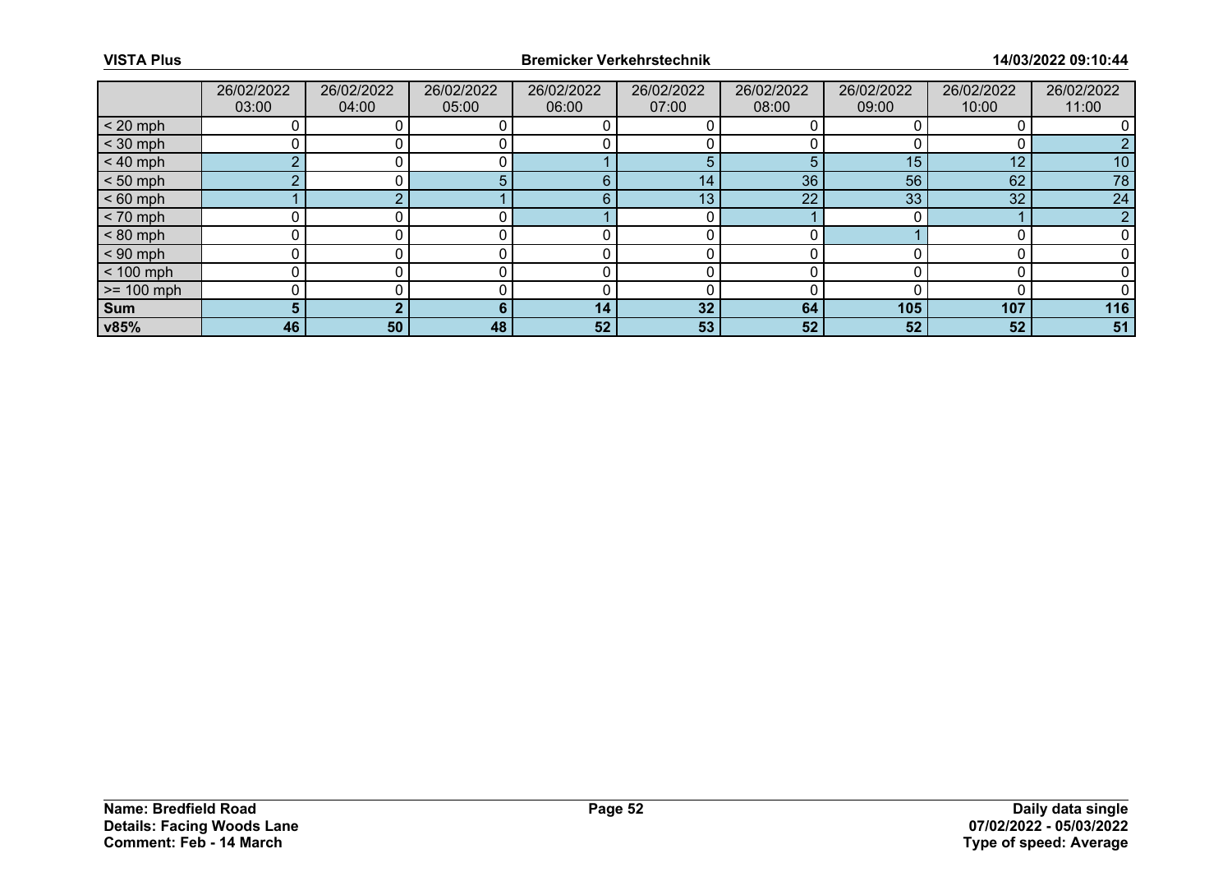|                 | 26/02/2022<br>03:00 | 26/02/2022<br>04:00 | 26/02/2022<br>05:00 | 26/02/2022<br>06:00 | 26/02/2022<br>07:00 | 26/02/2022<br>08:00 | 26/02/2022<br>09:00 | 26/02/2022<br>10:00 | 26/02/2022<br>11:00 |
|-----------------|---------------------|---------------------|---------------------|---------------------|---------------------|---------------------|---------------------|---------------------|---------------------|
| $< 20$ mph      |                     |                     |                     |                     |                     |                     |                     |                     |                     |
| $<$ 30 mph      |                     |                     |                     |                     |                     |                     |                     |                     |                     |
| $< 40$ mph      | $\sim$              |                     |                     |                     | 5                   | 5                   | 15                  | 12                  | 10                  |
| $< 50$ mph      |                     |                     |                     | F                   | 14 <sub>1</sub>     | 36                  | 56                  | 62                  | 78                  |
| $< 60$ mph      |                     |                     |                     | F                   | 13                  | 22                  | 33                  | 32                  | 24                  |
| $< 70$ mph      |                     |                     |                     |                     |                     |                     |                     |                     | n                   |
| $< 80$ mph      |                     |                     |                     |                     |                     |                     |                     |                     |                     |
| $< 90$ mph      | 0                   |                     |                     |                     |                     |                     |                     |                     |                     |
| $< 100$ mph     | 0                   |                     |                     |                     |                     |                     |                     |                     |                     |
| $\ge$ = 100 mph |                     |                     |                     |                     |                     |                     |                     |                     |                     |
| Sum             | 5.                  |                     |                     | 14                  | 32 <sup>°</sup>     | 64                  | 105                 | 107                 | 116                 |
| v85%            | 46                  | 50                  | 48                  | 52                  | 53                  | 52                  | 52                  | 52                  | 51                  |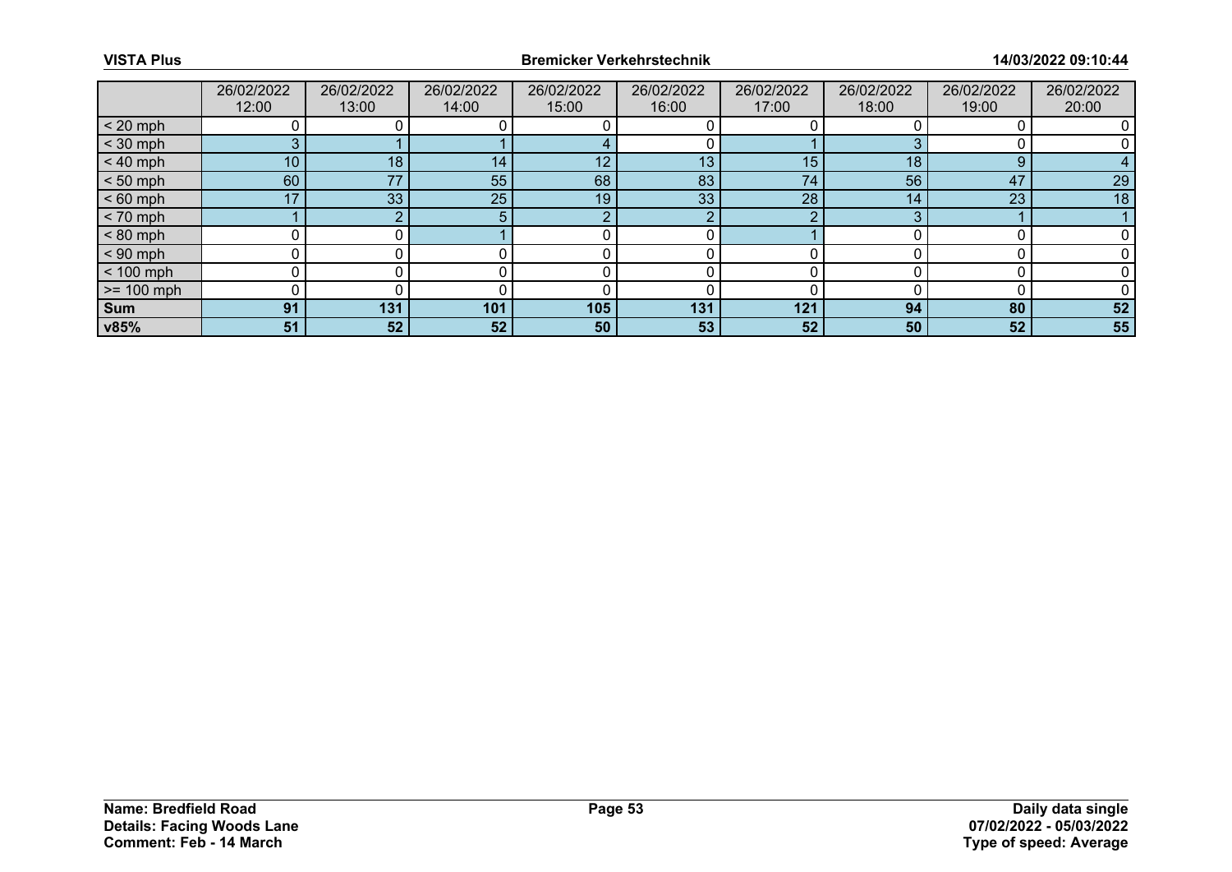|                 | 26/02/2022<br>12:00 | 26/02/2022<br>13:00 | 26/02/2022<br>14:00 | 26/02/2022<br>15:00 | 26/02/2022<br>16:00 | 26/02/2022<br>17:00 | 26/02/2022<br>18:00 | 26/02/2022<br>19:00 | 26/02/2022<br>20:00 |
|-----------------|---------------------|---------------------|---------------------|---------------------|---------------------|---------------------|---------------------|---------------------|---------------------|
| $< 20$ mph      |                     |                     |                     |                     |                     |                     |                     |                     |                     |
| $<$ 30 mph      | 3                   |                     |                     |                     |                     |                     |                     |                     |                     |
| $< 40$ mph      | 10                  | 18                  | 14                  | 12                  | 13                  | 15                  | 18                  | 9                   |                     |
| $< 50$ mph      | 60                  | 77                  | 55                  | 68                  | 83                  | 74                  | 56                  | 47                  | 29                  |
| $< 60$ mph      | 17                  | 33                  | 25                  | 19                  | 33                  | 28                  | 14                  | 23                  | 18                  |
| $< 70$ mph      |                     |                     |                     | റ                   | റ                   | ◠                   |                     |                     |                     |
| $< 80$ mph      |                     |                     |                     |                     |                     |                     |                     |                     |                     |
| $< 90$ mph      | 0                   |                     |                     |                     |                     |                     |                     |                     |                     |
| $< 100$ mph     | 0                   |                     |                     |                     |                     |                     |                     |                     |                     |
| $\ge$ = 100 mph |                     |                     |                     |                     |                     |                     |                     |                     |                     |
| Sum             | 91                  | 131                 | 101                 | 105                 | 131                 | 121                 | 94                  | 80                  | 52                  |
| v85%            | 51                  | 52                  | 52                  | 50                  | 53                  | 52                  | 50                  | 52                  | 55                  |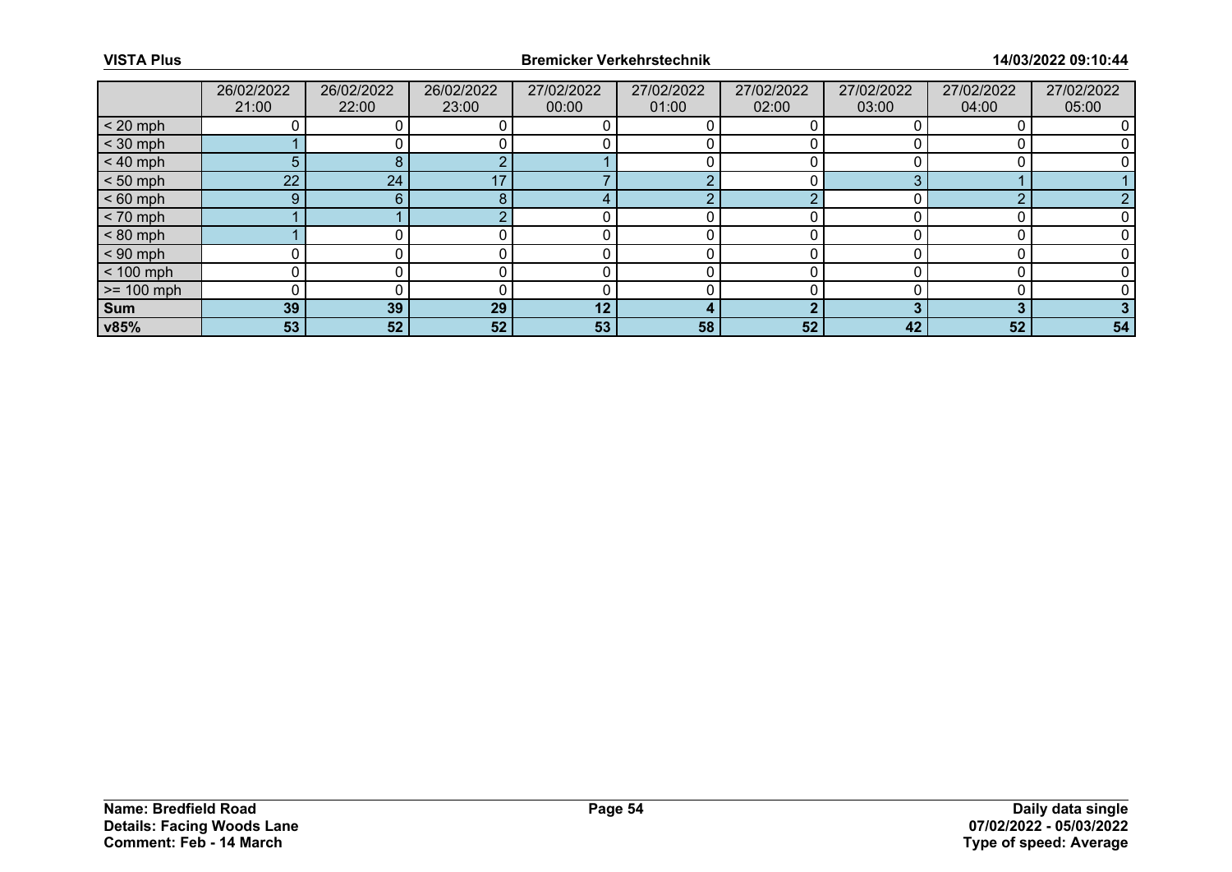|                 | 26/02/2022<br>21:00 | 26/02/2022<br>22:00 | 26/02/2022<br>23:00 | 27/02/2022<br>00:00 | 27/02/2022<br>01:00 | 27/02/2022<br>02:00 | 27/02/2022<br>03:00 | 27/02/2022<br>04:00 | 27/02/2022<br>05:00 |
|-----------------|---------------------|---------------------|---------------------|---------------------|---------------------|---------------------|---------------------|---------------------|---------------------|
| $< 20$ mph      |                     |                     |                     |                     |                     |                     |                     |                     |                     |
| $<$ 30 mph      |                     |                     |                     |                     |                     |                     |                     |                     |                     |
| $< 40$ mph      | 5.                  |                     |                     |                     |                     |                     |                     |                     |                     |
| $< 50$ mph      | $22^{\circ}$        | 24                  |                     |                     |                     |                     |                     |                     |                     |
| $< 60$ mph      | $9^{\circ}$         | 6                   | 8                   |                     | m                   |                     |                     |                     |                     |
| $< 70$ mph      |                     |                     |                     |                     |                     |                     |                     |                     |                     |
| $< 80$ mph      |                     |                     |                     |                     |                     |                     |                     |                     |                     |
| $< 90$ mph      |                     |                     |                     |                     |                     |                     |                     |                     |                     |
| $< 100$ mph     | 0                   |                     |                     |                     |                     |                     |                     |                     |                     |
| $\ge$ = 100 mph |                     |                     |                     |                     |                     |                     |                     |                     |                     |
| Sum             | 39                  | 39                  | 29                  | 12                  |                     |                     |                     |                     |                     |
| v85%            | 53                  | 52                  | 52                  | 53                  | 58                  | 52                  | 42                  | 52                  | 54                  |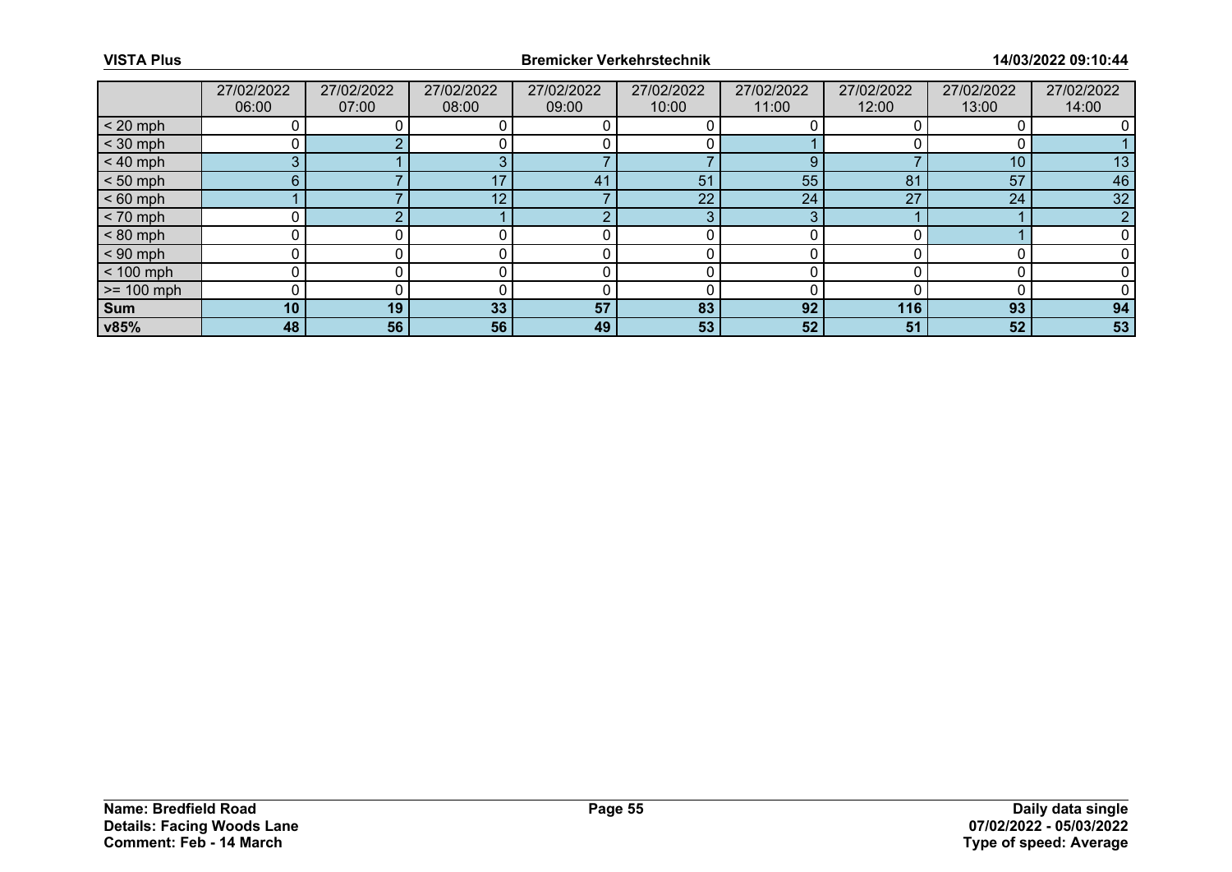|              | 27/02/2022<br>06:00 | 27/02/2022<br>07:00 | 27/02/2022<br>08:00 | 27/02/2022<br>09:00 | 27/02/2022<br>10:00 | 27/02/2022<br>11:00 | 27/02/2022<br>12:00 | 27/02/2022<br>13:00 | 27/02/2022<br>14:00 |
|--------------|---------------------|---------------------|---------------------|---------------------|---------------------|---------------------|---------------------|---------------------|---------------------|
| $< 20$ mph   |                     |                     |                     |                     |                     |                     |                     |                     |                     |
| $<$ 30 mph   |                     |                     |                     |                     |                     |                     |                     |                     |                     |
| $< 40$ mph   | 3                   |                     |                     |                     |                     | 9                   |                     | 10                  | 13                  |
| $< 50$ mph   | 6                   |                     |                     | 41                  | 51                  | 55                  | 81                  | 57                  | 46                  |
| $< 60$ mph   |                     |                     | 12 <sup>°</sup>     |                     | 22 <sup>°</sup>     | 24                  | 27                  | 24                  | 32                  |
| $< 70$ mph   |                     |                     |                     | റ                   | 3                   | 3                   |                     |                     |                     |
| $< 80$ mph   |                     |                     |                     |                     |                     |                     |                     |                     |                     |
| $< 90$ mph   |                     |                     |                     |                     |                     |                     |                     |                     |                     |
| $< 100$ mph  | ∩                   |                     |                     |                     |                     |                     |                     |                     |                     |
| $>= 100$ mph |                     |                     |                     |                     |                     |                     |                     |                     |                     |
| <b>Sum</b>   | 10 <sub>1</sub>     | 19                  | 33                  | 57                  | 83                  | 92                  | 116                 | 93                  | 94                  |
| v85%         | 48                  | 56                  | 56                  | 49                  | 53                  | 52                  | 51                  | 52                  | 53                  |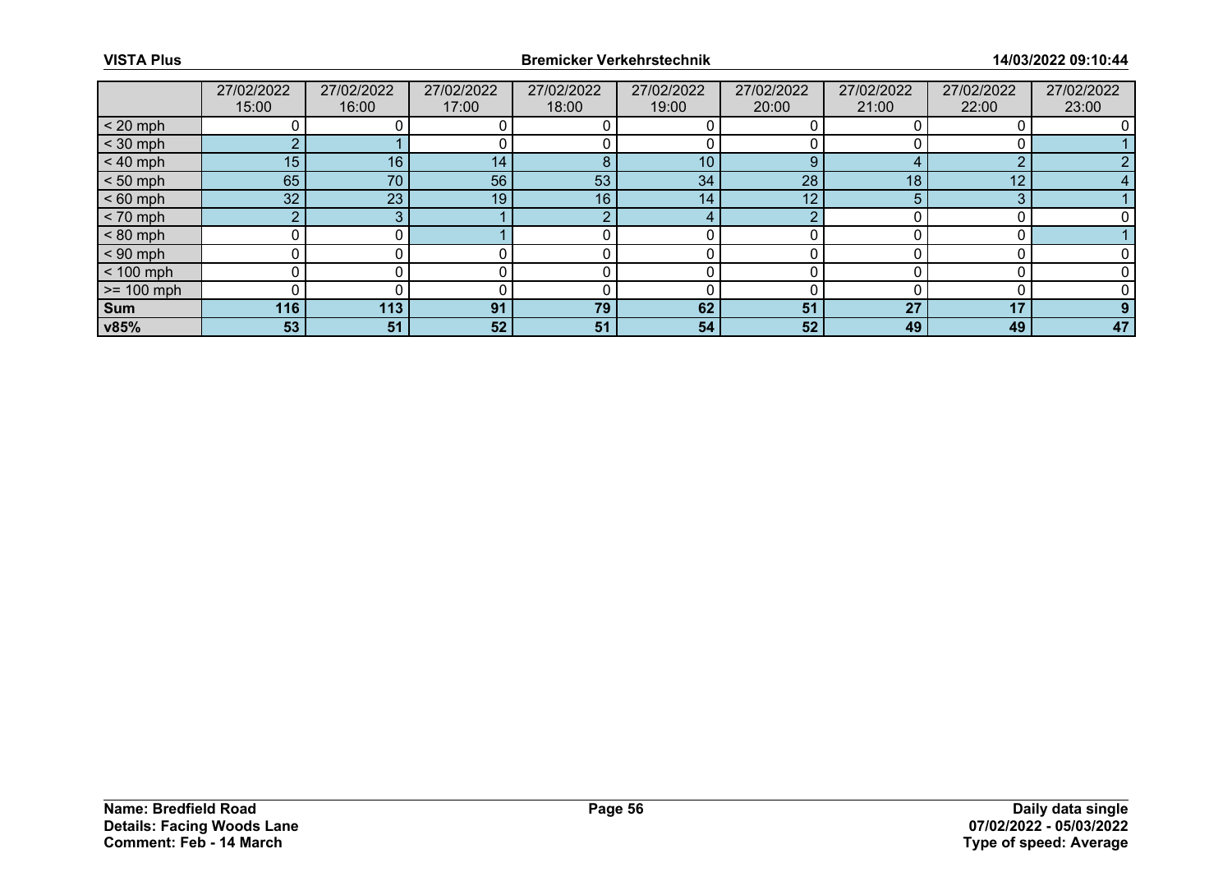|              | 27/02/2022<br>15:00 | 27/02/2022<br>16:00 | 27/02/2022<br>17:00 | 27/02/2022<br>18:00 | 27/02/2022<br>19:00 | 27/02/2022<br>20:00 | 27/02/2022<br>21:00 | 27/02/2022<br>22:00 | 27/02/2022<br>23:00 |
|--------------|---------------------|---------------------|---------------------|---------------------|---------------------|---------------------|---------------------|---------------------|---------------------|
| $< 20$ mph   |                     |                     |                     |                     |                     |                     |                     |                     |                     |
| $<$ 30 mph   | $\sim$              |                     |                     |                     |                     |                     |                     |                     |                     |
| $< 40$ mph   | 15                  | 16 <sub>1</sub>     | 14                  | 8                   | 10                  | 9                   |                     | $\sim$              |                     |
| $< 50$ mph   | 65                  | 70                  | 56                  | 53                  | 34                  | 28                  | 18                  | 12                  |                     |
| $< 60$ mph   | 32                  | 23                  | 19                  | 16                  | 14                  | 12                  |                     | ≏                   |                     |
| $< 70$ mph   | $\Omega$            |                     |                     | റ                   | 4                   | ◠                   |                     |                     |                     |
| $< 80$ mph   |                     |                     |                     |                     |                     |                     |                     |                     |                     |
| $< 90$ mph   |                     |                     |                     |                     |                     |                     |                     |                     |                     |
| $< 100$ mph  | n                   |                     |                     |                     |                     | n                   |                     |                     |                     |
| $>= 100$ mph |                     |                     |                     |                     |                     |                     |                     |                     |                     |
| <b>Sum</b>   | 116                 | 113                 | 91                  | 79                  | 62                  | 51                  | 27                  | 17                  |                     |
| v85%         | 53                  | 51                  | 52                  | 51                  | 54                  | 52                  | 49                  | 49                  | 47                  |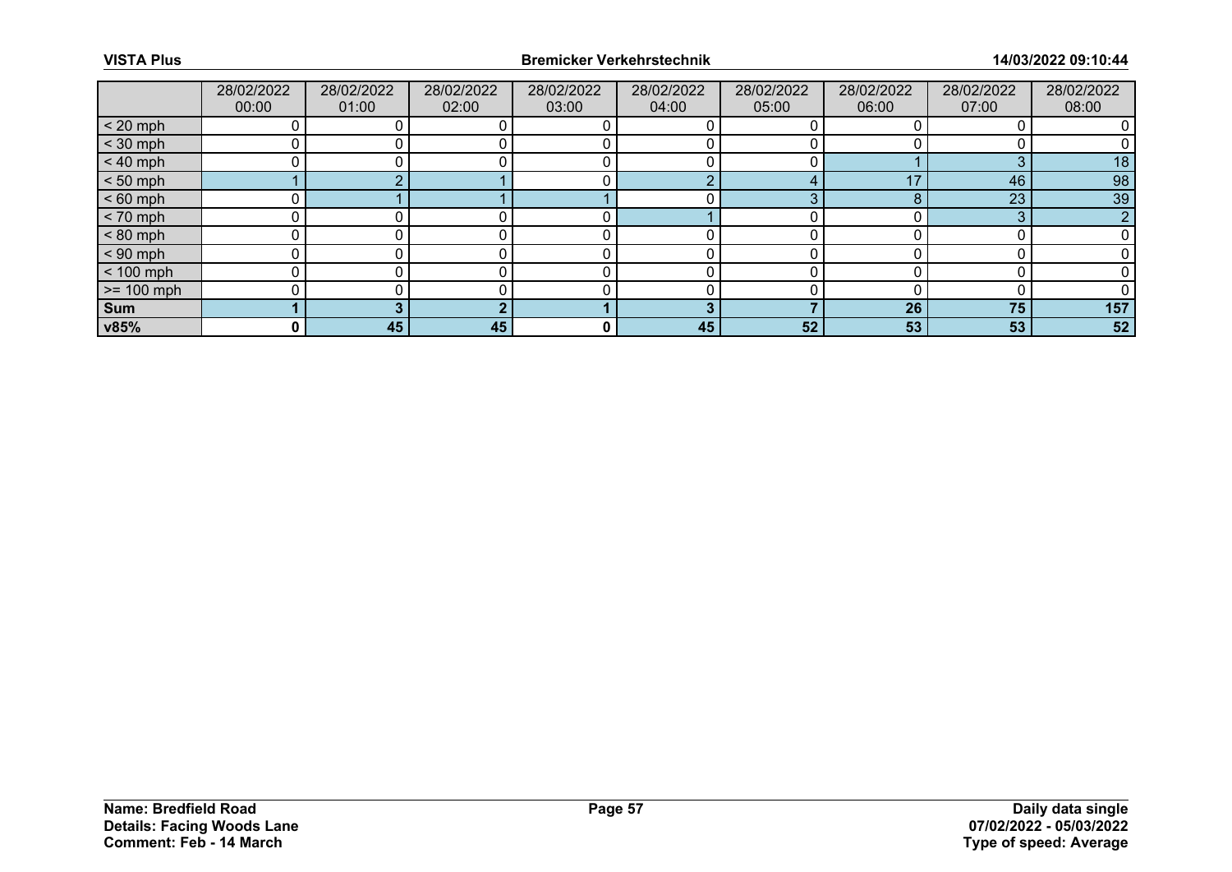|              | 28/02/2022 | 28/02/2022 | 28/02/2022 | 28/02/2022 | 28/02/2022 | 28/02/2022 | 28/02/2022 | 28/02/2022 | 28/02/2022 |
|--------------|------------|------------|------------|------------|------------|------------|------------|------------|------------|
|              | 00:00      | 01:00      | 02:00      | 03:00      | 04:00      | 05:00      | 06:00      | 07:00      | 08:00      |
| $< 20$ mph   |            |            |            |            |            |            |            |            |            |
| $<$ 30 mph   |            |            |            |            |            |            |            |            |            |
| $< 40$ mph   |            |            |            |            |            |            |            | っ          | 18         |
| $< 50$ mph   |            |            |            |            |            |            | 47         | 46         | 98         |
| $< 60$ mph   |            |            |            |            |            | ◠          |            | 23         | 39         |
| $< 70$ mph   |            |            |            |            |            |            |            | 2          |            |
| $< 80$ mph   |            |            |            |            |            |            |            |            |            |
| $< 90$ mph   |            |            |            |            |            |            |            |            |            |
| $< 100$ mph  |            |            |            |            |            |            |            |            |            |
| $>= 100$ mph |            |            |            |            |            |            |            |            |            |
| Sum          |            |            |            |            |            |            | 26         | 75         | 157        |
| v85%         | 0 I        | 45         | 45         | 0          | 45         | 52         | 53         | 53         | 52         |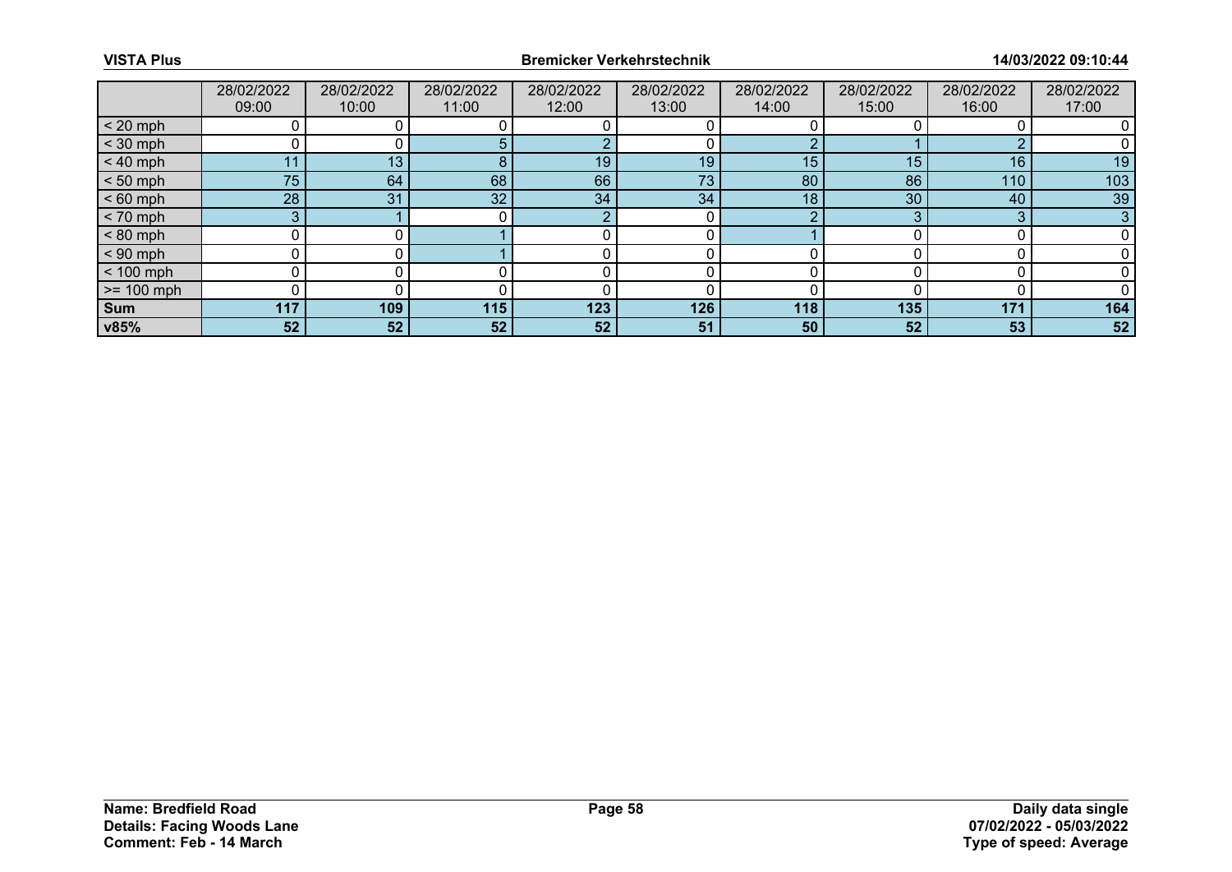|              | 28/02/2022 | 28/02/2022 | 28/02/2022      | 28/02/2022 | 28/02/2022 | 28/02/2022 | 28/02/2022 | 28/02/2022 | 28/02/2022 |
|--------------|------------|------------|-----------------|------------|------------|------------|------------|------------|------------|
|              | 09:00      | 10:00      | 11:00           | 12:00      | 13:00      | 14:00      | 15:00      | 16:00      | 17:00      |
| $< 20$ mph   |            |            |                 |            |            |            |            |            |            |
| $<$ 30 mph   |            |            |                 |            |            |            |            |            |            |
| $< 40$ mph   | 11         | 13         | 8               | 19         | 19         | 15         | 15         | 16         | 19         |
| $< 50$ mph   | 75         | 64         | 68              | 66         | 73         | 80         | 86         | 110        | 103        |
| $< 60$ mph   | 28         | 31         | 32 <sup>1</sup> | 34         | 34         | 18         | 30         | 40         | 39         |
| $< 70$ mph   | 3          |            |                 | റ          |            | o          |            | 2          | 3          |
| $< 80$ mph   |            |            |                 |            |            |            |            |            |            |
| $< 90$ mph   |            |            |                 |            |            |            |            |            |            |
| $< 100$ mph  |            |            |                 |            |            |            |            |            |            |
| $>= 100$ mph |            |            |                 |            |            |            |            |            |            |
| <b>Sum</b>   | 117        | 109        | 115             | 123        | 126        | 118        | 135        | 171        | 164        |
| v85%         | 52         | 52         | 52              | 52         | 51         | 50         | 52         | 53         | 52         |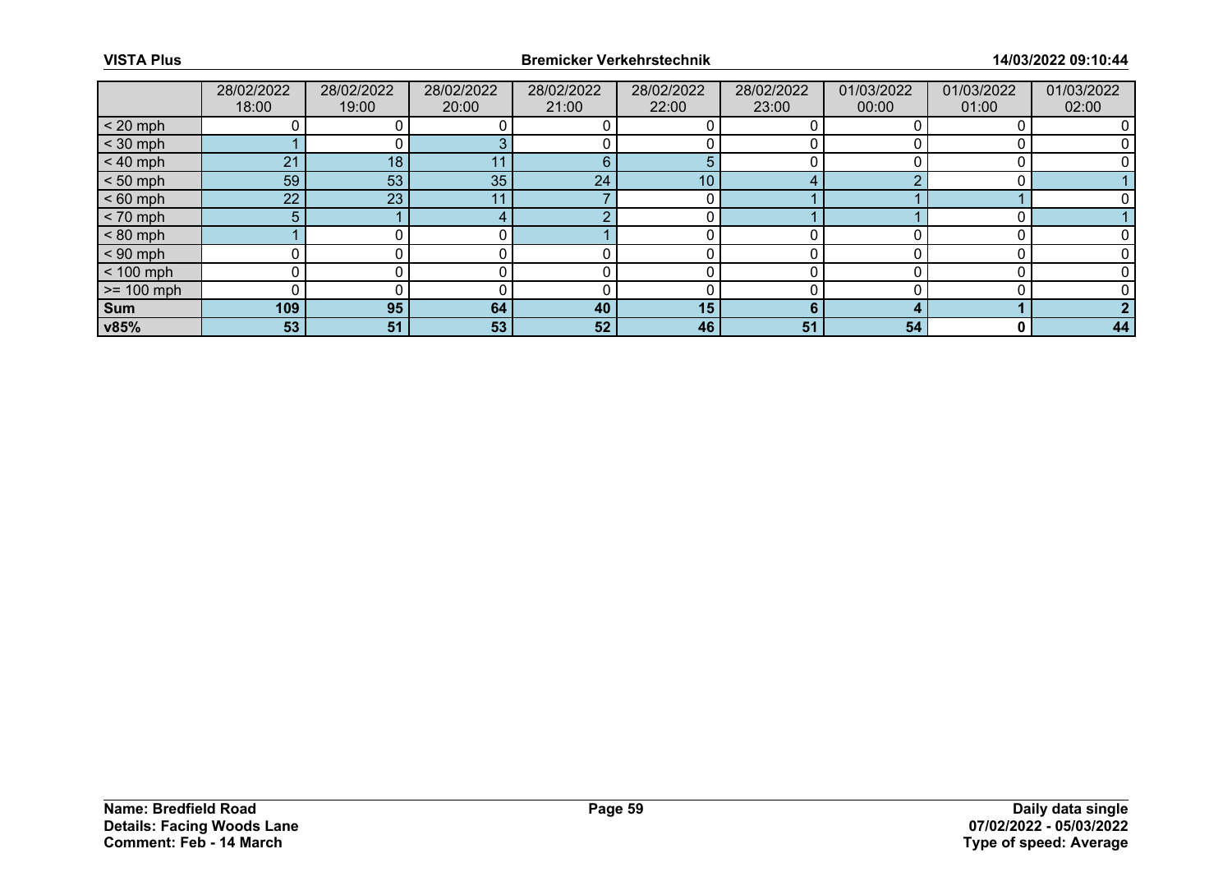|              | 28/02/2022<br>18:00 | 28/02/2022<br>19:00 | 28/02/2022<br>20:00 | 28/02/2022<br>21:00 | 28/02/2022<br>22:00 | 28/02/2022<br>23:00 | 01/03/2022<br>00:00 | 01/03/2022<br>01:00 | 01/03/2022<br>02:00 |
|--------------|---------------------|---------------------|---------------------|---------------------|---------------------|---------------------|---------------------|---------------------|---------------------|
| $< 20$ mph   |                     |                     |                     |                     |                     |                     |                     |                     |                     |
| $<$ 30 mph   |                     |                     |                     |                     |                     |                     |                     |                     |                     |
| $< 40$ mph   | 21                  | 18                  |                     | 6                   | 5                   |                     |                     |                     |                     |
| $< 50$ mph   | 59                  | 53                  | 35                  | 24                  | 10 <sub>1</sub>     |                     |                     |                     |                     |
| $< 60$ mph   | 22                  | 23                  |                     |                     |                     |                     |                     |                     |                     |
| $< 70$ mph   | 5                   |                     |                     | ◠                   |                     |                     |                     |                     |                     |
| $< 80$ mph   |                     |                     |                     |                     |                     |                     |                     |                     |                     |
| $< 90$ mph   |                     |                     |                     |                     |                     |                     |                     |                     |                     |
| $< 100$ mph  |                     |                     |                     |                     |                     |                     |                     |                     |                     |
| $>= 100$ mph |                     |                     |                     |                     |                     |                     |                     |                     |                     |
| <b>Sum</b>   | 109                 | 95                  | 64                  | 40                  | 15                  | ĥ                   |                     |                     |                     |
| v85%         | 53                  | 51                  | 53                  | 52                  | 46                  | 51                  | 54                  | $\bf{0}$            | 44                  |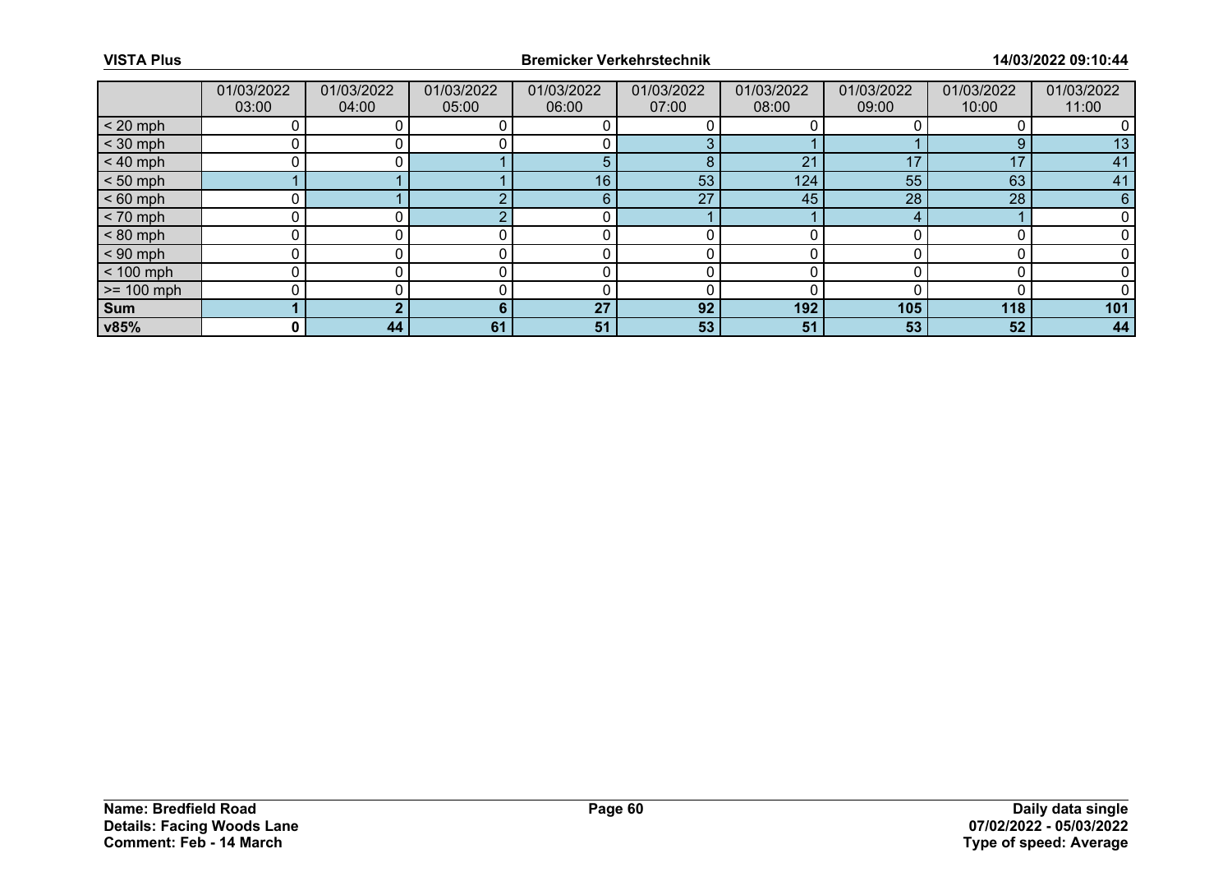|                 | 01/03/2022<br>03:00 | 01/03/2022<br>04:00 | 01/03/2022<br>05:00 | 01/03/2022<br>06:00 | 01/03/2022<br>07:00 | 01/03/2022<br>08:00 | 01/03/2022<br>09:00 | 01/03/2022<br>10:00 | 01/03/2022<br>11:00 |
|-----------------|---------------------|---------------------|---------------------|---------------------|---------------------|---------------------|---------------------|---------------------|---------------------|
| $< 20$ mph      |                     |                     |                     |                     |                     |                     |                     |                     |                     |
| $<$ 30 mph      |                     |                     |                     |                     |                     |                     |                     | $\Omega$            | 13                  |
| $< 40$ mph      | 0                   |                     |                     | 5                   | 8                   | 21                  | 17                  | 17                  | 41                  |
| $< 50$ mph      |                     |                     |                     | 16                  | 53                  | 124                 | 55                  | 63                  | 41                  |
| $< 60$ mph      | 0                   |                     |                     | 6                   | 27                  | 45                  | 28                  | 28                  |                     |
| $< 70$ mph      | 0                   |                     |                     |                     |                     |                     |                     |                     |                     |
| $< 80$ mph      |                     |                     |                     |                     |                     |                     |                     |                     |                     |
| $< 90$ mph      | 0                   |                     |                     |                     |                     |                     |                     |                     |                     |
| $< 100$ mph     | 0                   |                     |                     |                     |                     |                     |                     |                     |                     |
| $\ge$ = 100 mph |                     |                     |                     |                     |                     |                     |                     |                     |                     |
| Sum             |                     |                     |                     | 27                  | 92                  | 192                 | 105                 | 118                 | 101                 |
| v85%            | $\mathbf{0}$        | 44                  | 61                  | 51                  | 53                  | 51                  | 53                  | 52                  | 44                  |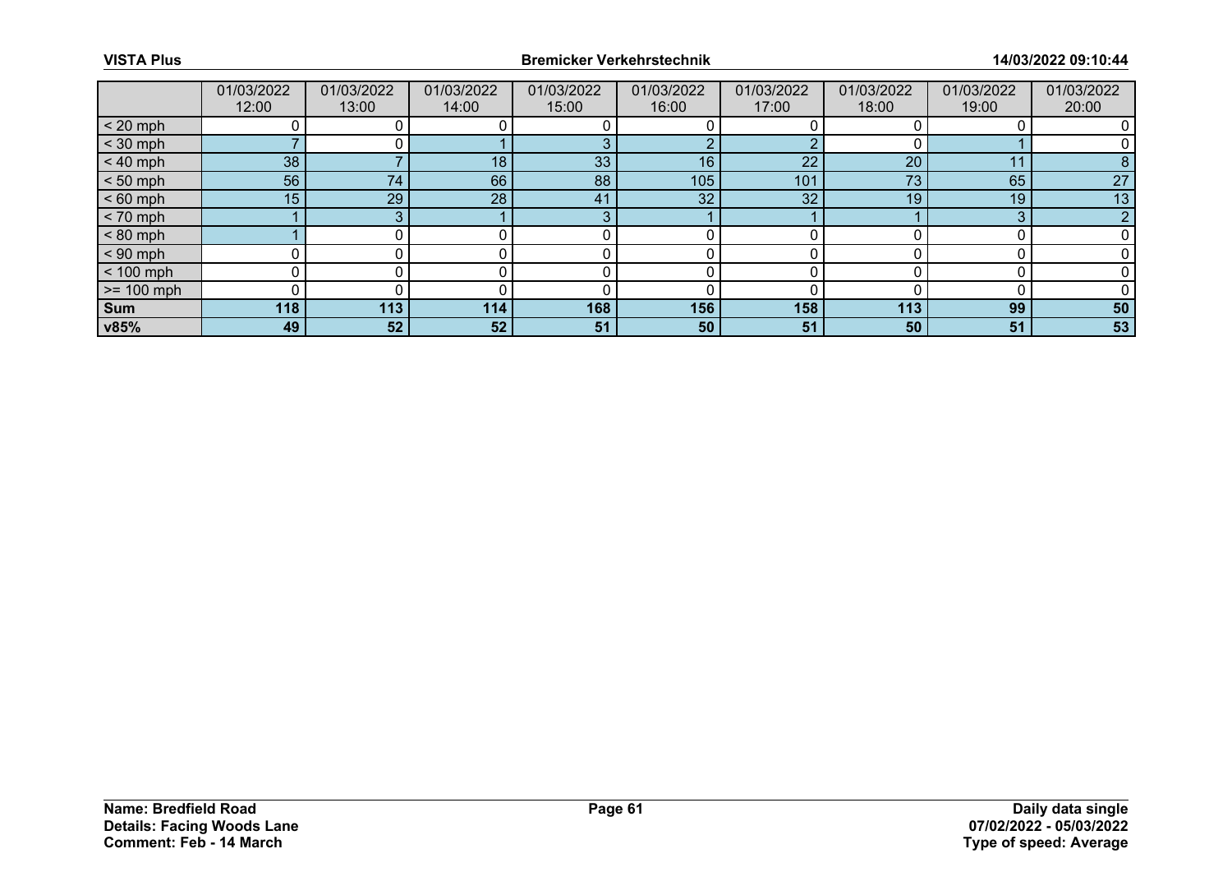|              | 01/03/2022<br>12:00 | 01/03/2022<br>13:00 | 01/03/2022<br>14:00 | 01/03/2022<br>15:00 | 01/03/2022<br>16:00 | 01/03/2022<br>17:00 | 01/03/2022<br>18:00 | 01/03/2022<br>19:00 | 01/03/2022<br>20:00 |
|--------------|---------------------|---------------------|---------------------|---------------------|---------------------|---------------------|---------------------|---------------------|---------------------|
| $< 20$ mph   |                     |                     |                     |                     |                     |                     |                     |                     |                     |
| $<$ 30 mph   |                     |                     |                     |                     | ◠                   |                     |                     |                     |                     |
| $< 40$ mph   | 38                  |                     | 18                  | 33                  | 16                  | 22                  | 20                  | $1^{\circ}$         | 8                   |
| $< 50$ mph   | 56                  | 74                  | 66                  | 88                  | 105                 | 101                 | 73                  | 65                  | 27                  |
| $< 60$ mph   | 15                  | 29                  | 28                  | 41                  | 32 <sup>°</sup>     | 32                  | 19                  | 19                  | 13                  |
| $< 70$ mph   |                     |                     |                     | 3                   |                     |                     |                     | 3                   |                     |
| $< 80$ mph   |                     |                     |                     |                     |                     |                     |                     |                     |                     |
| $< 90$ mph   |                     |                     |                     |                     |                     |                     |                     |                     |                     |
| $< 100$ mph  | $\Omega$            |                     |                     |                     |                     |                     |                     |                     |                     |
| $>= 100$ mph |                     |                     |                     |                     |                     |                     |                     |                     |                     |
| <b>Sum</b>   | 118                 | 113                 | 114                 | 168                 | 156                 | 158                 | 113                 | 99                  | 50                  |
| v85%         | 49                  | 52                  | 52                  | 51                  | 50                  | 51                  | 50                  | 51                  | 53                  |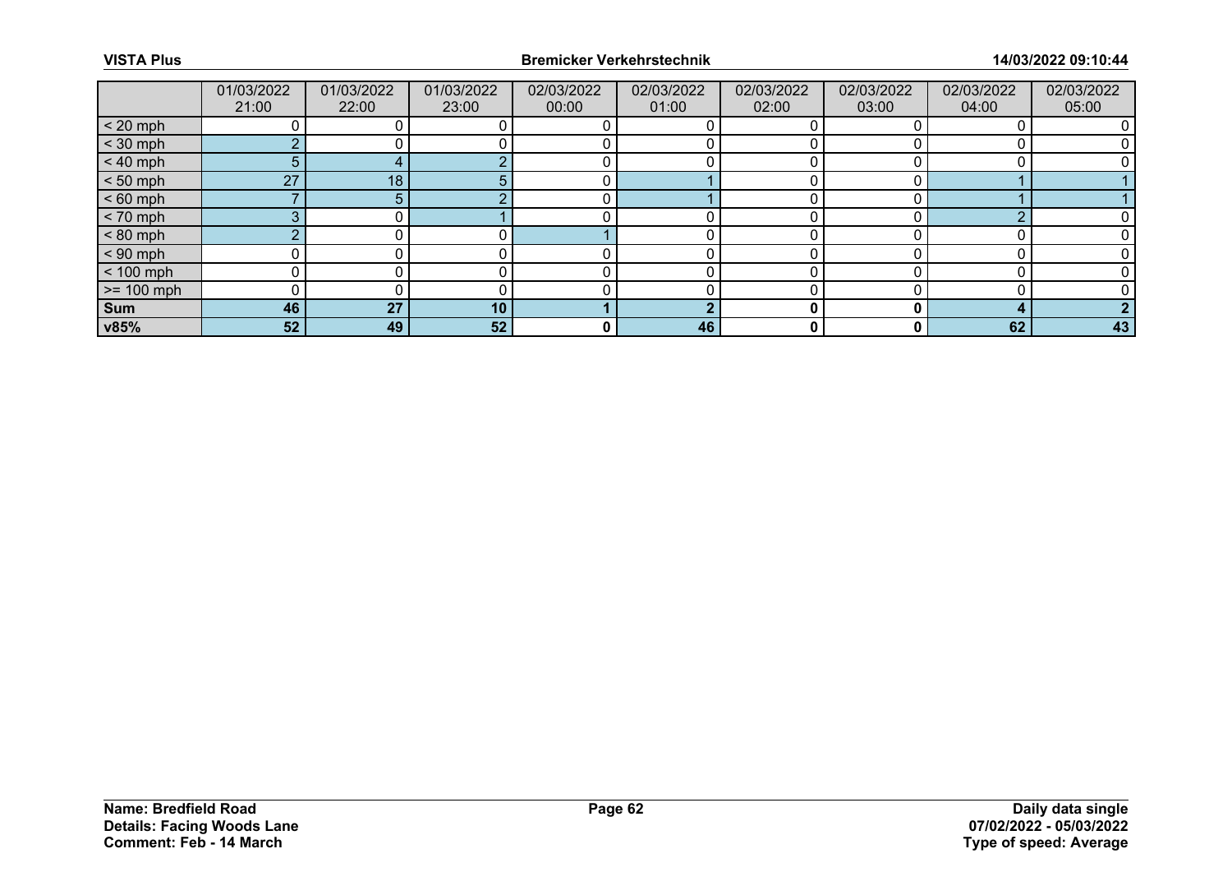|              | 01/03/2022<br>21:00 | 01/03/2022<br>22:00 | 01/03/2022<br>23:00 | 02/03/2022<br>00:00 | 02/03/2022<br>01:00 | 02/03/2022<br>02:00 | 02/03/2022<br>03:00 | 02/03/2022<br>04:00 | 02/03/2022<br>05:00 |
|--------------|---------------------|---------------------|---------------------|---------------------|---------------------|---------------------|---------------------|---------------------|---------------------|
| $< 20$ mph   |                     |                     |                     |                     |                     |                     |                     |                     |                     |
| $<$ 30 mph   |                     |                     |                     |                     |                     |                     |                     |                     |                     |
| $< 40$ mph   | 5                   |                     |                     |                     |                     |                     |                     |                     |                     |
| $< 50$ mph   | 27                  | 18                  |                     |                     |                     |                     |                     |                     |                     |
| $< 60$ mph   |                     |                     |                     |                     |                     |                     |                     |                     |                     |
| $< 70$ mph   | 3                   |                     |                     |                     |                     |                     |                     | ⌒                   |                     |
| $< 80$ mph   |                     |                     |                     |                     |                     |                     |                     |                     |                     |
| $< 90$ mph   |                     |                     |                     |                     |                     |                     |                     |                     |                     |
| $< 100$ mph  |                     |                     |                     |                     |                     |                     |                     |                     |                     |
| $>= 100$ mph |                     |                     |                     |                     |                     |                     |                     |                     |                     |
| <b>Sum</b>   | 46                  | 27                  | 10                  |                     | L.                  |                     |                     |                     |                     |
| v85%         | 52                  | 49                  | 52                  | 0                   | 46                  | 0                   |                     | 62                  | 43                  |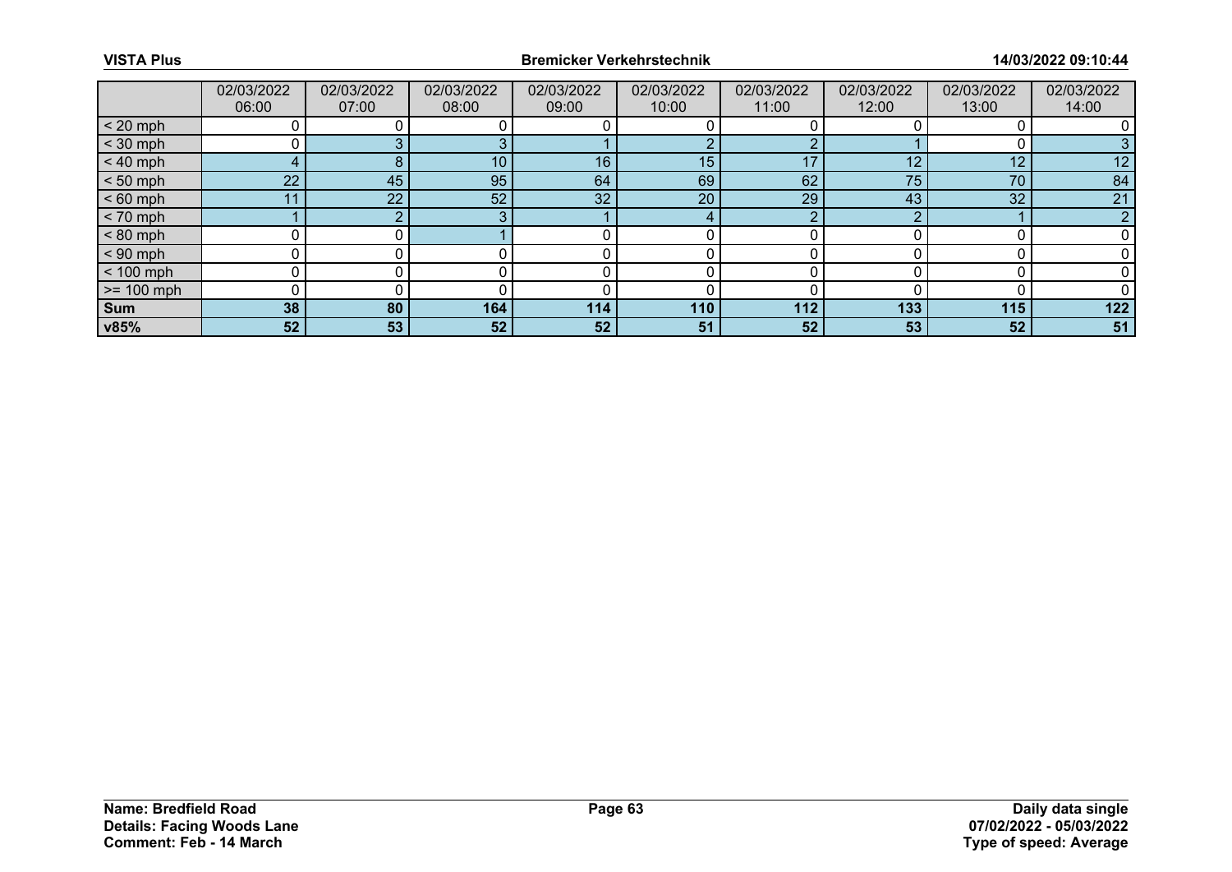|              | 02/03/2022<br>06:00 | 02/03/2022<br>07:00 | 02/03/2022<br>08:00 | 02/03/2022<br>09:00 | 02/03/2022<br>10:00 | 02/03/2022<br>11:00 | 02/03/2022<br>12:00 | 02/03/2022<br>13:00 | 02/03/2022<br>14:00 |
|--------------|---------------------|---------------------|---------------------|---------------------|---------------------|---------------------|---------------------|---------------------|---------------------|
| $< 20$ mph   |                     |                     |                     |                     |                     |                     |                     |                     |                     |
| $<$ 30 mph   |                     |                     |                     |                     |                     |                     |                     |                     |                     |
| $< 40$ mph   | 4                   | 8                   | 10 <sup>1</sup>     | 16                  | 15                  | 17                  | 12                  | 12                  | 12                  |
| $< 50$ mph   | 22 <sup>2</sup>     | 45                  | 95                  | 64                  | 69                  | 62                  | 75                  | 70                  | 84                  |
| $< 60$ mph   | 11                  | 22                  | 52                  | 32                  | 20                  | 29                  | 43                  | 32                  | 21                  |
| $< 70$ mph   |                     |                     | ົ                   |                     |                     | ◠                   |                     |                     | n                   |
| $< 80$ mph   |                     |                     |                     |                     |                     |                     |                     |                     |                     |
| $< 90$ mph   |                     |                     |                     |                     |                     |                     |                     |                     |                     |
| $< 100$ mph  |                     |                     |                     |                     |                     |                     |                     |                     |                     |
| $>= 100$ mph |                     |                     |                     |                     |                     |                     |                     |                     |                     |
| <b>Sum</b>   | 38                  | 80                  | 164                 | 114                 | 110                 | 112                 | 133                 | 115                 | 122                 |
| v85%         | 52                  | 53                  | 52                  | 52                  | 51                  | 52                  | 53                  | 52                  | 51                  |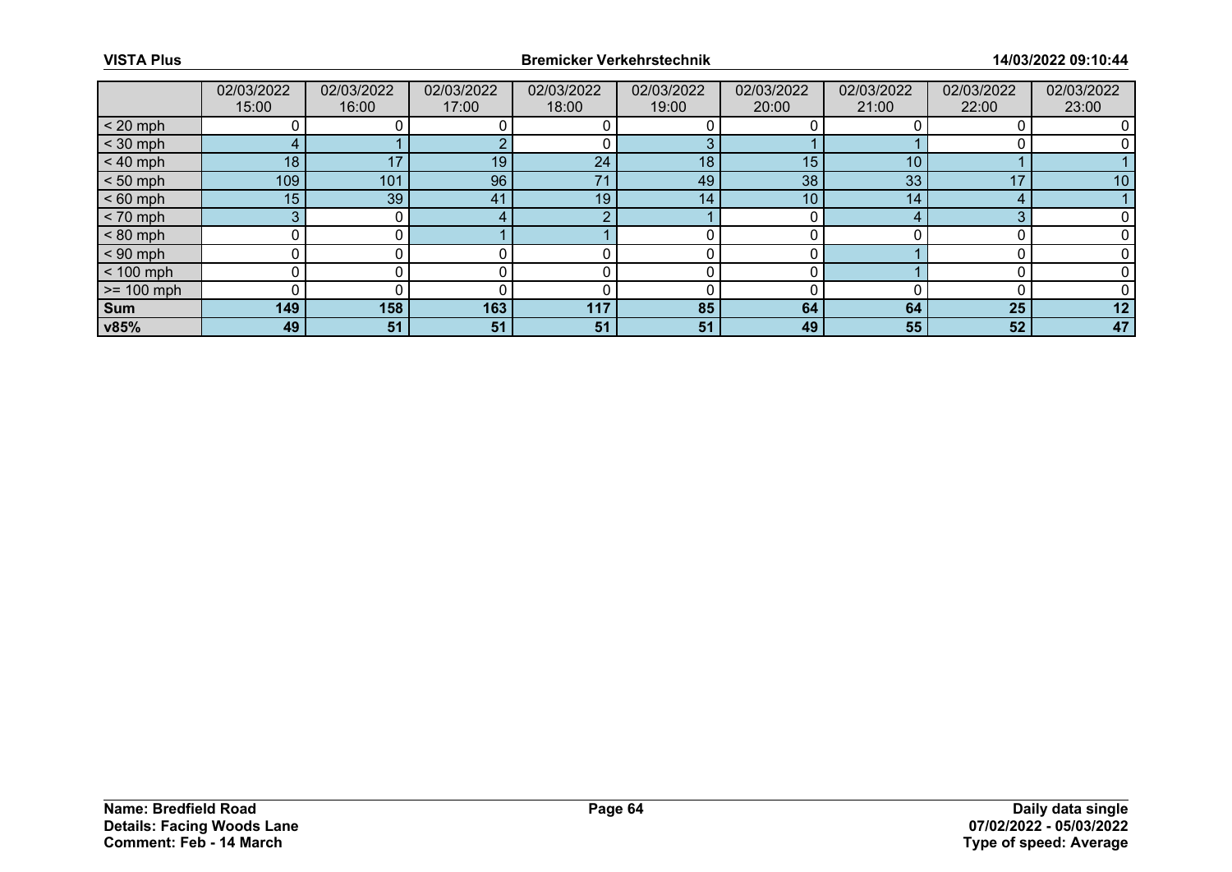|                 | 02/03/2022<br>15:00 | 02/03/2022<br>16:00 | 02/03/2022<br>17:00 | 02/03/2022<br>18:00 | 02/03/2022<br>19:00 | 02/03/2022<br>20:00 | 02/03/2022<br>21:00 | 02/03/2022<br>22:00 | 02/03/2022<br>23:00 |
|-----------------|---------------------|---------------------|---------------------|---------------------|---------------------|---------------------|---------------------|---------------------|---------------------|
| $< 20$ mph      |                     |                     |                     |                     |                     |                     |                     |                     |                     |
| $<$ 30 mph      |                     |                     |                     |                     |                     |                     |                     |                     |                     |
| $< 40$ mph      | 18                  | 17                  | 19                  | 24                  | 18                  | 15                  | 10                  |                     |                     |
| $< 50$ mph      | 109                 | 101                 | 96                  | 71                  | 49                  | 38                  | 33                  | 17                  | 10                  |
| $< 60$ mph      | 15                  | 39                  | 41                  | 19                  | 14 <sub>1</sub>     | 10                  | 14                  |                     |                     |
| $< 70$ mph      | 3                   |                     |                     | റ                   |                     |                     |                     | ≏                   |                     |
| $< 80$ mph      |                     |                     |                     |                     |                     |                     |                     |                     |                     |
| $< 90$ mph      | 0                   |                     |                     |                     |                     |                     |                     |                     |                     |
| $< 100$ mph     | 0                   |                     |                     |                     |                     |                     |                     |                     |                     |
| $\ge$ = 100 mph |                     |                     |                     |                     |                     |                     |                     |                     |                     |
| Sum             | 149                 | 158                 | 163                 | 117                 | 85                  | 64                  | 64                  | 25                  | 12                  |
| v85%            | 49                  | 51                  | 51                  | 51                  | 51                  | 49                  | 55                  | 52                  | 47                  |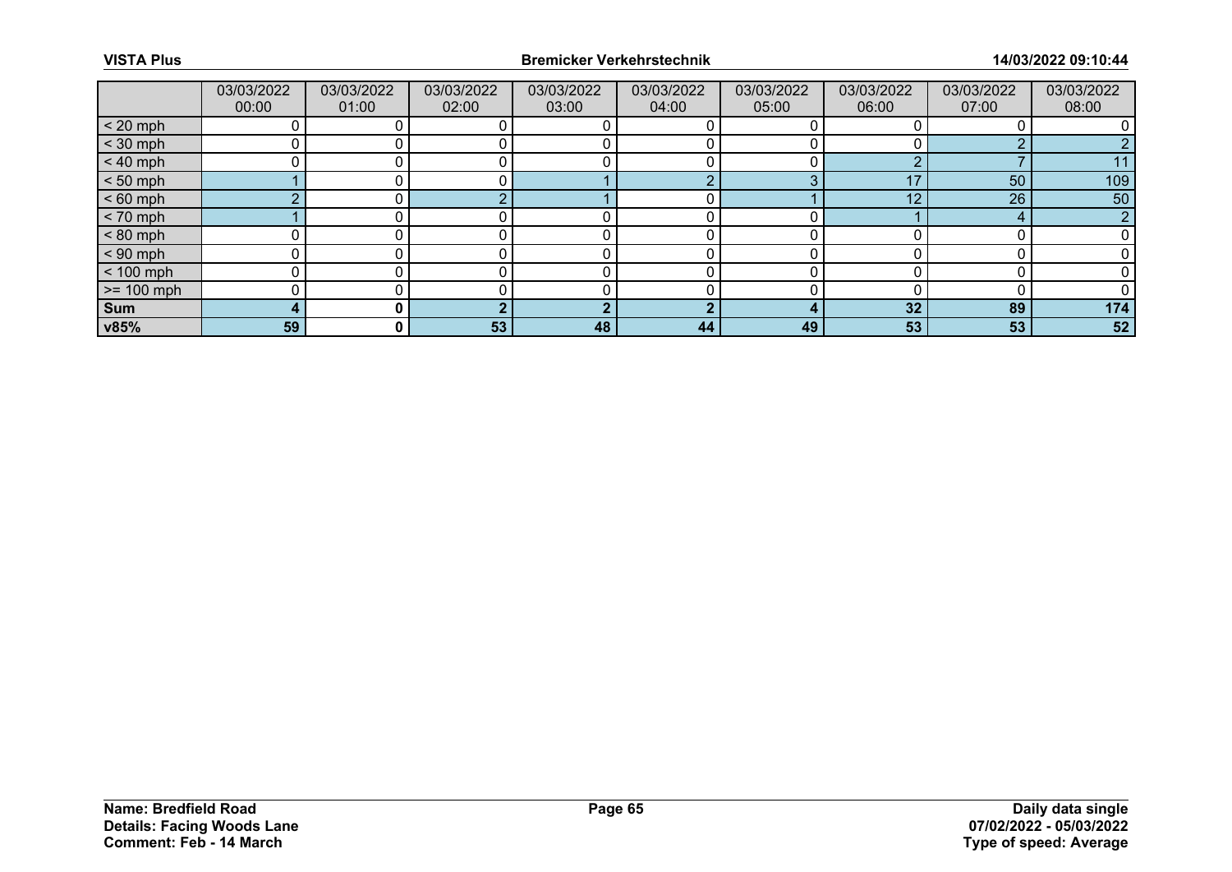|              | 03/03/2022<br>00:00 | 03/03/2022<br>01:00 | 03/03/2022<br>02:00 | 03/03/2022<br>03:00 | 03/03/2022<br>04:00 | 03/03/2022<br>05:00 | 03/03/2022<br>06:00 | 03/03/2022<br>07:00 | 03/03/2022<br>08:00 |
|--------------|---------------------|---------------------|---------------------|---------------------|---------------------|---------------------|---------------------|---------------------|---------------------|
| $< 20$ mph   |                     |                     |                     |                     |                     |                     |                     |                     |                     |
| $<$ 30 mph   |                     |                     |                     |                     |                     |                     |                     |                     |                     |
| $< 40$ mph   |                     |                     |                     |                     |                     |                     |                     |                     |                     |
| $< 50$ mph   |                     |                     |                     |                     |                     |                     |                     | 50                  | 109                 |
| $< 60$ mph   |                     |                     |                     |                     |                     |                     | 12                  | 26                  | 50                  |
| $< 70$ mph   |                     |                     |                     |                     |                     |                     |                     | 4                   | n                   |
| $< 80$ mph   |                     |                     |                     |                     |                     |                     |                     |                     |                     |
| $< 90$ mph   |                     |                     |                     |                     |                     |                     |                     |                     |                     |
| $< 100$ mph  |                     |                     |                     |                     |                     |                     |                     |                     |                     |
| $>= 100$ mph |                     |                     |                     |                     |                     |                     |                     |                     |                     |
| <b>Sum</b>   | 4                   |                     |                     |                     | n.                  |                     | 32                  | 89                  | 174                 |
| v85%         | 59                  | 0 I                 | 53                  | 48                  | 44                  | 49                  | 53                  | 53                  | 52                  |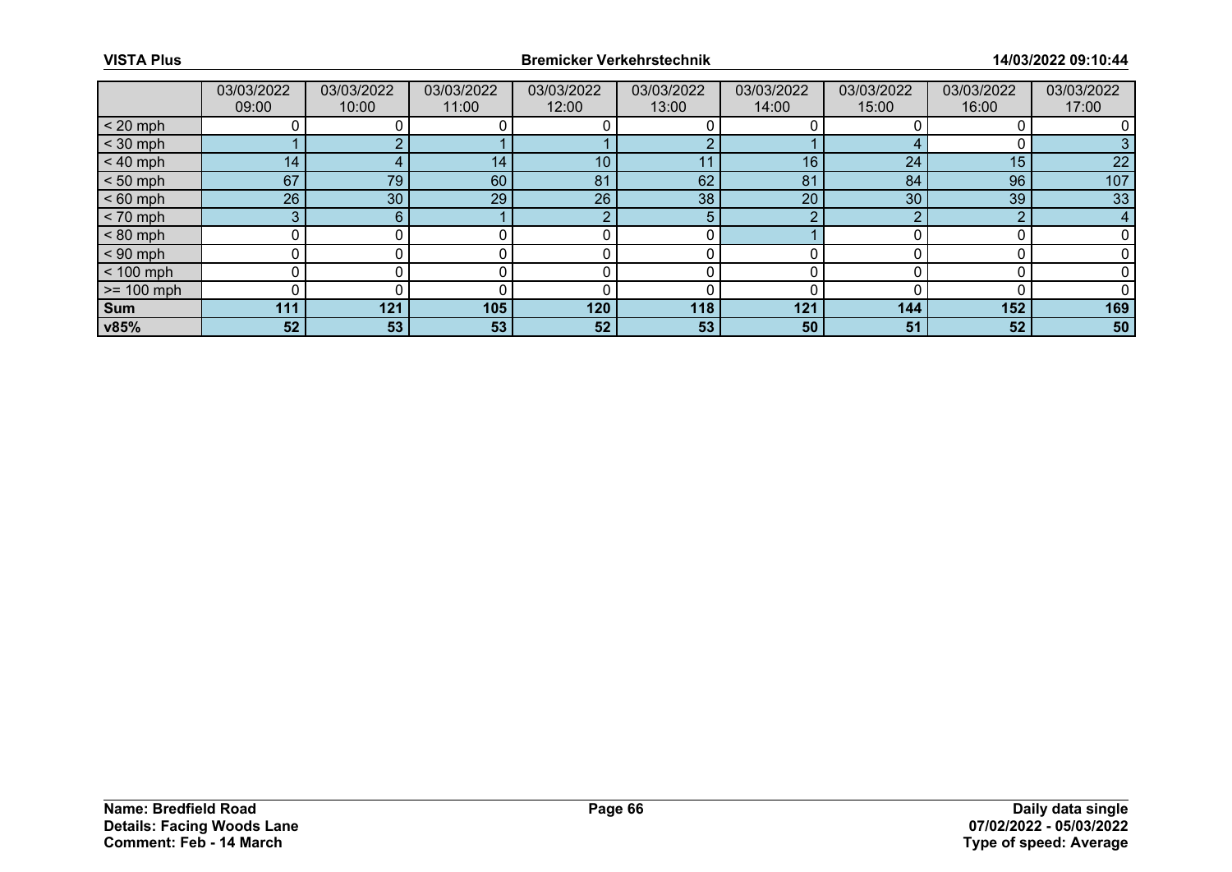|              | 03/03/2022<br>09:00 | 03/03/2022<br>10:00 | 03/03/2022<br>11:00 | 03/03/2022<br>12:00 | 03/03/2022<br>13:00 | 03/03/2022<br>14:00 | 03/03/2022<br>15:00 | 03/03/2022<br>16:00 | 03/03/2022<br>17:00 |
|--------------|---------------------|---------------------|---------------------|---------------------|---------------------|---------------------|---------------------|---------------------|---------------------|
| $< 20$ mph   |                     |                     |                     |                     |                     |                     |                     |                     |                     |
| $<$ 30 mph   |                     |                     |                     |                     |                     |                     |                     |                     |                     |
| $< 40$ mph   | 14 <sub>1</sub>     | 4                   | 14 <sub>1</sub>     | 10                  | 11                  | 16                  | 24                  | 15                  | 22                  |
| $< 50$ mph   | 67                  | 79                  | 60                  | 81                  | 62                  | 81                  | 84                  | 96                  | 107                 |
| $< 60$ mph   | 26                  | 30                  | 29                  | 26                  | 38                  | 20                  | 30                  | 39                  | 33                  |
| $< 70$ mph   | 3                   | 6                   |                     | ◠                   | 5                   | n                   | ⌒                   | ົ                   | 4                   |
| $< 80$ mph   |                     |                     |                     |                     |                     |                     |                     |                     |                     |
| $< 90$ mph   | ∩                   |                     |                     |                     |                     |                     |                     |                     |                     |
| $< 100$ mph  | 0                   |                     |                     |                     |                     |                     |                     |                     |                     |
| $>= 100$ mph |                     |                     |                     |                     |                     |                     |                     |                     |                     |
| <b>Sum</b>   | 111                 | 121                 | 105                 | 120                 | 118                 | 121                 | 144                 | 152                 | 169                 |
| v85%         | 52                  | 53                  | 53                  | 52                  | 53                  | 50                  | 51                  | 52                  | 50                  |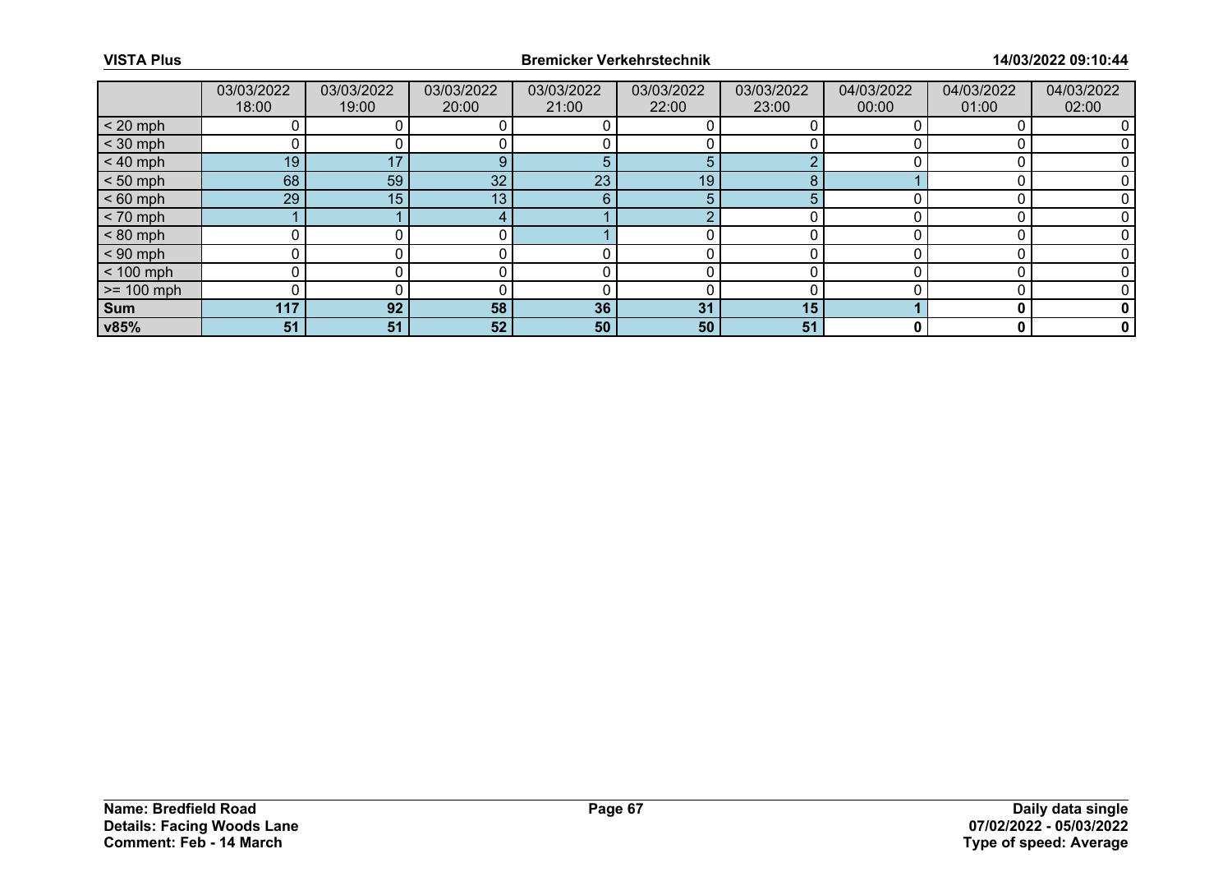|                 | 03/03/2022<br>18:00 | 03/03/2022<br>19:00 | 03/03/2022<br>20:00 | 03/03/2022<br>21:00 | 03/03/2022<br>22:00 | 03/03/2022<br>23:00 | 04/03/2022<br>00:00 | 04/03/2022<br>01:00 | 04/03/2022<br>02:00 |
|-----------------|---------------------|---------------------|---------------------|---------------------|---------------------|---------------------|---------------------|---------------------|---------------------|
| $< 20$ mph      |                     |                     |                     |                     |                     |                     |                     |                     |                     |
| $<$ 30 mph      |                     |                     |                     |                     |                     |                     |                     |                     |                     |
| $< 40$ mph      | 19                  | 17                  | 9                   | 5                   | 5                   |                     |                     |                     |                     |
| $< 50$ mph      | 68                  | 59                  | 32                  | 23                  | 19 <sub>1</sub>     |                     |                     |                     |                     |
| $< 60$ mph      | 29                  | 15                  | 13                  | 6                   | 5                   | 5                   |                     |                     |                     |
| $< 70$ mph      |                     |                     |                     |                     | C                   |                     |                     |                     |                     |
| $< 80$ mph      |                     |                     |                     |                     |                     |                     |                     |                     |                     |
| $< 90$ mph      | 0                   |                     |                     |                     |                     |                     |                     |                     |                     |
| $< 100$ mph     | 0                   |                     |                     |                     |                     |                     |                     |                     |                     |
| $\ge$ = 100 mph |                     |                     |                     |                     |                     |                     |                     |                     |                     |
| Sum             | 117                 | 92                  | 58                  | 36                  | 31                  | 15                  |                     |                     |                     |
| v85%            | 51                  | 51                  | 52                  | 50                  | 50                  | 51                  |                     | 0                   | $\mathbf 0$         |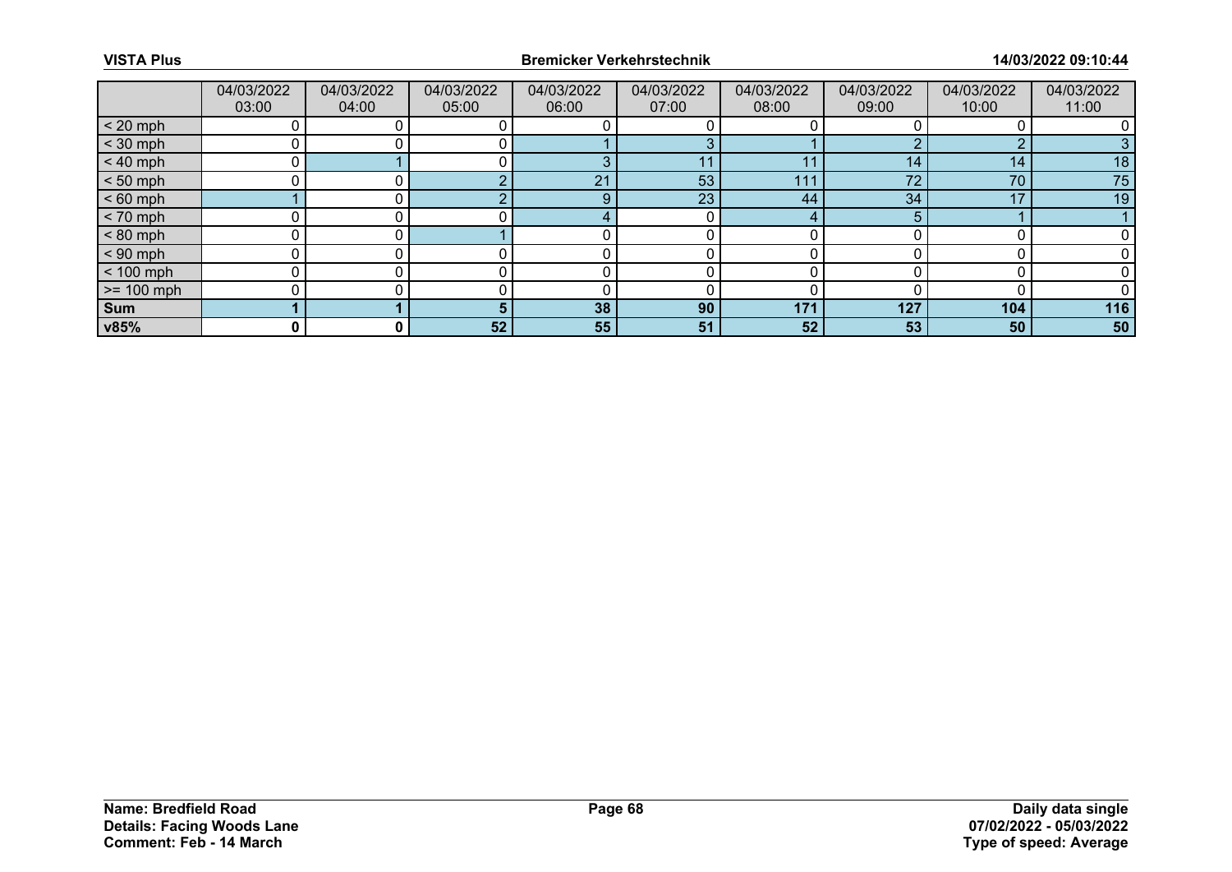|              | 04/03/2022<br>03:00 | 04/03/2022<br>04:00 | 04/03/2022<br>05:00 | 04/03/2022<br>06:00 | 04/03/2022<br>07:00 | 04/03/2022<br>08:00 | 04/03/2022<br>09:00 | 04/03/2022<br>10:00 | 04/03/2022<br>11:00 |
|--------------|---------------------|---------------------|---------------------|---------------------|---------------------|---------------------|---------------------|---------------------|---------------------|
| $< 20$ mph   |                     |                     |                     |                     |                     |                     |                     |                     |                     |
| $<$ 30 mph   |                     |                     |                     |                     |                     |                     |                     | ◠                   |                     |
| $< 40$ mph   |                     |                     |                     | З                   | -1-1                | 11                  | 14                  | 14                  | 18                  |
| $< 50$ mph   |                     |                     |                     | 21                  | 53                  | 111                 | 70                  | 70                  | 75                  |
| $< 60$ mph   |                     |                     |                     | 9                   | 23                  | 44                  | 34                  | 17                  | 19                  |
| $< 70$ mph   |                     |                     |                     |                     | C                   | 4                   |                     |                     |                     |
| $< 80$ mph   |                     |                     |                     |                     |                     |                     |                     |                     |                     |
| $< 90$ mph   |                     |                     |                     |                     |                     |                     |                     |                     |                     |
| $< 100$ mph  |                     |                     |                     |                     |                     |                     |                     |                     |                     |
| $>= 100$ mph |                     |                     |                     |                     |                     |                     |                     |                     |                     |
| <b>Sum</b>   |                     |                     |                     | 38                  | 90                  | 171                 | 127                 | 104                 | 116                 |
| v85%         | 0                   | 0                   | 52                  | 55                  | 51                  | 52                  | 53                  | 50                  | 50                  |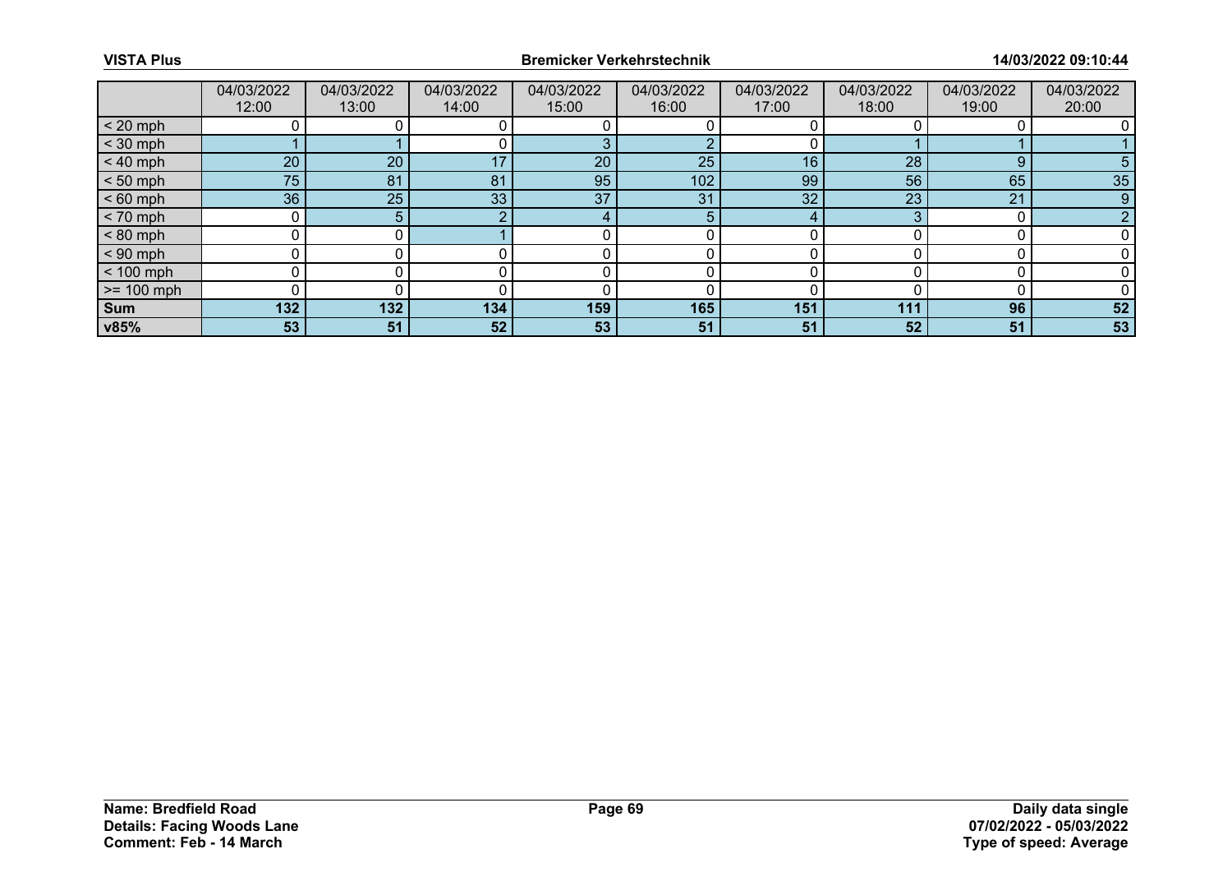|              | 04/03/2022<br>12:00 | 04/03/2022<br>13:00 | 04/03/2022<br>14:00 | 04/03/2022<br>15:00 | 04/03/2022<br>16:00 | 04/03/2022<br>17:00 | 04/03/2022<br>18:00 | 04/03/2022<br>19:00 | 04/03/2022<br>20:00 |
|--------------|---------------------|---------------------|---------------------|---------------------|---------------------|---------------------|---------------------|---------------------|---------------------|
| $< 20$ mph   |                     |                     |                     |                     |                     |                     |                     |                     |                     |
| $<$ 30 mph   |                     |                     |                     |                     |                     |                     |                     |                     |                     |
| $< 40$ mph   | 20 <sub>1</sub>     | 20                  | 17                  | 20                  | 25                  | 16                  | 28                  | 9                   |                     |
| $< 50$ mph   | 75                  | 81                  | 81                  | 95                  | 102                 | 99                  | 56                  | 65                  | 35                  |
| $< 60$ mph   | 36                  | 25                  | 33                  | 37                  | 31                  | 32                  | 23                  | 21                  | 9                   |
| $< 70$ mph   |                     | 5.                  |                     |                     | 5                   | 4                   |                     |                     |                     |
| $< 80$ mph   |                     |                     |                     |                     |                     |                     |                     |                     |                     |
| $< 90$ mph   |                     |                     |                     |                     |                     |                     |                     |                     |                     |
| $< 100$ mph  | ∩                   |                     |                     |                     |                     |                     |                     |                     |                     |
| $>= 100$ mph |                     |                     |                     |                     |                     |                     |                     |                     |                     |
| <b>Sum</b>   | 132                 | 132                 | 134                 | 159                 | 165                 | 151                 | 111                 | 96                  | 52                  |
| v85%         | 53                  | 51                  | 52                  | 53                  | 51                  | 51                  | 52                  | 51                  | 53                  |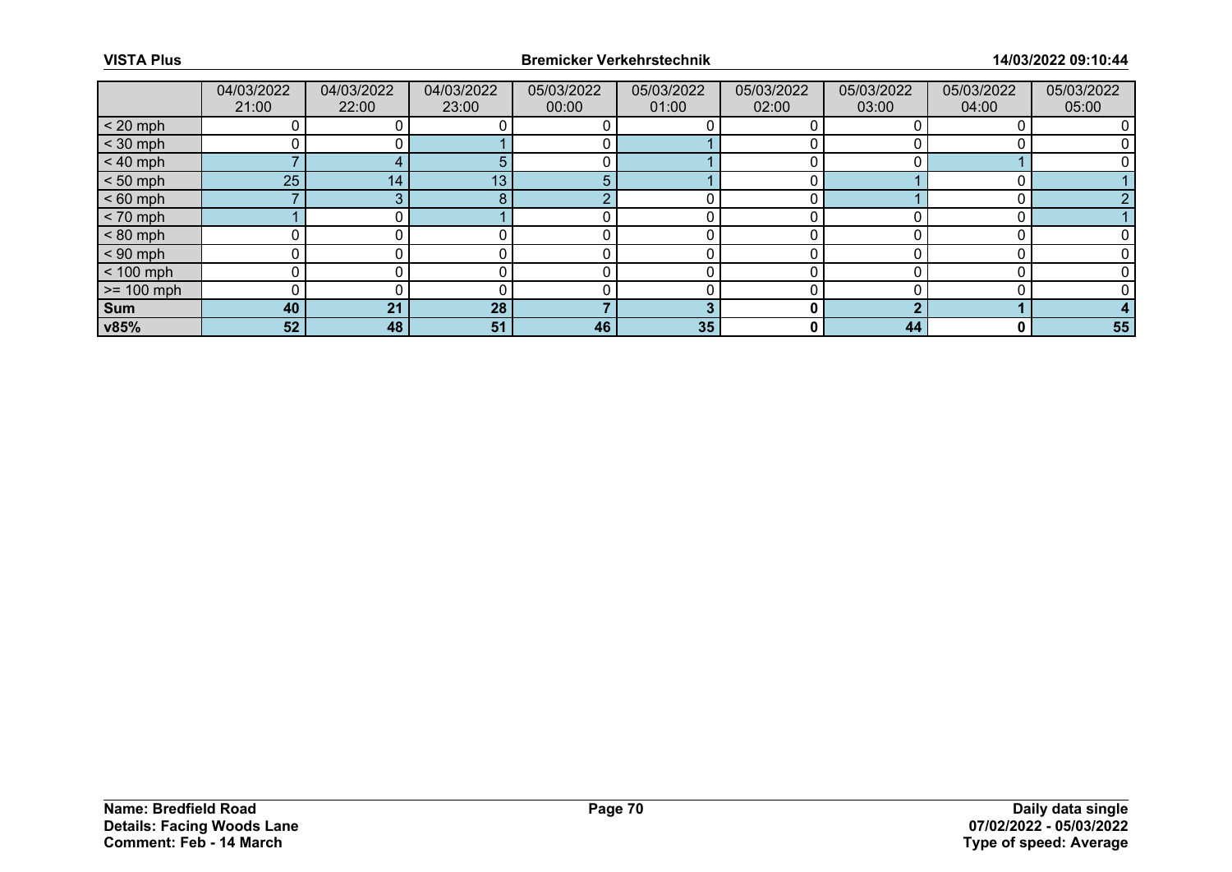|                 | 04/03/2022<br>21:00 | 04/03/2022<br>22:00 | 04/03/2022<br>23:00 | 05/03/2022<br>00:00 | 05/03/2022<br>01:00 | 05/03/2022<br>02:00 | 05/03/2022<br>03:00 | 05/03/2022<br>04:00 | 05/03/2022<br>05:00 |
|-----------------|---------------------|---------------------|---------------------|---------------------|---------------------|---------------------|---------------------|---------------------|---------------------|
| $< 20$ mph      |                     |                     |                     |                     |                     |                     |                     |                     |                     |
| $<$ 30 mph      |                     |                     |                     |                     |                     |                     |                     |                     |                     |
| $< 40$ mph      |                     |                     |                     |                     |                     |                     |                     |                     |                     |
| $< 50$ mph      | 25                  | 14 <sub>1</sub>     | 13                  |                     |                     |                     |                     |                     |                     |
| $< 60$ mph      |                     |                     | 8                   | c                   |                     |                     |                     |                     |                     |
| $< 70$ mph      |                     |                     |                     |                     |                     |                     |                     |                     |                     |
| $< 80$ mph      |                     |                     |                     |                     |                     |                     |                     |                     |                     |
| $< 90$ mph      |                     |                     |                     |                     |                     |                     |                     |                     |                     |
| $< 100$ mph     | 0                   |                     |                     |                     |                     |                     |                     |                     |                     |
| $\ge$ = 100 mph |                     |                     |                     |                     |                     |                     |                     |                     |                     |
| Sum             | 40                  | 21                  | 28                  |                     |                     |                     |                     |                     |                     |
| v85%            | 52                  | 48                  | 51                  | 46                  | 35                  | 0                   | 44                  | 0                   | 55                  |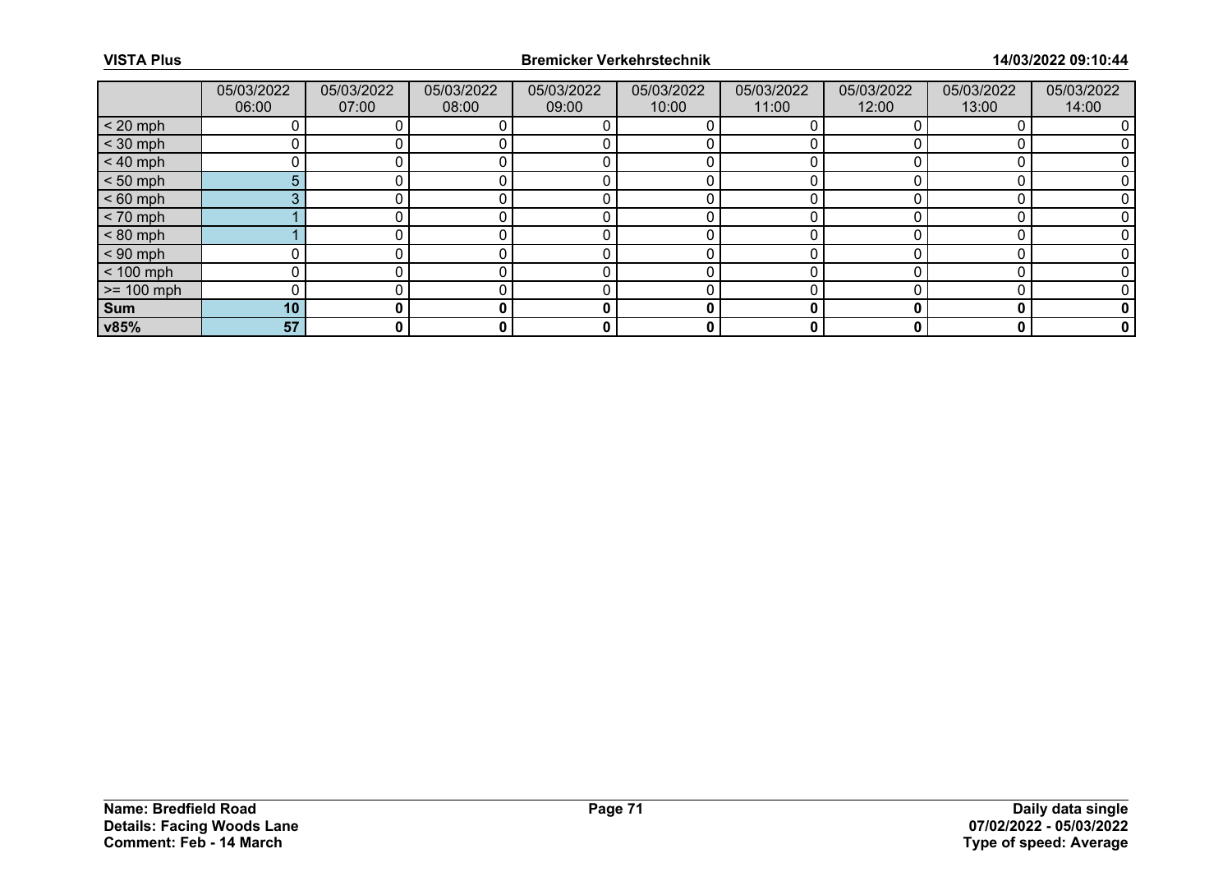|              | 05/03/2022<br>06:00 | 05/03/2022<br>07:00 | 05/03/2022<br>08:00 | 05/03/2022<br>09:00 | 05/03/2022<br>10:00 | 05/03/2022<br>11:00 | 05/03/2022<br>12:00 | 05/03/2022<br>13:00 | 05/03/2022<br>14:00 |
|--------------|---------------------|---------------------|---------------------|---------------------|---------------------|---------------------|---------------------|---------------------|---------------------|
| $< 20$ mph   |                     |                     |                     |                     |                     |                     |                     |                     |                     |
| $<$ 30 mph   |                     |                     |                     |                     |                     |                     |                     |                     |                     |
| $< 40$ mph   |                     |                     |                     |                     |                     |                     |                     |                     |                     |
| $< 50$ mph   | 5 <sup>5</sup>      |                     |                     |                     |                     |                     |                     |                     |                     |
| $< 60$ mph   | 3                   |                     |                     |                     |                     |                     |                     |                     |                     |
| $< 70$ mph   |                     |                     |                     |                     |                     |                     |                     |                     |                     |
| $< 80$ mph   |                     |                     |                     |                     |                     |                     |                     |                     |                     |
| $< 90$ mph   |                     |                     |                     |                     |                     |                     |                     |                     |                     |
| $< 100$ mph  |                     |                     |                     |                     |                     |                     |                     |                     |                     |
| $>= 100$ mph |                     |                     |                     |                     |                     |                     |                     |                     |                     |
| Sum          | 10                  |                     |                     | 0                   | 0                   |                     |                     |                     |                     |
| v85%         | 57                  | 0                   | 0                   | 0                   | 0                   |                     |                     | 0                   | 0                   |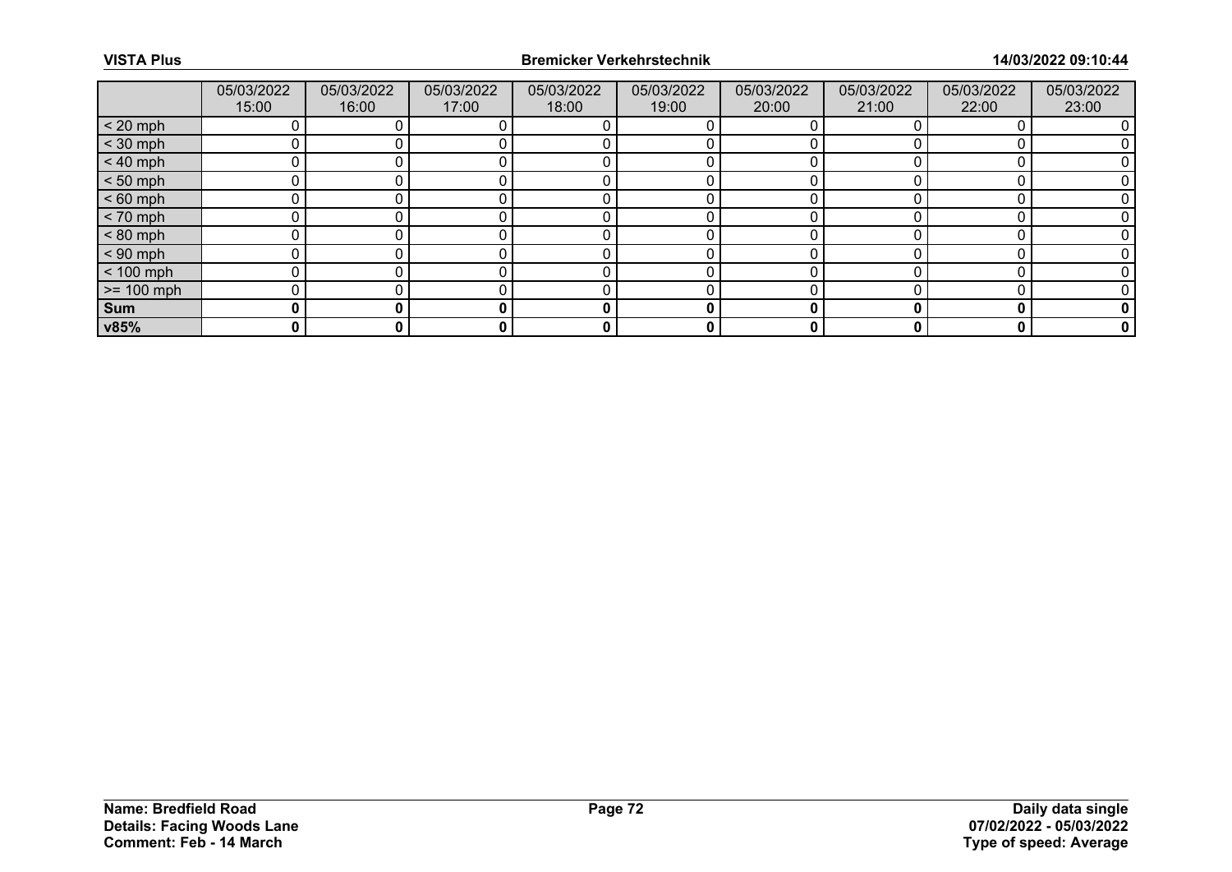|              | 05/03/2022<br>15:00 | 05/03/2022<br>16:00 | 05/03/2022<br>17:00 | 05/03/2022<br>18:00 | 05/03/2022<br>19:00 | 05/03/2022<br>20:00 | 05/03/2022<br>21:00 | 05/03/2022<br>22:00 | 05/03/2022<br>23:00 |
|--------------|---------------------|---------------------|---------------------|---------------------|---------------------|---------------------|---------------------|---------------------|---------------------|
| $< 20$ mph   |                     |                     |                     |                     |                     |                     |                     |                     |                     |
| $<$ 30 mph   |                     |                     |                     |                     |                     |                     |                     |                     |                     |
| $< 40$ mph   |                     |                     |                     |                     |                     |                     |                     |                     |                     |
| $< 50$ mph   |                     |                     |                     |                     |                     |                     |                     |                     |                     |
| $< 60$ mph   |                     |                     |                     |                     |                     |                     |                     |                     |                     |
| $< 70$ mph   |                     |                     |                     |                     |                     |                     |                     |                     |                     |
| $< 80$ mph   |                     |                     |                     |                     |                     |                     |                     |                     |                     |
| $< 90$ mph   |                     |                     |                     |                     |                     |                     |                     |                     |                     |
| $< 100$ mph  |                     |                     |                     |                     |                     |                     |                     |                     |                     |
| $>= 100$ mph |                     |                     |                     |                     |                     |                     |                     |                     |                     |
| Sum          | 0                   |                     |                     | 0                   | 0                   |                     |                     |                     |                     |
| v85%         | 0                   |                     | 0                   | 0                   | 0                   |                     |                     |                     | 0                   |